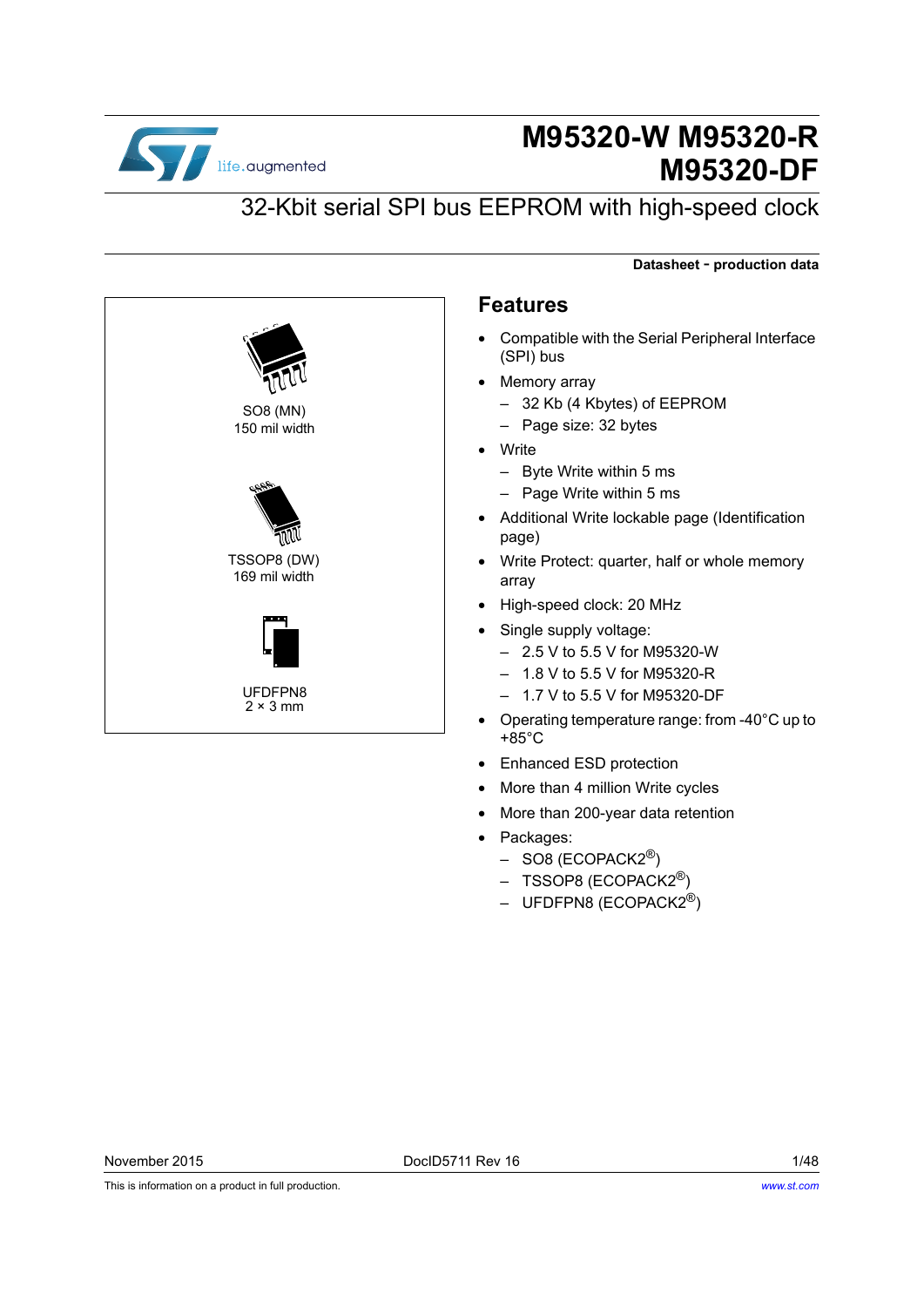

# **M95320-W M95320-R M95320-DF**

**Datasheet** - **production data**

# 32-Kbit serial SPI bus EEPROM with high-speed clock



### **Features**

- Compatible with the Serial Peripheral Interface (SPI) bus
- Memory array
	- 32 Kb (4 Kbytes) of EEPROM
	- Page size: 32 bytes
- Write
	- Byte Write within 5 ms
	- Page Write within 5 ms
- Additional Write lockable page (Identification page)
- Write Protect: quarter, half or whole memory array
- High-speed clock: 20 MHz
- Single supply voltage:
	- 2.5 V to 5.5 V for M95320-W
	- 1.8 V to 5.5 V for M95320-R
	- 1.7 V to 5.5 V for M95320-DF
- Operating temperature range: from -40°C up to +85°C
- Enhanced ESD protection
- More than 4 million Write cycles
- More than 200-year data retention
- Packages:
	- $-$  SO8 (ECOPACK2<sup>®</sup>)
	- TSSOP8 (ECOPACK2<sup>®</sup>)
	- $-$  UFDFPN8 (ECOPACK2<sup>®</sup>)

This is information on a product in full production.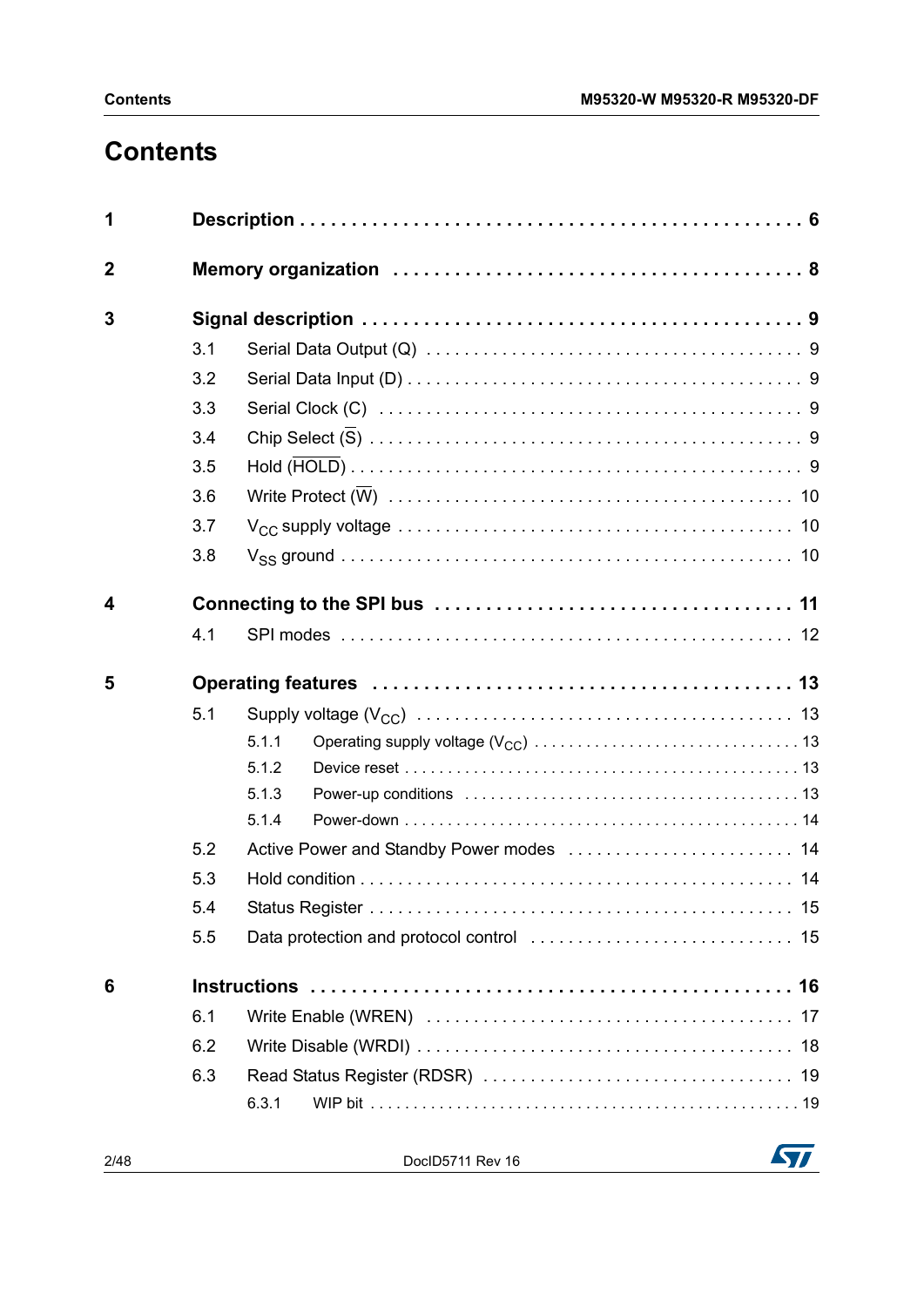# **Contents**

| 1            |     |       |
|--------------|-----|-------|
| $\mathbf{2}$ |     |       |
| 3            |     |       |
|              | 3.1 |       |
|              | 3.2 |       |
|              | 3.3 |       |
|              | 3.4 |       |
|              | 3.5 |       |
|              | 3.6 |       |
|              | 3.7 |       |
|              | 3.8 |       |
| 4            |     |       |
|              | 4.1 |       |
| 5            |     |       |
|              | 5.1 |       |
|              |     | 5.1.1 |
|              |     | 5.1.2 |
|              |     | 5.1.3 |
|              |     | 5.1.4 |
|              | 5.2 |       |
|              | 5.3 |       |
|              | 5.4 |       |
|              | 5.5 |       |
| 6            |     |       |
|              | 6.1 |       |
|              | 6.2 |       |
|              | 6.3 |       |
|              |     | 6.3.1 |

2/48 DocID5711 Rev 16

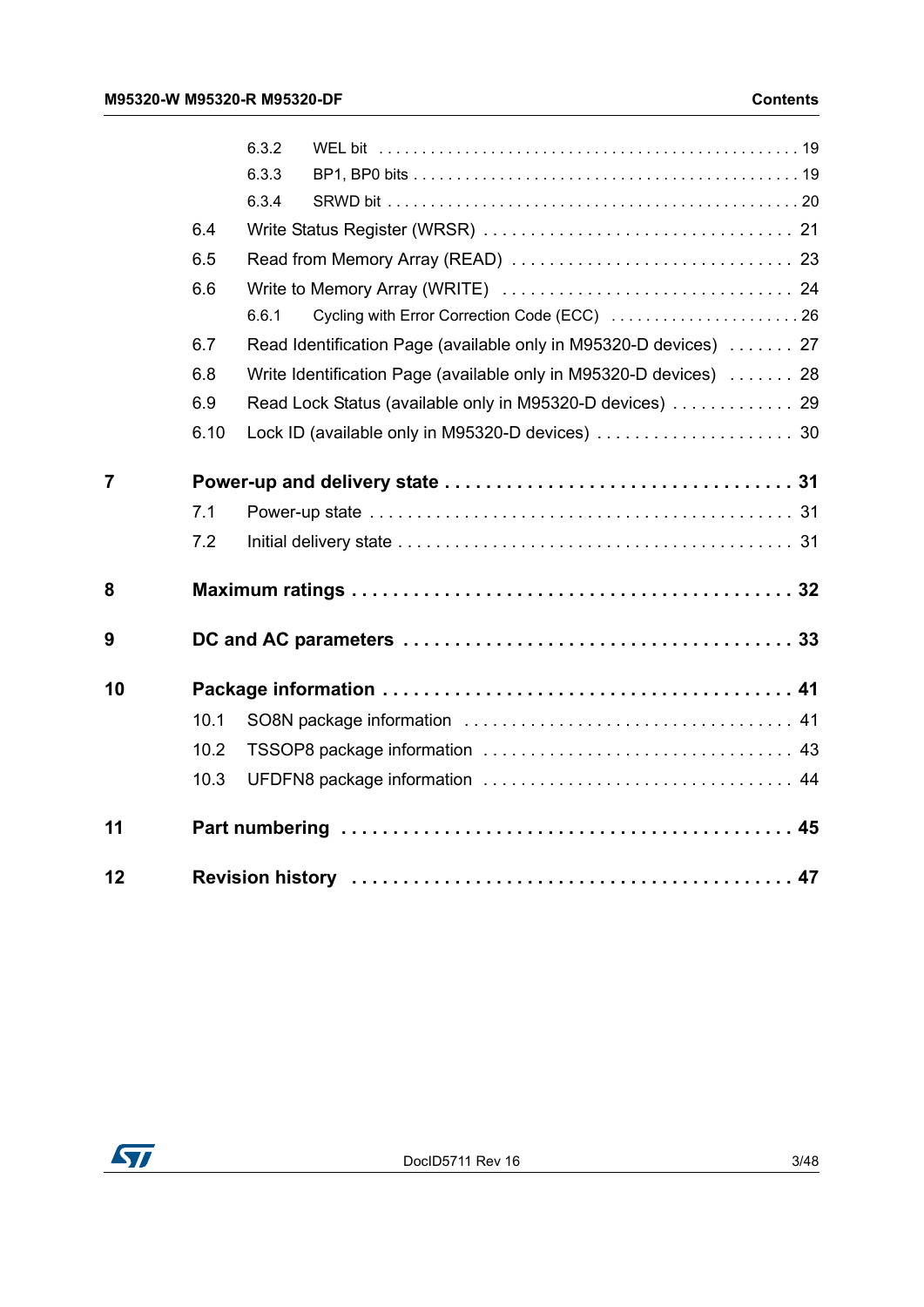|                |      | 6.3.2 |                                                                    |  |
|----------------|------|-------|--------------------------------------------------------------------|--|
|                |      | 6.3.3 |                                                                    |  |
|                |      | 6.3.4 |                                                                    |  |
|                | 6.4  |       |                                                                    |  |
|                | 6.5  |       |                                                                    |  |
|                | 6.6  |       |                                                                    |  |
|                |      | 6.6.1 |                                                                    |  |
|                | 6.7  |       | Read Identification Page (available only in M95320-D devices)  27  |  |
|                | 6.8  |       | Write Identification Page (available only in M95320-D devices)  28 |  |
|                | 6.9  |       | Read Lock Status (available only in M95320-D devices)  29          |  |
|                | 6.10 |       |                                                                    |  |
| $\overline{7}$ |      |       |                                                                    |  |
|                | 7.1  |       |                                                                    |  |
|                | 7.2  |       |                                                                    |  |
| 8              |      |       |                                                                    |  |
| 9              |      |       |                                                                    |  |
| 10             |      |       |                                                                    |  |
|                | 10.1 |       |                                                                    |  |
|                | 10.2 |       |                                                                    |  |
|                | 10.3 |       |                                                                    |  |
| 11             |      |       |                                                                    |  |
| 12             |      |       |                                                                    |  |

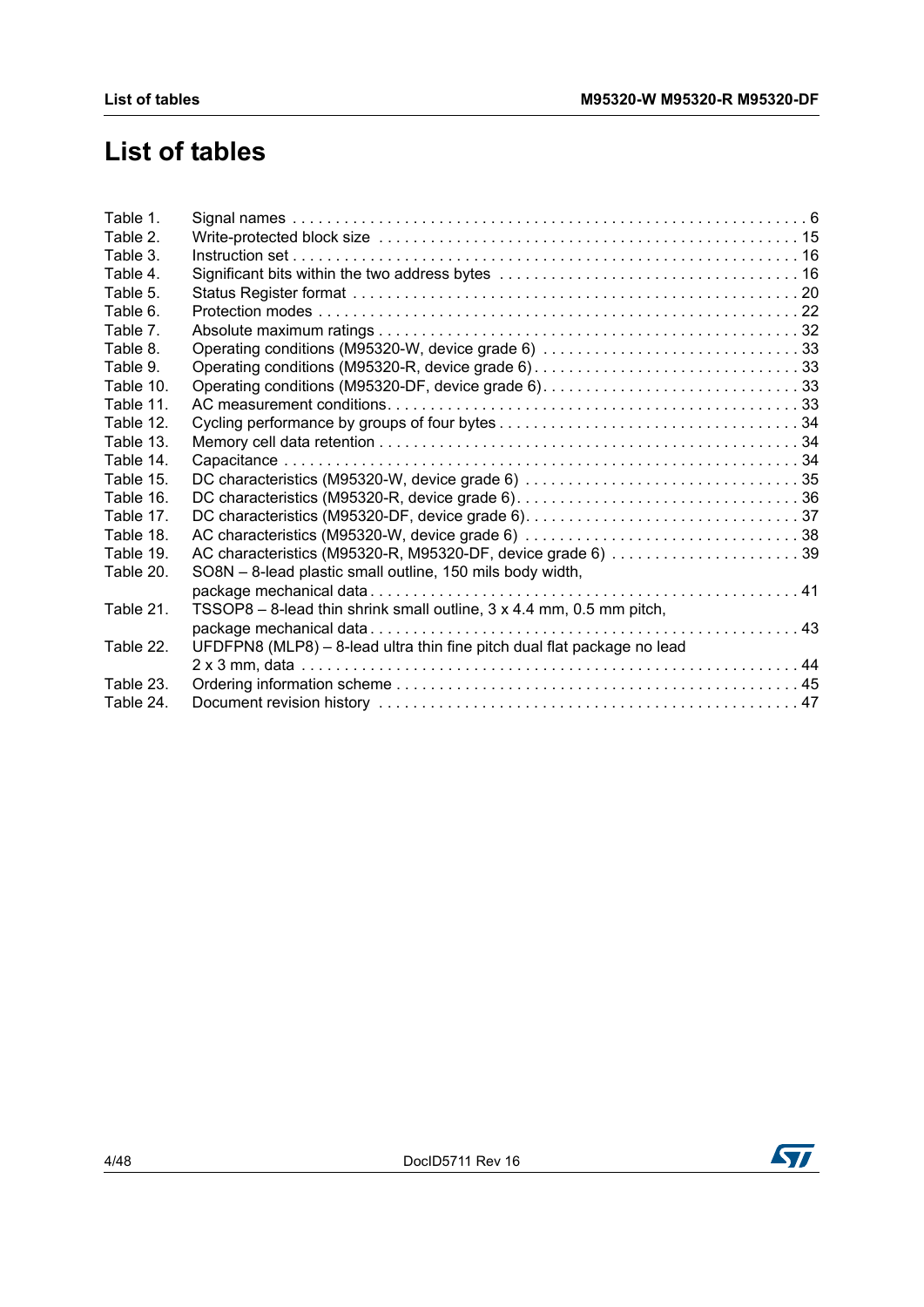# **List of tables**

| Table 1.  |                                                                         |
|-----------|-------------------------------------------------------------------------|
| Table 2.  |                                                                         |
| Table 3.  |                                                                         |
| Table 4.  |                                                                         |
| Table 5.  |                                                                         |
| Table 6.  |                                                                         |
| Table 7.  |                                                                         |
| Table 8.  | Operating conditions (M95320-W, device grade 6) 33                      |
| Table 9.  |                                                                         |
| Table 10. |                                                                         |
| Table 11. |                                                                         |
| Table 12. |                                                                         |
| Table 13. |                                                                         |
| Table 14. |                                                                         |
| Table 15. |                                                                         |
| Table 16. |                                                                         |
| Table 17. |                                                                         |
| Table 18. |                                                                         |
| Table 19. | AC characteristics (M95320-R, M95320-DF, device grade 6) 39             |
| Table 20. | SO8N - 8-lead plastic small outline, 150 mils body width,               |
|           |                                                                         |
| Table 21. | TSSOP8 - 8-lead thin shrink small outline, 3 x 4.4 mm, 0.5 mm pitch,    |
|           |                                                                         |
| Table 22. | UFDFPN8 (MLP8) - 8-lead ultra thin fine pitch dual flat package no lead |
|           |                                                                         |
| Table 23. |                                                                         |
| Table 24. |                                                                         |
|           |                                                                         |

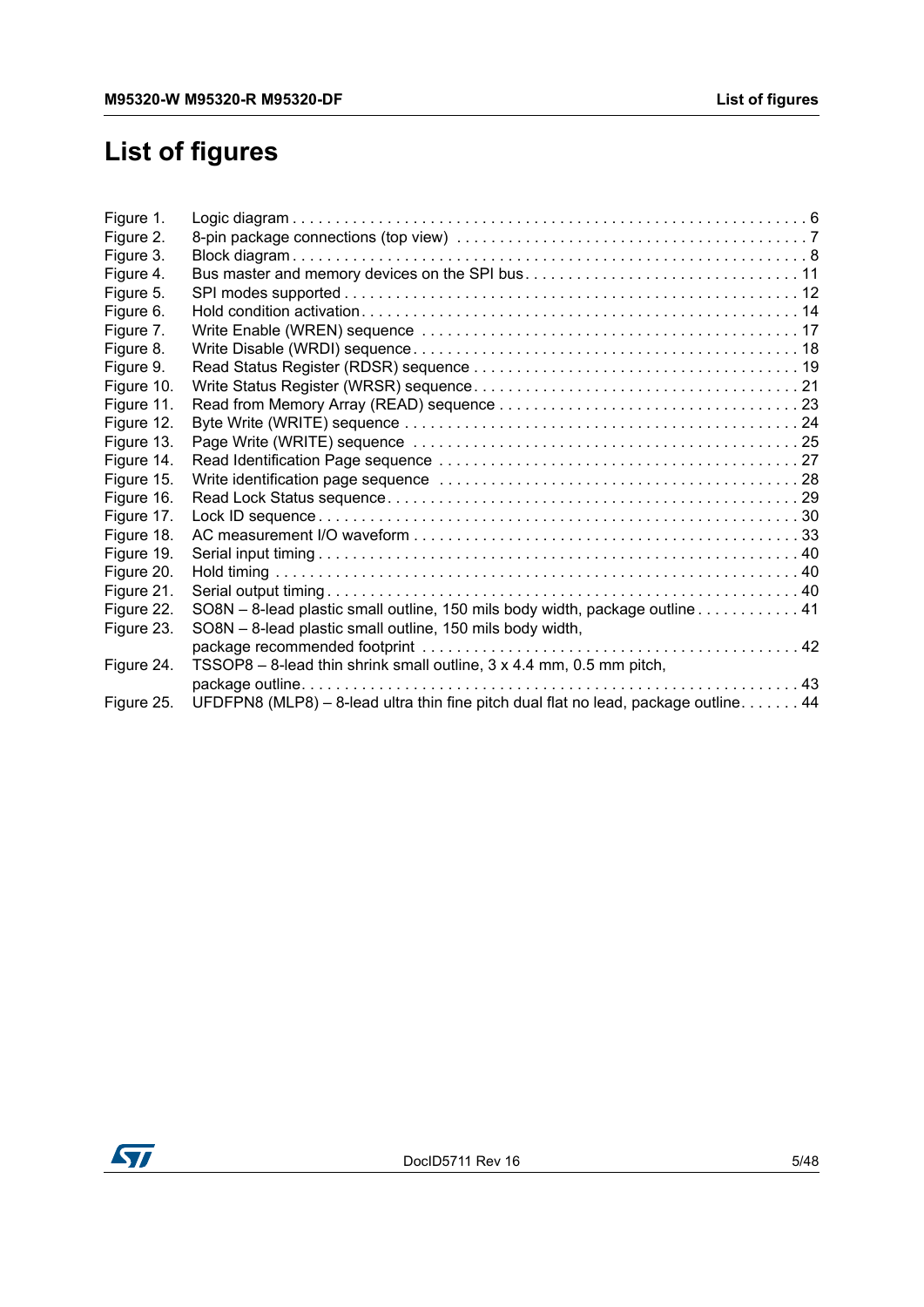# **List of figures**

| Figure 1.  |                                                                                     |
|------------|-------------------------------------------------------------------------------------|
| Figure 2.  |                                                                                     |
| Figure 3.  |                                                                                     |
| Figure 4.  |                                                                                     |
| Figure 5.  |                                                                                     |
| Figure 6.  |                                                                                     |
| Figure 7.  |                                                                                     |
| Figure 8.  |                                                                                     |
| Figure 9.  |                                                                                     |
| Figure 10. |                                                                                     |
| Figure 11. |                                                                                     |
| Figure 12. |                                                                                     |
| Figure 13. |                                                                                     |
| Figure 14. |                                                                                     |
| Figure 15. |                                                                                     |
| Figure 16. |                                                                                     |
| Figure 17. |                                                                                     |
| Figure 18. |                                                                                     |
| Figure 19. |                                                                                     |
| Figure 20. |                                                                                     |
| Figure 21. |                                                                                     |
| Figure 22. | SO8N - 8-lead plastic small outline, 150 mils body width, package outline 41        |
| Figure 23. | SO8N - 8-lead plastic small outline, 150 mils body width,                           |
|            |                                                                                     |
| Figure 24. | TSSOP8 – 8-lead thin shrink small outline, 3 x 4.4 mm, 0.5 mm pitch,                |
|            |                                                                                     |
| Figure 25. | UFDFPN8 (MLP8) - 8-lead ultra thin fine pitch dual flat no lead, package outline 44 |
|            |                                                                                     |

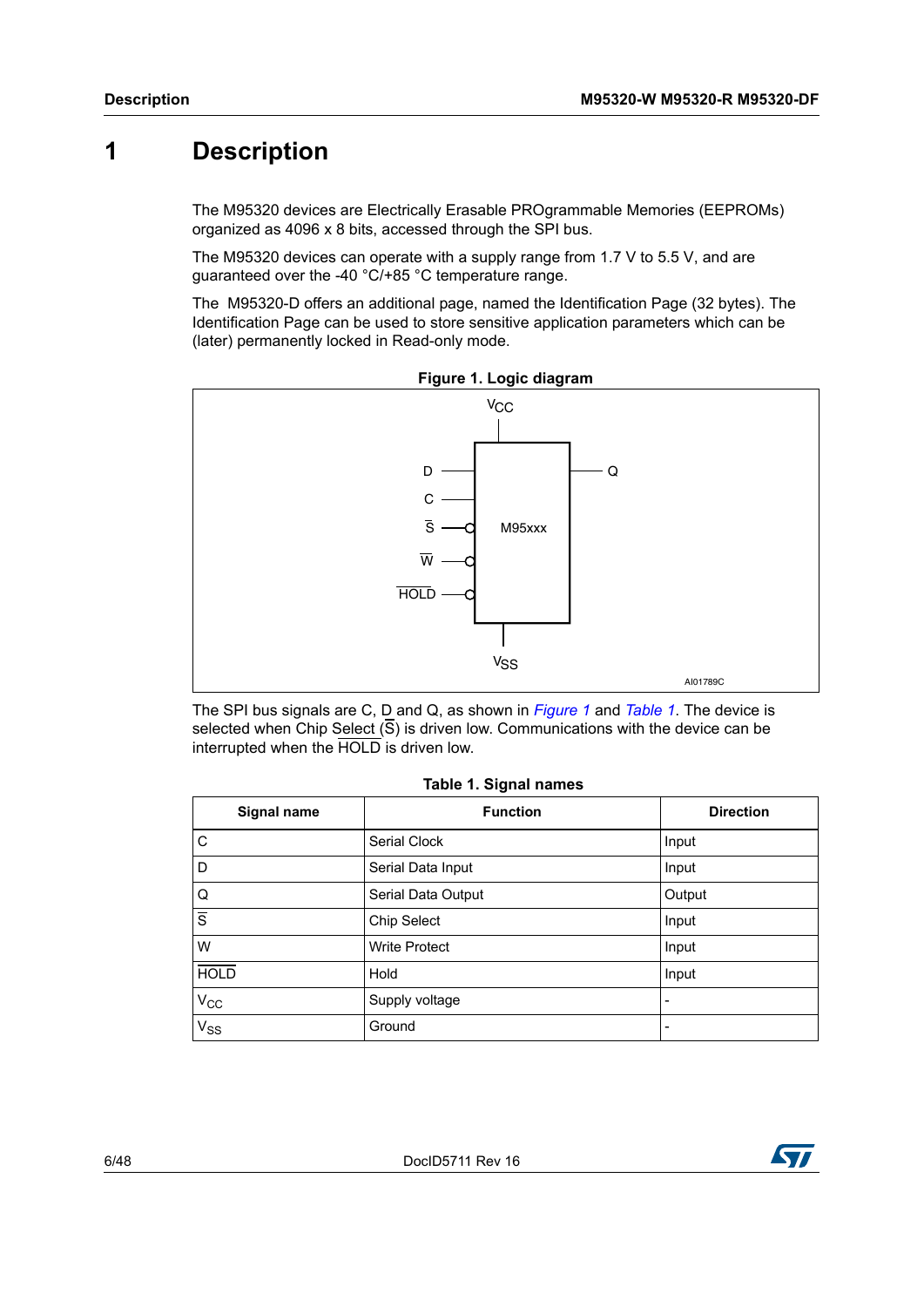# <span id="page-5-0"></span>**1 Description**

The M95320 devices are Electrically Erasable PROgrammable Memories (EEPROMs) organized as 4096 x 8 bits, accessed through the SPI bus.

The M95320 devices can operate with a supply range from 1.7 V to 5.5 V, and are guaranteed over the -40 °C/+85 °C temperature range.

The M95320-D offers an additional page, named the Identification Page (32 bytes). The Identification Page can be used to store sensitive application parameters which can be (later) permanently locked in Read-only mode.

<span id="page-5-2"></span>



The SPI bus signals are C, D and Q, as shown in *[Figure](#page-5-2) 1* and *[Table](#page-5-1) 1*. The device is selected when Chip Select  $(\overline{S})$  is driven low. Communications with the device can be interrupted when the HOLD is driven low.

|  |  |  | Table 1. Signal names |
|--|--|--|-----------------------|
|--|--|--|-----------------------|

<span id="page-5-1"></span>

| Signal name    | <b>Function</b>      | <b>Direction</b> |
|----------------|----------------------|------------------|
| $\overline{C}$ | Serial Clock         | Input            |
| l D            | Serial Data Input    | Input            |
| Q              | Serial Data Output   | Output           |
| $\overline{s}$ | Chip Select          | Input            |
| <b>W</b>       | <b>Write Protect</b> | Input            |
| <b>HOLD</b>    | Hold                 | Input            |
| $V_{CC}$       | Supply voltage       |                  |
| $V_{SS}$       | Ground               |                  |

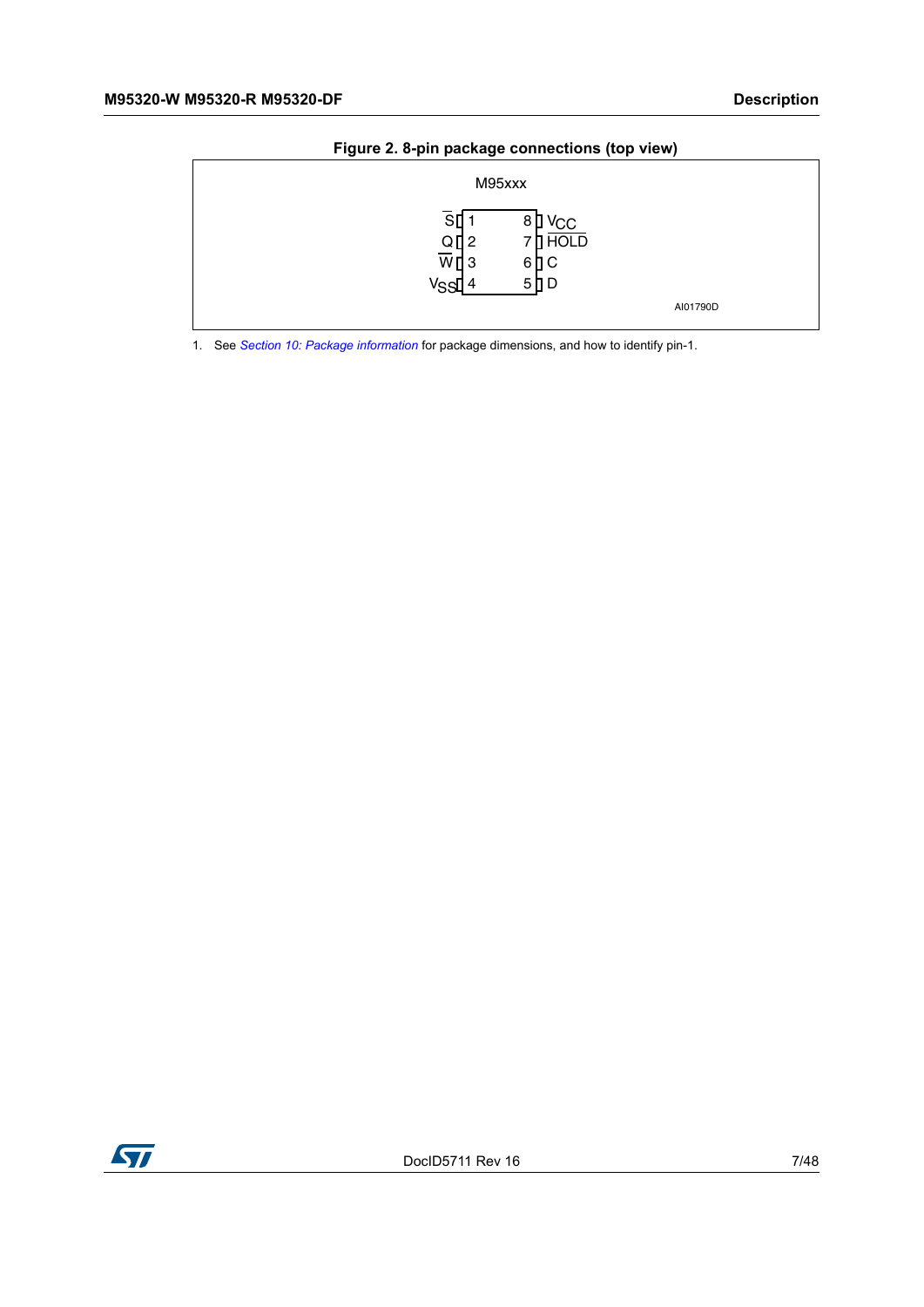<span id="page-6-0"></span>

| ັ    | ັ                                                                                                   |          |
|------|-----------------------------------------------------------------------------------------------------|----------|
|      | M95xxx                                                                                              |          |
| Vssl | V <sub>CC</sub><br>8<br>SI<br>u<br>7 D HOLD<br>$\frac{Q}{W}$ $\frac{Q}{3}$<br>6 ∐ C<br>$5$ $D$<br>4 | AI01790D |

#### **Figure 2. 8-pin package connections (top view)**

1. See *[Section 10: Package information](#page-40-4)* for package dimensions, and how to identify pin-1.

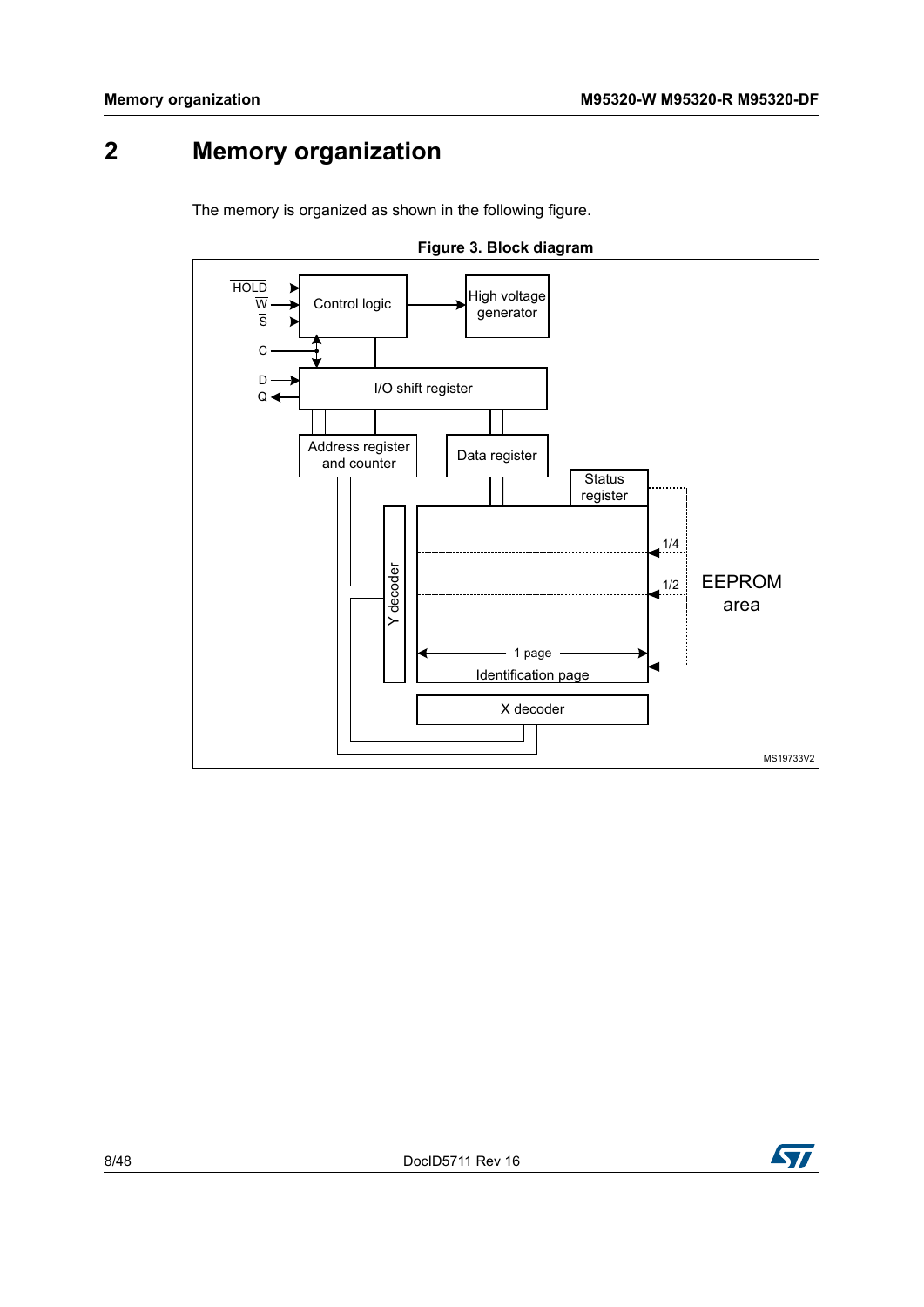# <span id="page-7-0"></span>**2 Memory organization**

The memory is organized as shown in the following figure.

<span id="page-7-1"></span>

<span id="page-7-2"></span>![](_page_7_Figure_5.jpeg)

![](_page_7_Picture_6.jpeg)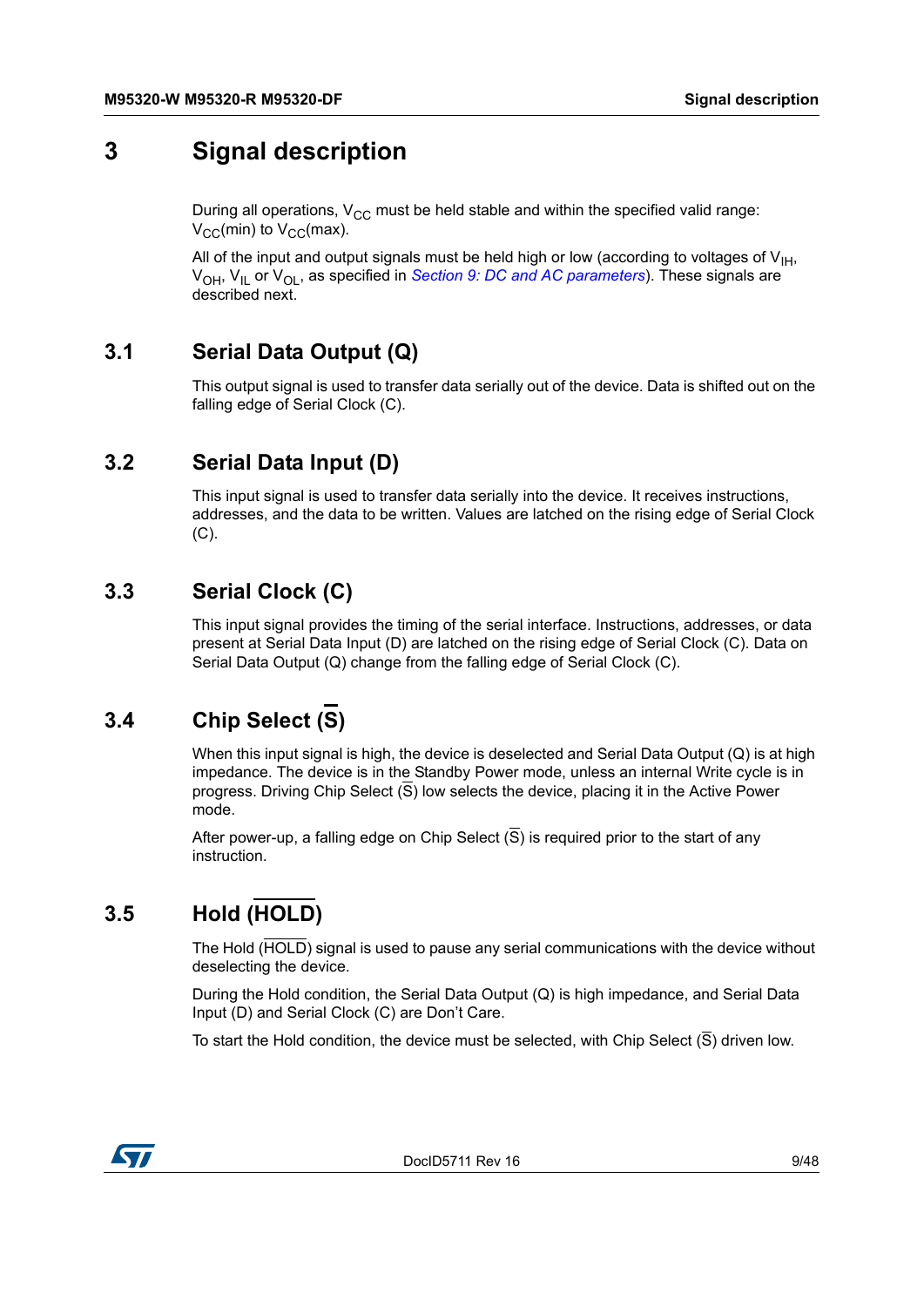# <span id="page-8-0"></span>**3 Signal description**

During all operations,  $V_{CC}$  must be held stable and within the specified valid range:  $V_{CC}(min)$  to  $V_{CC}(max)$ .

All of the input and output signals must be held high or low (according to voltages of  $V_{H}$ , V<sub>OH</sub>, V<sub>IL</sub> or V<sub>OL</sub>, as specified in *Section [9: DC and AC parameters](#page-32-0)*). These signals are described next.

# <span id="page-8-1"></span>**3.1 Serial Data Output (Q)**

This output signal is used to transfer data serially out of the device. Data is shifted out on the falling edge of Serial Clock (C).

# <span id="page-8-2"></span>**3.2 Serial Data Input (D)**

This input signal is used to transfer data serially into the device. It receives instructions, addresses, and the data to be written. Values are latched on the rising edge of Serial Clock (C).

# <span id="page-8-3"></span>**3.3 Serial Clock (C)**

This input signal provides the timing of the serial interface. Instructions, addresses, or data present at Serial Data Input (D) are latched on the rising edge of Serial Clock (C). Data on Serial Data Output (Q) change from the falling edge of Serial Clock (C).

# <span id="page-8-4"></span>**3.4 Chip Select (S)**

When this input signal is high, the device is deselected and Serial Data Output  $(Q)$  is at high impedance. The device is in the Standby Power mode, unless an internal Write cycle is in progress. Driving Chip Select (S) low selects the device, placing it in the Active Power mode.

After power-up, a falling edge on Chip Select  $(S)$  is required prior to the start of any instruction.

# <span id="page-8-5"></span>**3.5 Hold (HOLD)**

The Hold (HOLD) signal is used to pause any serial communications with the device without deselecting the device.

During the Hold condition, the Serial Data Output (Q) is high impedance, and Serial Data Input (D) and Serial Clock (C) are Don't Care.

To start the Hold condition, the device must be selected, with Chip Select  $(\overline{S})$  driven low.

![](_page_8_Picture_18.jpeg)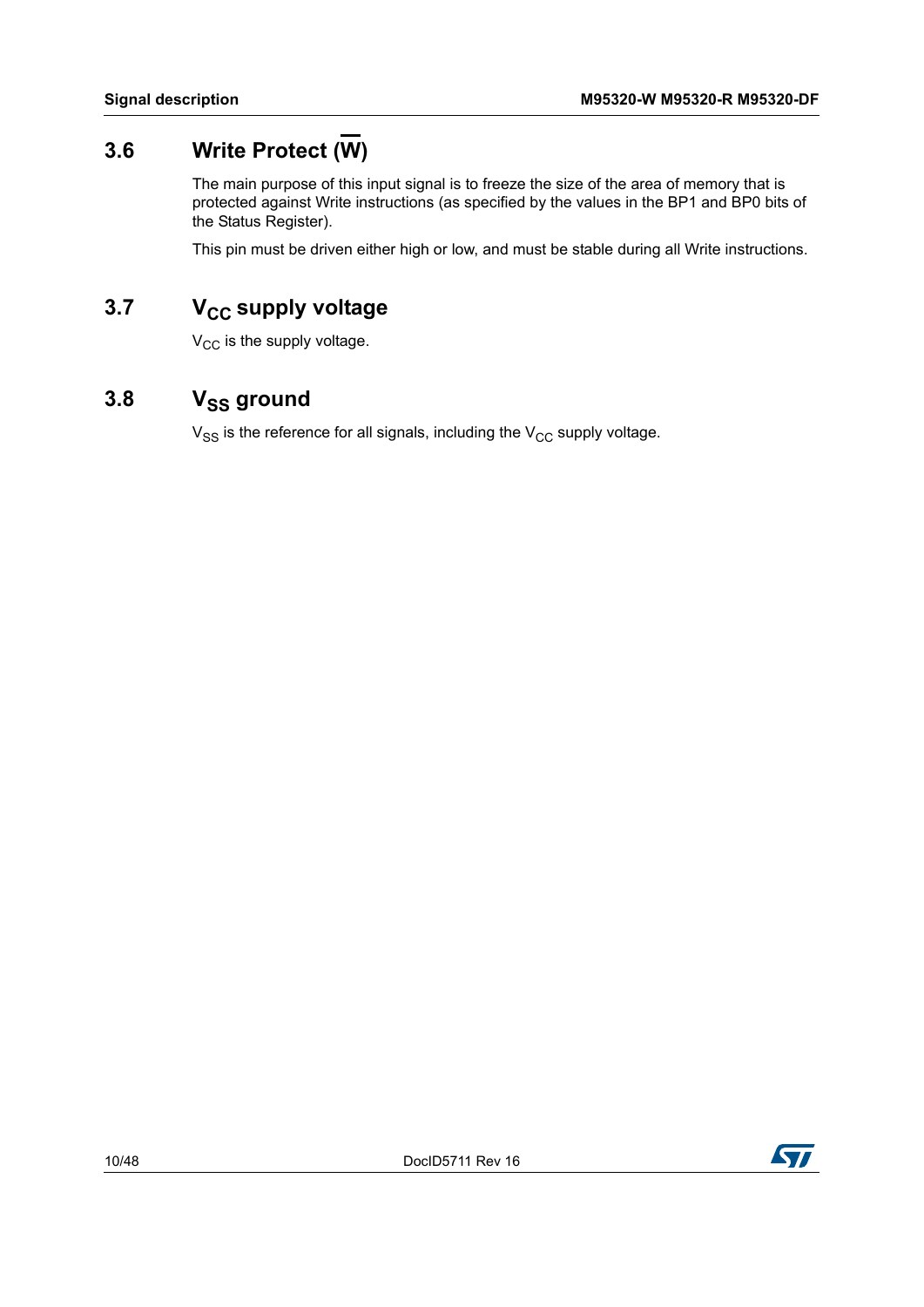# <span id="page-9-0"></span>**3.6 Write Protect (W)**

The main purpose of this input signal is to freeze the size of the area of memory that is protected against Write instructions (as specified by the values in the BP1 and BP0 bits of the Status Register).

This pin must be driven either high or low, and must be stable during all Write instructions.

# <span id="page-9-1"></span>**3.7** V<sub>CC</sub> supply voltage

 $V_{CC}$  is the supply voltage.

# <span id="page-9-2"></span>3.8 V<sub>SS</sub> ground

 $V_{SS}$  is the reference for all signals, including the  $V_{CC}$  supply voltage.

![](_page_9_Picture_9.jpeg)

![](_page_9_Picture_11.jpeg)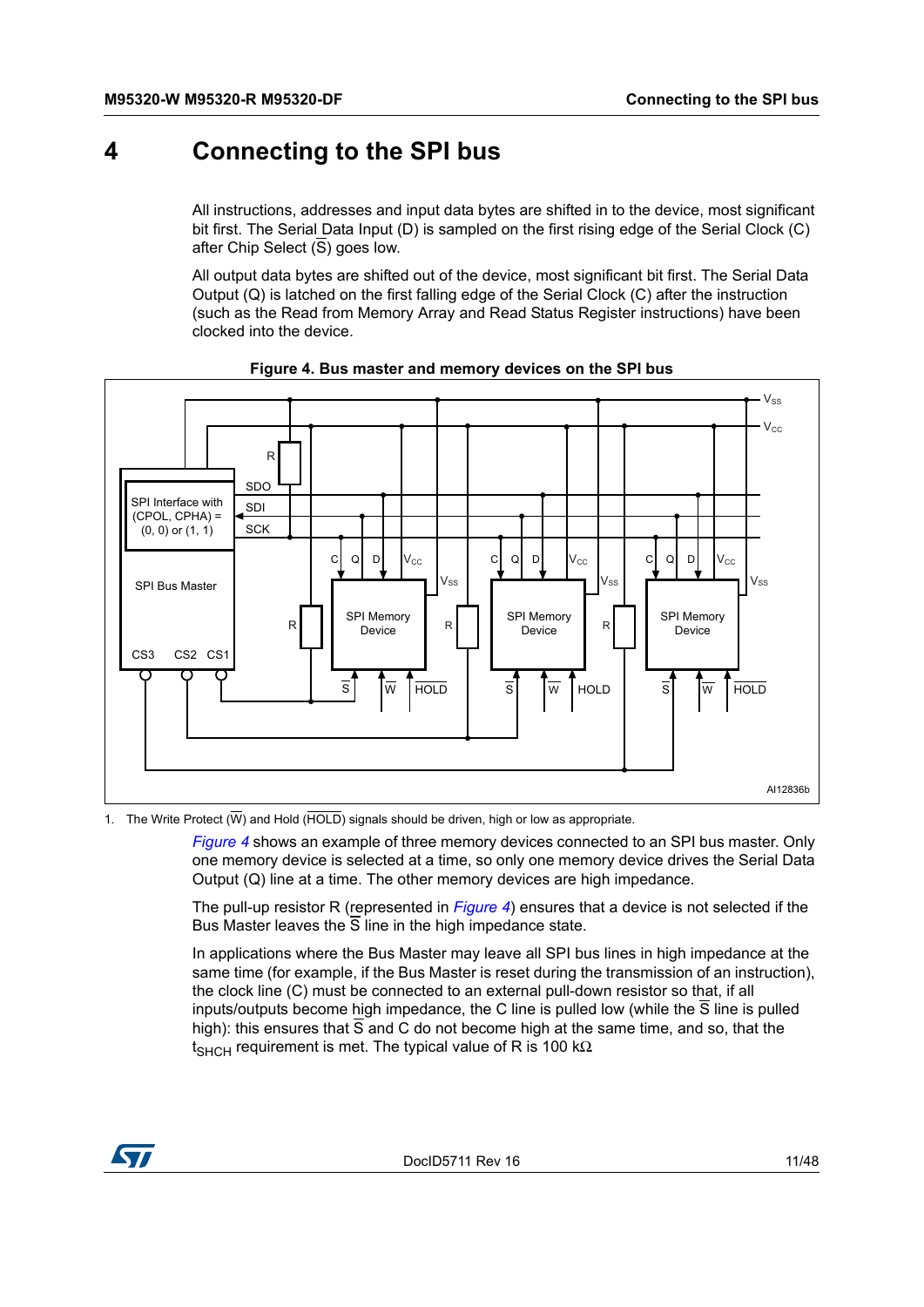# <span id="page-10-0"></span>**4 Connecting to the SPI bus**

All instructions, addresses and input data bytes are shifted in to the device, most significant bit first. The Serial Data Input (D) is sampled on the first rising edge of the Serial Clock (C) after Chip Select (S) goes low.

All output data bytes are shifted out of the device, most significant bit first. The Serial Data Output (Q) is latched on the first falling edge of the Serial Clock (C) after the instruction (such as the Read from Memory Array and Read Status Register instructions) have been clocked into the device.

<span id="page-10-1"></span>![](_page_10_Figure_5.jpeg)

#### **Figure 4. Bus master and memory devices on the SPI bus**

1. The Write Protect  $(\overline{W})$  and Hold ( $\overline{HOLD}$ ) signals should be driven, high or low as appropriate.

*[Figure](#page-10-1) 4* shows an example of three memory devices connected to an SPI bus master. Only one memory device is selected at a time, so only one memory device drives the Serial Data Output (Q) line at a time. The other memory devices are high impedance.

The pull-up resistor R (represented in *[Figure](#page-10-1) 4*) ensures that a device is not selected if the Bus Master leaves the  $\overline{S}$  line in the high impedance state.

In applications where the Bus Master may leave all SPI bus lines in high impedance at the same time (for example, if the Bus Master is reset during the transmission of an instruction), the clock line (C) must be connected to an external pull-down resistor so that, if all inputs/outputs become high impedance, the C line is pulled low (while the  $\overline{S}$  line is pulled high): this ensures that S and C do not become high at the same time, and so, that the  $t_{\text{SHCH}}$  requirement is met. The typical value of R is 100 kΩ.

![](_page_10_Picture_11.jpeg)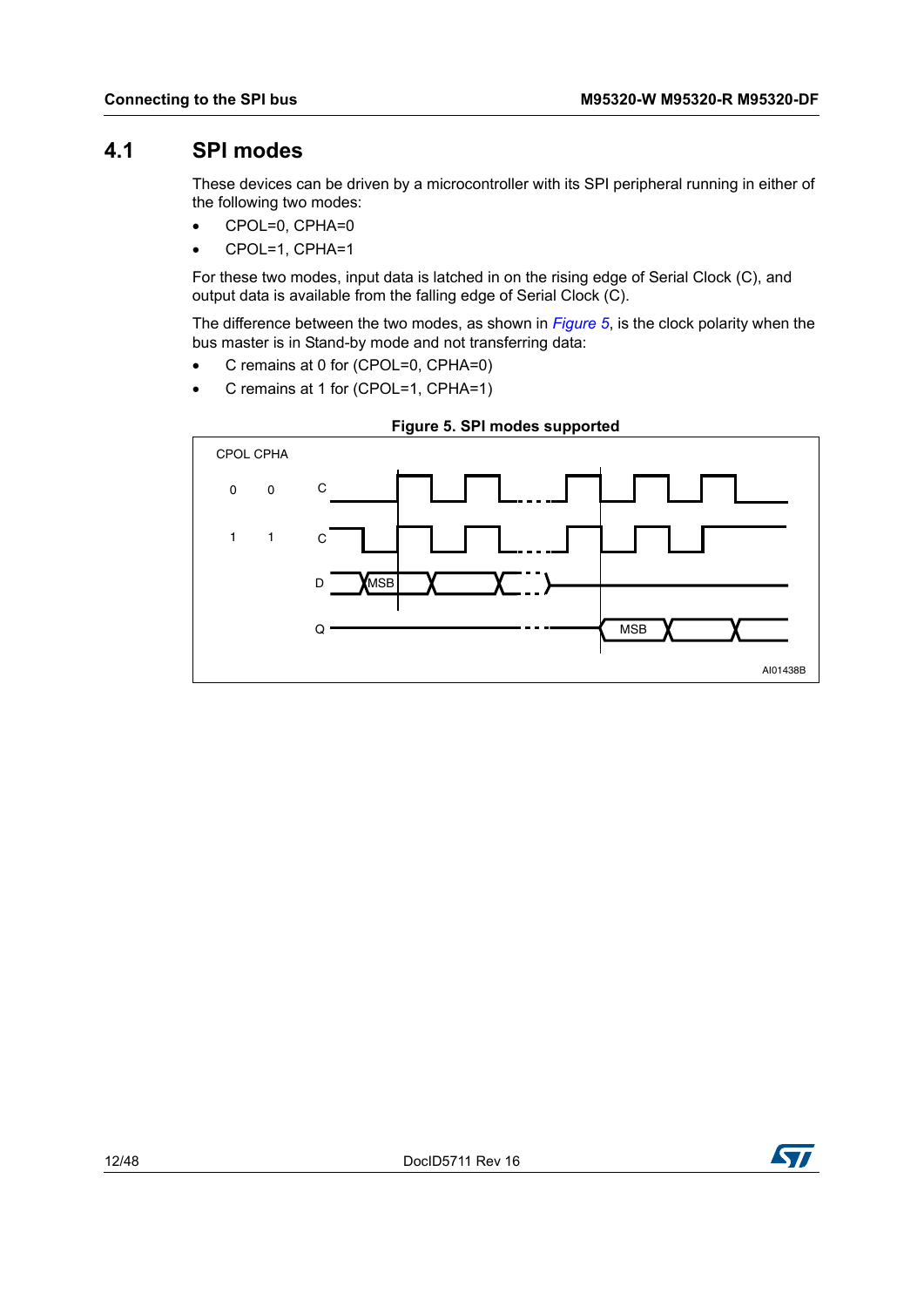### <span id="page-11-0"></span>**4.1 SPI modes**

These devices can be driven by a microcontroller with its SPI peripheral running in either of the following two modes:

- CPOL=0, CPHA=0
- CPOL=1, CPHA=1

For these two modes, input data is latched in on the rising edge of Serial Clock (C), and output data is available from the falling edge of Serial Clock (C).

The difference between the two modes, as shown in *[Figure](#page-11-1) 5*, is the clock polarity when the bus master is in Stand-by mode and not transferring data:

- C remains at 0 for (CPOL=0, CPHA=0)
- C remains at 1 for (CPOL=1, CPHA=1)

<span id="page-11-1"></span>![](_page_11_Figure_10.jpeg)

![](_page_11_Figure_11.jpeg)

![](_page_11_Picture_12.jpeg)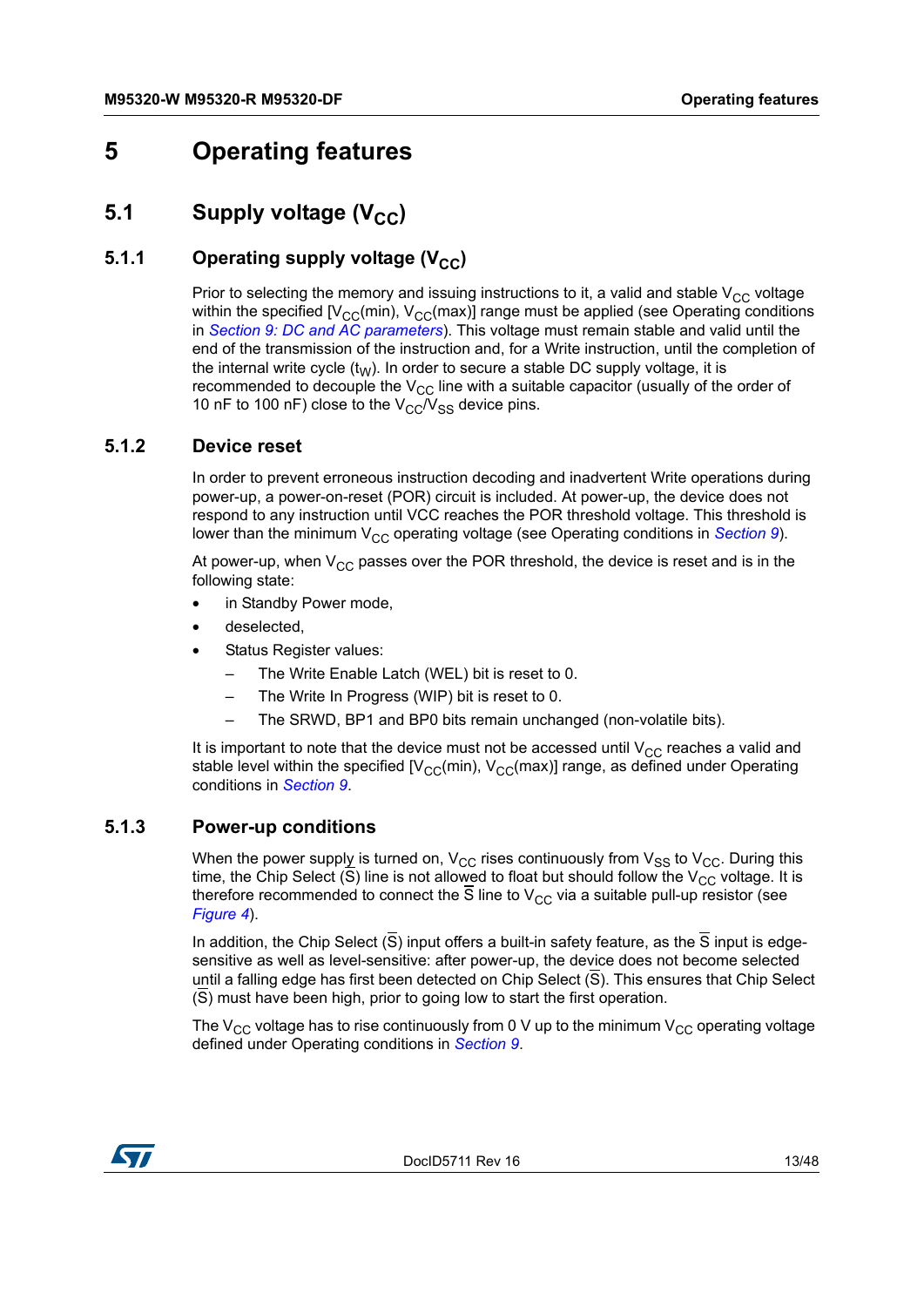# <span id="page-12-0"></span>**5 Operating features**

# <span id="page-12-1"></span>**5.1** Supply voltage (V<sub>CC</sub>)

### <span id="page-12-2"></span>**5.1.1** Operating supply voltage (V<sub>CC</sub>)

Prior to selecting the memory and issuing instructions to it, a valid and stable  $V_{CC}$  voltage within the specified  $[V_{CC}(min), V_{CC}(max)]$  range must be applied (see Operating conditions in *Section [9: DC and AC parameters](#page-32-0)*). This voltage must remain stable and valid until the end of the transmission of the instruction and, for a Write instruction, until the completion of the internal write cycle  $(t_W)$ . In order to secure a stable DC supply voltage, it is recommended to decouple the  $V_{CC}$  line with a suitable capacitor (usually of the order of 10 nF to 100 nF) close to the  $V_{CC}/V_{SS}$  device pins.

#### <span id="page-12-3"></span>**5.1.2 Device reset**

In order to prevent erroneous instruction decoding and inadvertent Write operations during power-up, a power-on-reset (POR) circuit is included. At power-up, the device does not respond to any instruction until VCC reaches the POR threshold voltage. This threshold is lower than the minimum V<sub>CC</sub> operating voltage (see Operating conditions in *[Section](#page-32-0) 9*).

At power-up, when  $V_{CC}$  passes over the POR threshold, the device is reset and is in the following state:

- in Standby Power mode,
- deselected.
- Status Register values:
	- The Write Enable Latch (WEL) bit is reset to 0.
	- The Write In Progress (WIP) bit is reset to 0.
	- The SRWD, BP1 and BP0 bits remain unchanged (non-volatile bits).

It is important to note that the device must not be accessed until  $V_{CC}$  reaches a valid and stable level within the specified  $[V_{CC}(min), V_{CC}(max)]$  range, as defined under Operating conditions in *[Section](#page-32-0) 9*.

#### <span id="page-12-4"></span>**5.1.3 Power-up conditions**

When the power supply is turned on,  $V_{CC}$  rises continuously from  $V_{SS}$  to  $V_{CC}$ . During this time, the Chip Select  $(\overline{S})$  line is not allowed to float but should follow the V<sub>CC</sub> voltage. It is therefore recommended to connect the S line to  $V_{CC}$  via a suitable pull-up resistor (see *[Figure](#page-10-1) 4*).

In addition, the Chip Select  $(\overline{S})$  input offers a built-in safety feature, as the  $\overline{S}$  input is edgesensitive as well as level-sensitive: after power-up, the device does not become selected until a falling edge has first been detected on Chip Select (S). This ensures that Chip Select (S) must have been high, prior to going low to start the first operation.

The  $V_{CC}$  voltage has to rise continuously from 0 V up to the minimum  $V_{CC}$  operating voltage defined under Operating conditions in *[Section](#page-32-0) 9*.

![](_page_12_Picture_20.jpeg)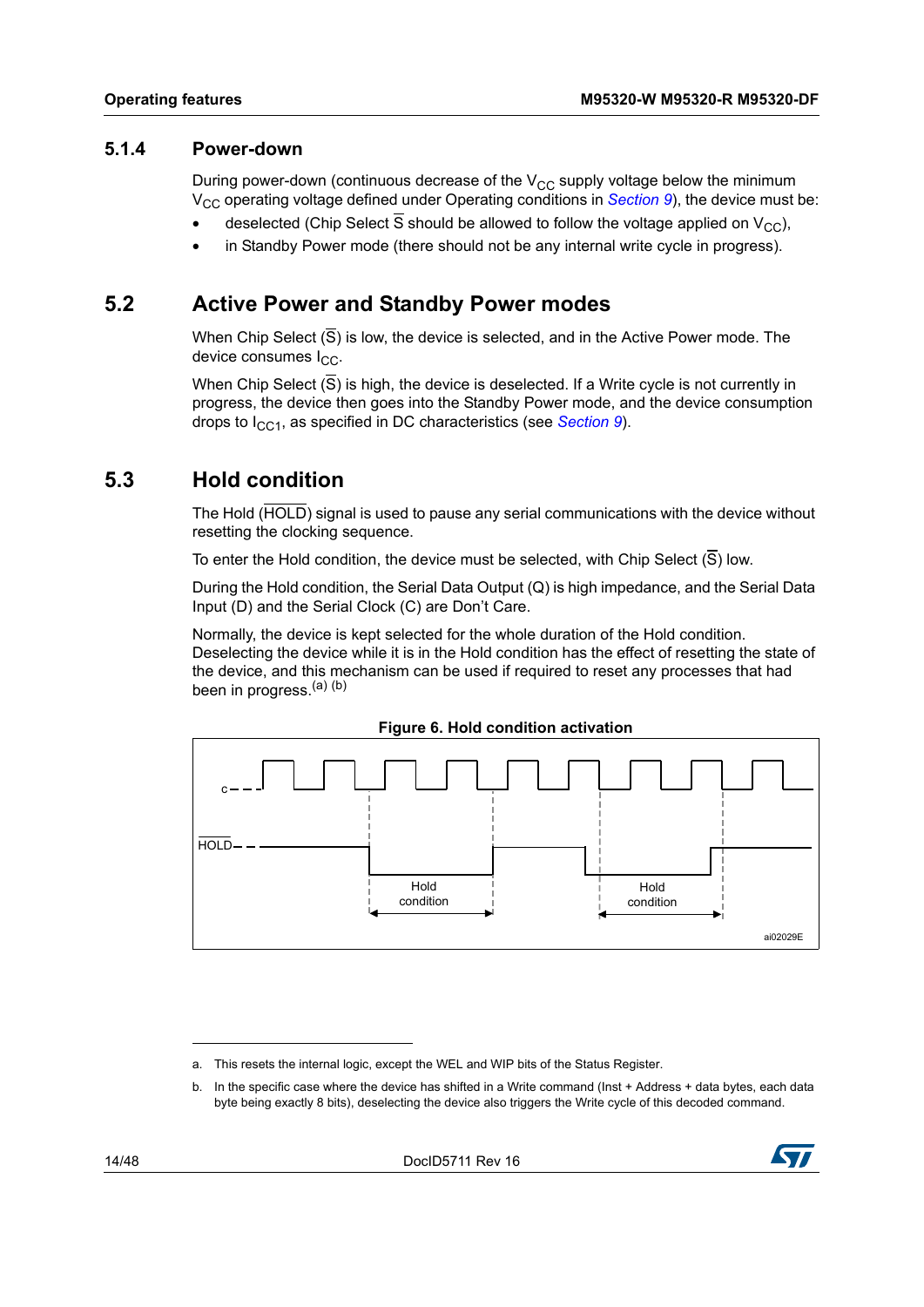#### <span id="page-13-0"></span>**5.1.4 Power-down**

During power-down (continuous decrease of the  $V_{CC}$  supply voltage below the minimum V<sub>CC</sub> operating voltage defined under Operating conditions in *[Section](#page-32-0) 9*), the device must be:

- deselected (Chip Select  $\overline{S}$  should be allowed to follow the voltage applied on  $V_{CC}$ ),
- in Standby Power mode (there should not be any internal write cycle in progress).

### <span id="page-13-1"></span>**5.2 Active Power and Standby Power modes**

When Chip Select  $(\overline{S})$  is low, the device is selected, and in the Active Power mode. The device consumes  $I_{CC}$ .

When Chip Select  $(\overline{S})$  is high, the device is deselected. If a Write cycle is not currently in progress, the device then goes into the Standby Power mode, and the device consumption drops to I<sub>CC1</sub>, as specified in DC characteristics (see *[Section](#page-32-0) 9*).

### <span id="page-13-2"></span>**5.3 Hold condition**

The Hold (HOLD) signal is used to pause any serial communications with the device without resetting the clocking sequence.

To enter the Hold condition, the device must be selected, with Chip Select (S) low.

During the Hold condition, the Serial Data Output (Q) is high impedance, and the Serial Data Input (D) and the Serial Clock (C) are Don't Care.

Normally, the device is kept selected for the whole duration of the Hold condition. Deselecting the device while it is in the Hold condition has the effect of resetting the state of the device, and this mechanism can be used if required to reset any processes that had been in progress.<sup>(a)</sup> (b)

<span id="page-13-3"></span>![](_page_13_Figure_14.jpeg)

**Figure 6. Hold condition activation**

b. In the specific case where the device has shifted in a Write command (Inst + Address + data bytes, each data byte being exactly 8 bits), deselecting the device also triggers the Write cycle of this decoded command.

![](_page_13_Picture_18.jpeg)

a. This resets the internal logic, except the WEL and WIP bits of the Status Register.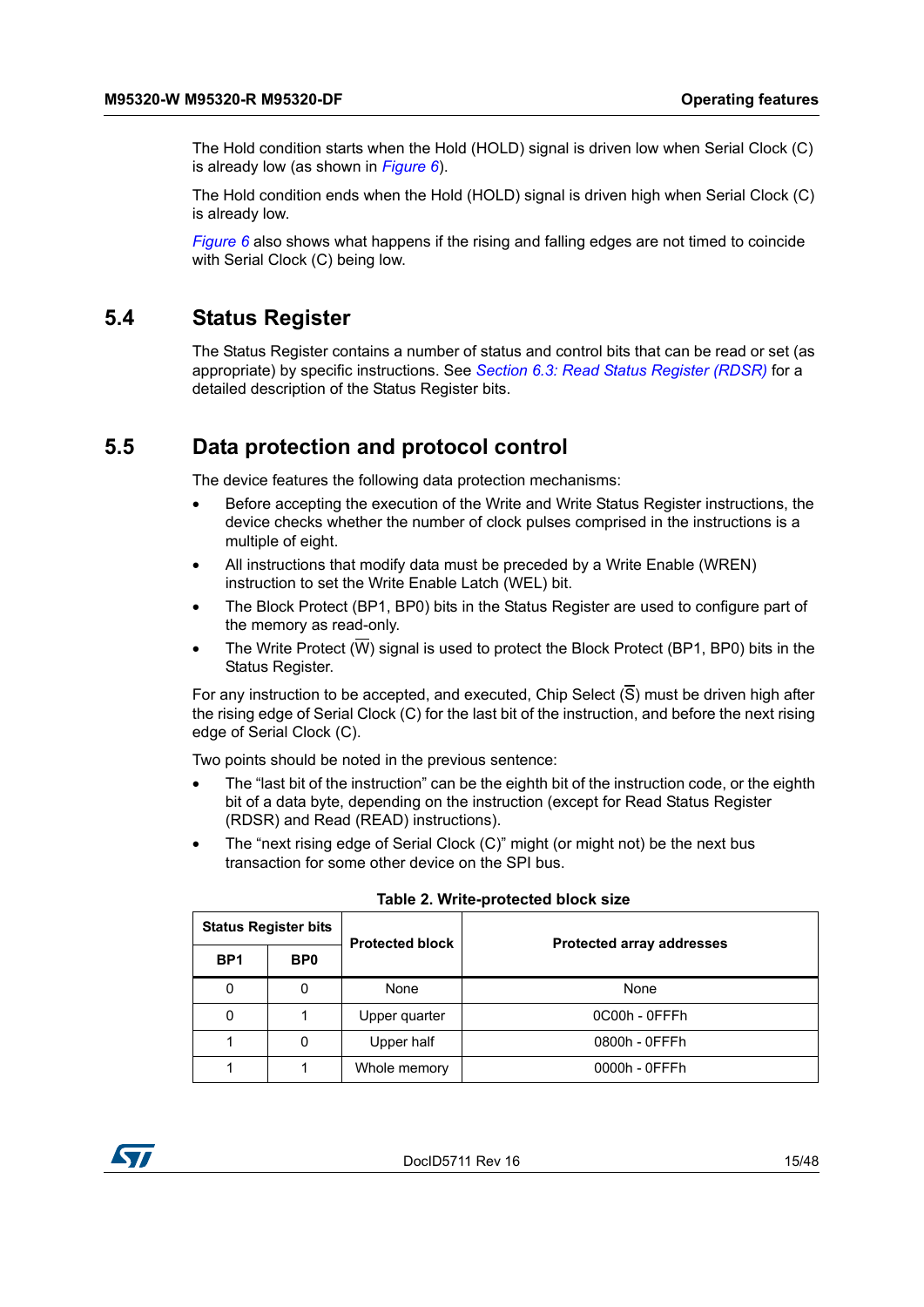The Hold condition starts when the Hold (HOLD) signal is driven low when Serial Clock (C) is already low (as shown in *[Figure](#page-13-3) 6*).

The Hold condition ends when the Hold (HOLD) signal is driven high when Serial Clock (C) is already low.

*[Figure](#page-13-3) 6* also shows what happens if the rising and falling edges are not timed to coincide with Serial Clock (C) being low.

### <span id="page-14-0"></span>**5.4 Status Register**

The Status Register contains a number of status and control bits that can be read or set (as appropriate) by specific instructions. See *Section [6.3: Read Status Register \(RDSR\)](#page-18-0)* for a detailed description of the Status Register bits.

### <span id="page-14-1"></span>**5.5 Data protection and protocol control**

The device features the following data protection mechanisms:

- Before accepting the execution of the Write and Write Status Register instructions, the device checks whether the number of clock pulses comprised in the instructions is a multiple of eight.
- All instructions that modify data must be preceded by a Write Enable (WREN) instruction to set the Write Enable Latch (WEL) bit.
- The Block Protect (BP1, BP0) bits in the Status Register are used to configure part of the memory as read-only.
- The Write Protect (W) signal is used to protect the Block Protect (BP1, BP0) bits in the Status Register.

For any instruction to be accepted, and executed, Chip Select (S) must be driven high after the rising edge of Serial Clock (C) for the last bit of the instruction, and before the next rising edge of Serial Clock (C).

Two points should be noted in the previous sentence:

- The "last bit of the instruction" can be the eighth bit of the instruction code, or the eighth bit of a data byte, depending on the instruction (except for Read Status Register (RDSR) and Read (READ) instructions).
- The "next rising edge of Serial Clock (C)" might (or might not) be the next bus transaction for some other device on the SPI bus.

<span id="page-14-2"></span>

| <b>Status Register bits</b> |                 | <b>Protected block</b> |                                  |
|-----------------------------|-----------------|------------------------|----------------------------------|
| BP <sub>1</sub>             | BP <sub>0</sub> |                        | <b>Protected array addresses</b> |
| 0                           | 0               | None                   | None                             |
| 0                           |                 | Upper quarter          | 0C00h - OFFFh                    |
|                             | 0               | Upper half             | 0800h - 0FFFh                    |
|                             |                 | Whole memory           | 0000h - 0FFFh                    |

#### **Table 2. Write-protected block size**

![](_page_14_Picture_19.jpeg)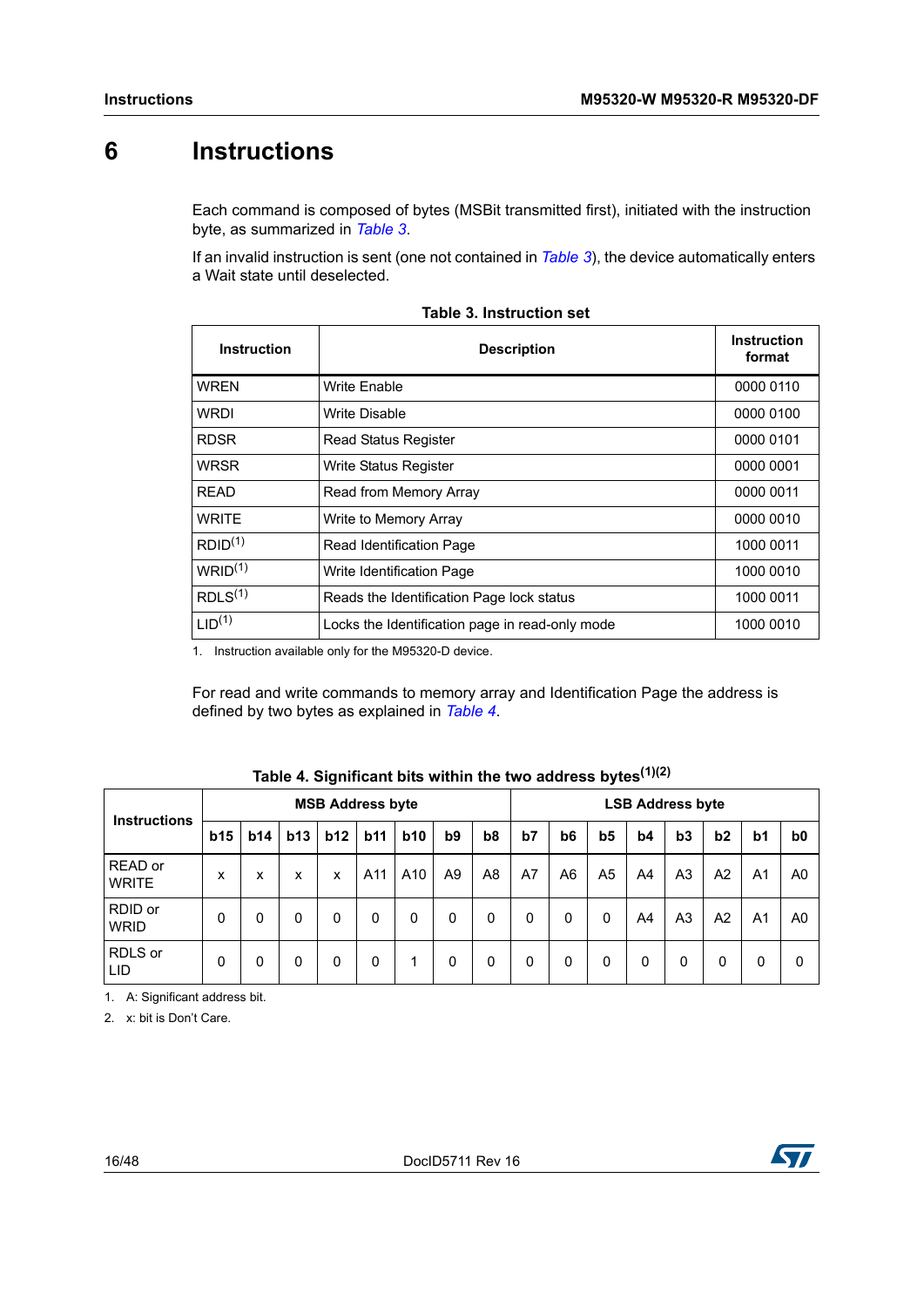# <span id="page-15-0"></span>**6 Instructions**

<span id="page-15-3"></span>Each command is composed of bytes (MSBit transmitted first), initiated with the instruction byte, as summarized in *[Table](#page-15-1) 3*.

If an invalid instruction is sent (one not contained in *[Table](#page-15-1) 3*), the device automatically enters a Wait state until deselected.

<span id="page-15-1"></span>

| <b>Instruction</b>  | <b>Description</b>                              | <b>Instruction</b><br>format |
|---------------------|-------------------------------------------------|------------------------------|
| <b>WRFN</b>         | <b>Write Enable</b>                             | 0000 0110                    |
| <b>WRDI</b>         | Write Disable                                   | 0000 0100                    |
| <b>RDSR</b>         | <b>Read Status Register</b>                     | 0000 0101                    |
| <b>WRSR</b>         | <b>Write Status Register</b>                    | 0000 0001                    |
| <b>READ</b>         | Read from Memory Array                          | 0000 0011                    |
| <b>WRITE</b>        | Write to Memory Array                           | 0000 0010                    |
| RDID <sup>(1)</sup> | Read Identification Page                        | 1000 0011                    |
| WRID <sup>(1)</sup> | Write Identification Page                       | 1000 0010                    |
| RDLS <sup>(1)</sup> | Reads the Identification Page lock status       | 1000 0011                    |
| LID <sup>(1)</sup>  | Locks the Identification page in read-only mode | 1000 0010                    |

|  |  | <b>Table 3. Instruction set</b> |  |
|--|--|---------------------------------|--|
|--|--|---------------------------------|--|

1. Instruction available only for the M95320-D device.

For read and write commands to memory array and Identification Page the address is defined by two bytes as explained in *[Table](#page-15-2) 4*.

<span id="page-15-2"></span>

| <b>Instructions</b>         | <b>MSB Address byte</b> |            |     |     |     |     |                |                | <b>LSB Address byte</b> |                |                |    |                |                |                |                |
|-----------------------------|-------------------------|------------|-----|-----|-----|-----|----------------|----------------|-------------------------|----------------|----------------|----|----------------|----------------|----------------|----------------|
|                             | <b>b15</b>              | <b>b14</b> | b13 | b12 | b11 | b10 | b <sub>9</sub> | b <sub>8</sub> | b7                      | b <sub>6</sub> | b <sub>5</sub> | b4 | b3             | b2             | b <sub>1</sub> | b <sub>0</sub> |
| READ or<br><b>WRITE</b>     | x                       | x          | x   | x   | A11 | A10 | A9             | A8             | A7                      | A <sub>6</sub> | A <sub>5</sub> | A4 | A <sub>3</sub> | A <sub>2</sub> | A <sub>1</sub> | A <sub>0</sub> |
| RDID or<br><b>WRID</b>      | 0                       | 0          | 0   | 0   | 0   | 0   | 0              | 0              | 0                       | 0              | 0              | A4 | A <sub>3</sub> | A2             | A <sub>1</sub> | A <sub>0</sub> |
| RDLS or<br>LID <sup>1</sup> | 0                       | 0          | 0   | 0   | 0   | 1   | 0              | 0              | 0                       | 0              | 0              | 0  | 0              | 0              | 0              | 0              |

| Table 4. Significant bits within the two address bytes $^{(1)(2)}$ |  |  |
|--------------------------------------------------------------------|--|--|
|                                                                    |  |  |

1. A: Significant address bit.

2. x: bit is Don't Care.

![](_page_15_Picture_14.jpeg)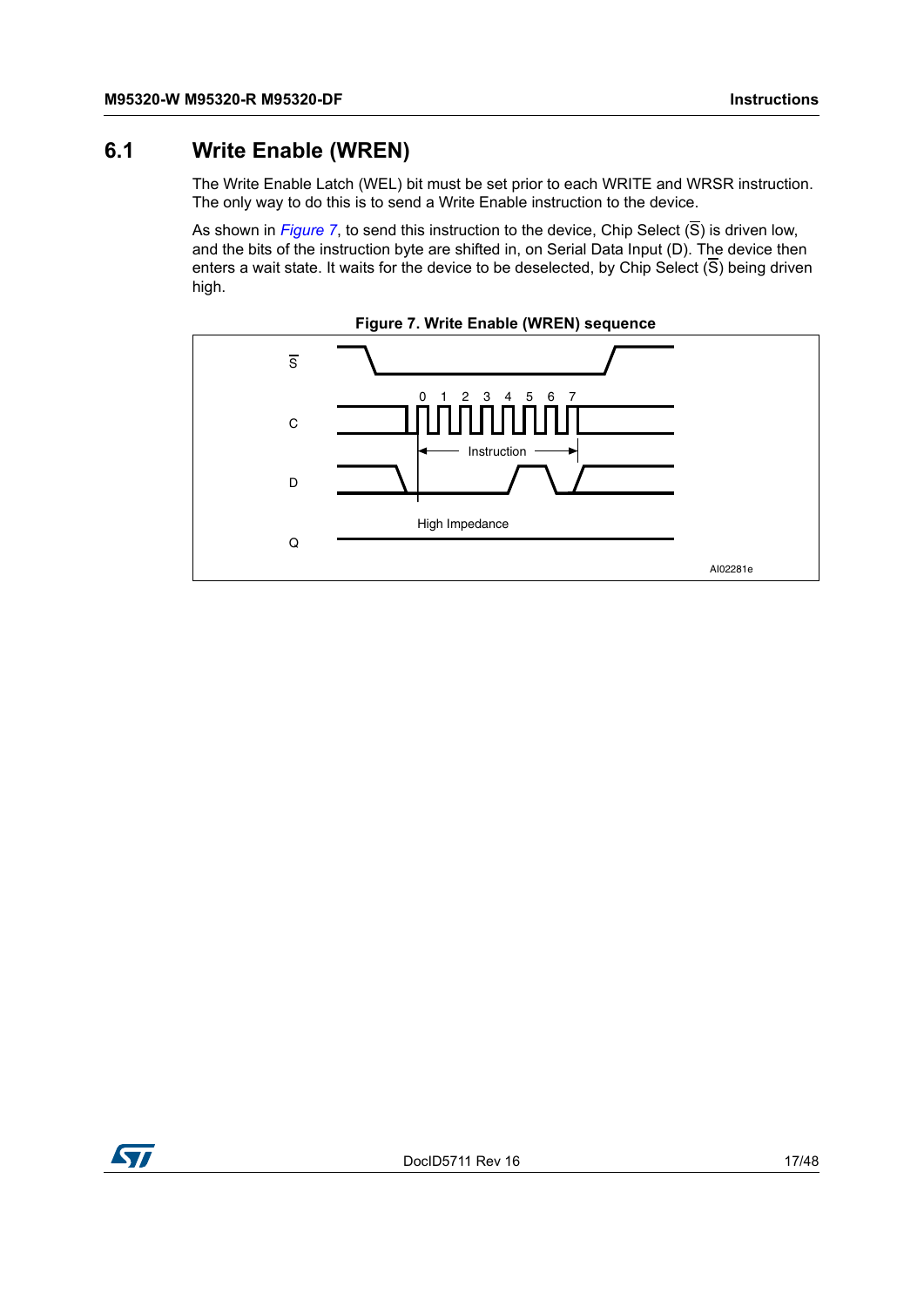# <span id="page-16-0"></span>**6.1 Write Enable (WREN)**

The Write Enable Latch (WEL) bit must be set prior to each WRITE and WRSR instruction. The only way to do this is to send a Write Enable instruction to the device.

As shown in *[Figure](#page-16-1)* 7, to send this instruction to the device, Chip Select  $(\overline{S})$  is driven low, and the bits of the instruction byte are shifted in, on Serial Data Input (D). The device then enters a wait state. It waits for the device to be deselected, by Chip Select  $(\overline{S})$  being driven high.

<span id="page-16-1"></span>![](_page_16_Figure_5.jpeg)

![](_page_16_Figure_6.jpeg)

![](_page_16_Picture_7.jpeg)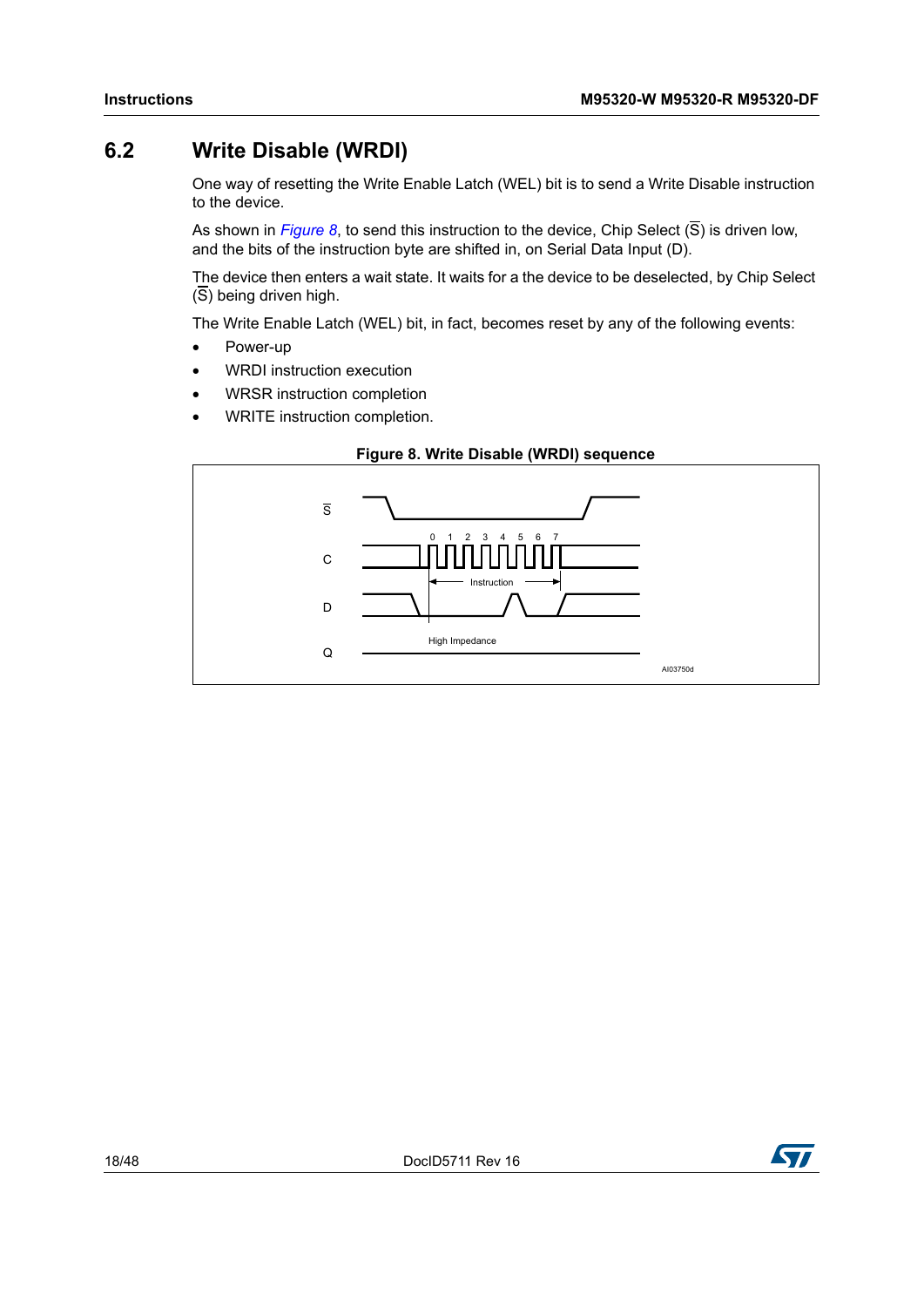# <span id="page-17-0"></span>**6.2 Write Disable (WRDI)**

One way of resetting the Write Enable Latch (WEL) bit is to send a Write Disable instruction to the device.

As shown in *[Figure](#page-17-1) 8*, to send this instruction to the device, Chip Select (S) is driven low, and the bits of the instruction byte are shifted in, on Serial Data Input (D).

The device then enters a wait state. It waits for a the device to be deselected, by Chip Select  $(\overline{S})$  being driven high.

The Write Enable Latch (WEL) bit, in fact, becomes reset by any of the following events:

- Power-up
- WRDI instruction execution
- WRSR instruction completion
- WRITE instruction completion.

<span id="page-17-1"></span>![](_page_17_Figure_11.jpeg)

#### **Figure 8. Write Disable (WRDI) sequence**

![](_page_17_Picture_13.jpeg)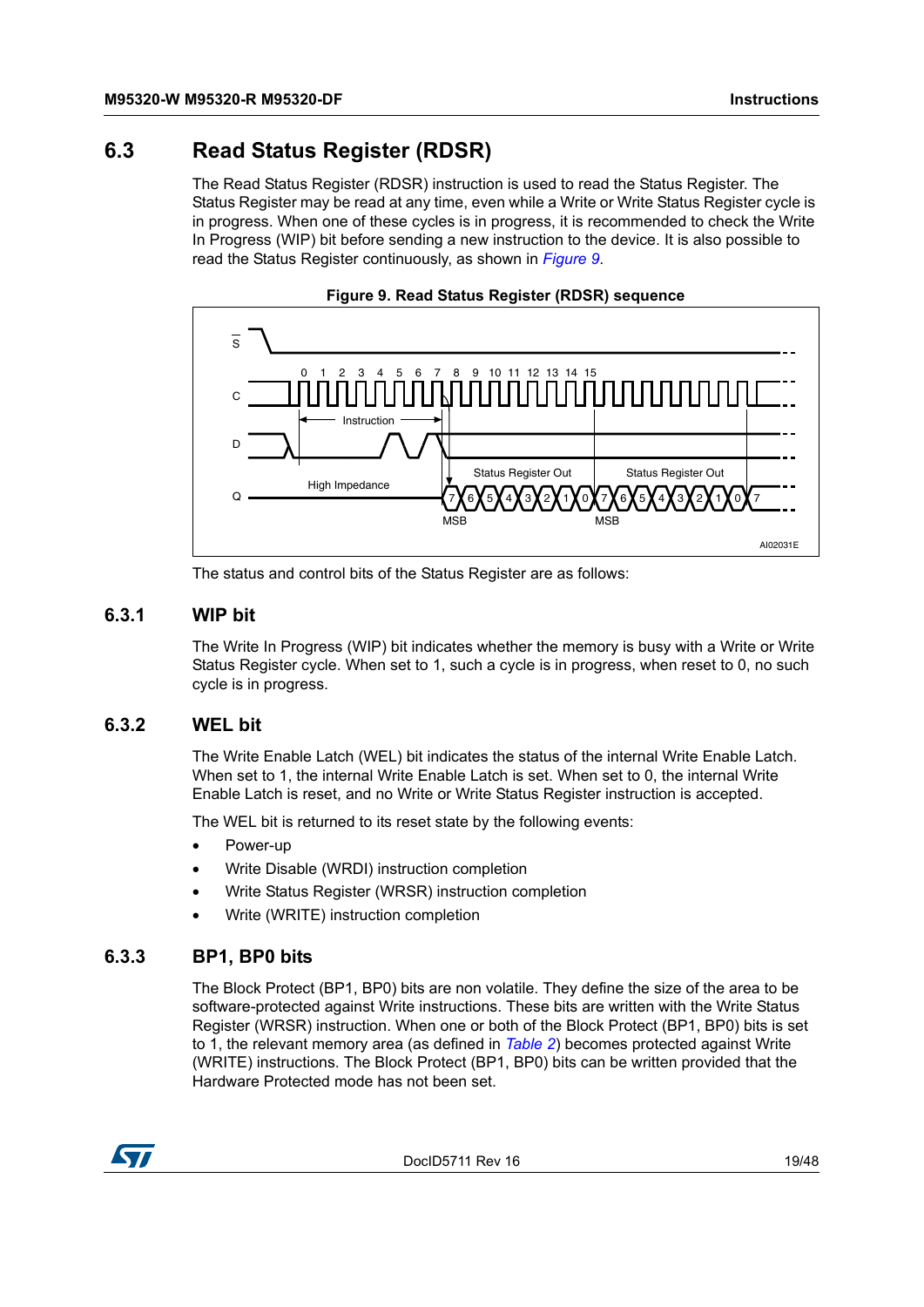# <span id="page-18-0"></span>**6.3 Read Status Register (RDSR)**

The Read Status Register (RDSR) instruction is used to read the Status Register. The Status Register may be read at any time, even while a Write or Write Status Register cycle is in progress. When one of these cycles is in progress, it is recommended to check the Write In Progress (WIP) bit before sending a new instruction to the device. It is also possible to read the Status Register continuously, as shown in *[Figure](#page-18-4) 9*.

<span id="page-18-4"></span>![](_page_18_Figure_4.jpeg)

![](_page_18_Figure_5.jpeg)

The status and control bits of the Status Register are as follows:

#### <span id="page-18-1"></span>**6.3.1 WIP bit**

The Write In Progress (WIP) bit indicates whether the memory is busy with a Write or Write Status Register cycle. When set to 1, such a cycle is in progress, when reset to 0, no such cycle is in progress.

#### <span id="page-18-2"></span>**6.3.2 WEL bit**

The Write Enable Latch (WEL) bit indicates the status of the internal Write Enable Latch. When set to 1, the internal Write Enable Latch is set. When set to 0, the internal Write Enable Latch is reset, and no Write or Write Status Register instruction is accepted.

The WEL bit is returned to its reset state by the following events:

- Power-up
- Write Disable (WRDI) instruction completion
- Write Status Register (WRSR) instruction completion
- Write (WRITE) instruction completion

#### <span id="page-18-3"></span>**6.3.3 BP1, BP0 bits**

The Block Protect (BP1, BP0) bits are non volatile. They define the size of the area to be software-protected against Write instructions. These bits are written with the Write Status Register (WRSR) instruction. When one or both of the Block Protect (BP1, BP0) bits is set to 1, the relevant memory area (as defined in *[Table](#page-14-2) 2*) becomes protected against Write (WRITE) instructions. The Block Protect (BP1, BP0) bits can be written provided that the Hardware Protected mode has not been set.

![](_page_18_Picture_18.jpeg)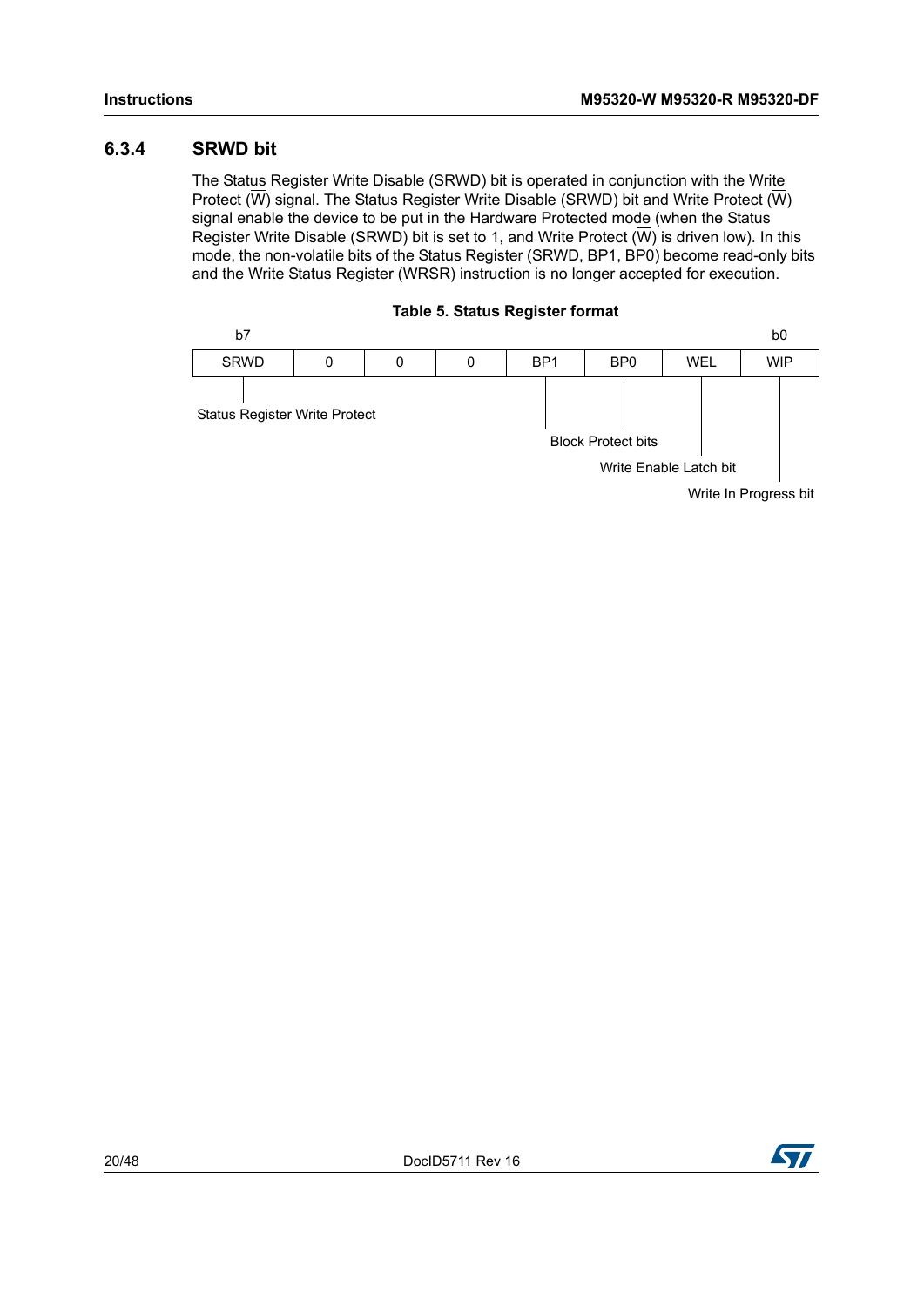#### <span id="page-19-0"></span>**6.3.4 SRWD bit**

The Status Register Write Disable (SRWD) bit is operated in conjunction with the Write Protect ( $\overline{W}$ ) signal. The Status Register Write Disable (SRWD) bit and Write Protect ( $\overline{W}$ ) signal enable the device to be put in the Hardware Protected mode (when the Status Register Write Disable (SRWD) bit is set to 1, and Write Protect  $(\overline{W})$  is driven low). In this mode, the non-volatile bits of the Status Register (SRWD, BP1, BP0) become read-only bits and the Write Status Register (WRSR) instruction is no longer accepted for execution.

![](_page_19_Figure_4.jpeg)

<span id="page-19-1"></span>![](_page_19_Figure_5.jpeg)

Write In Progress bit

![](_page_19_Picture_9.jpeg)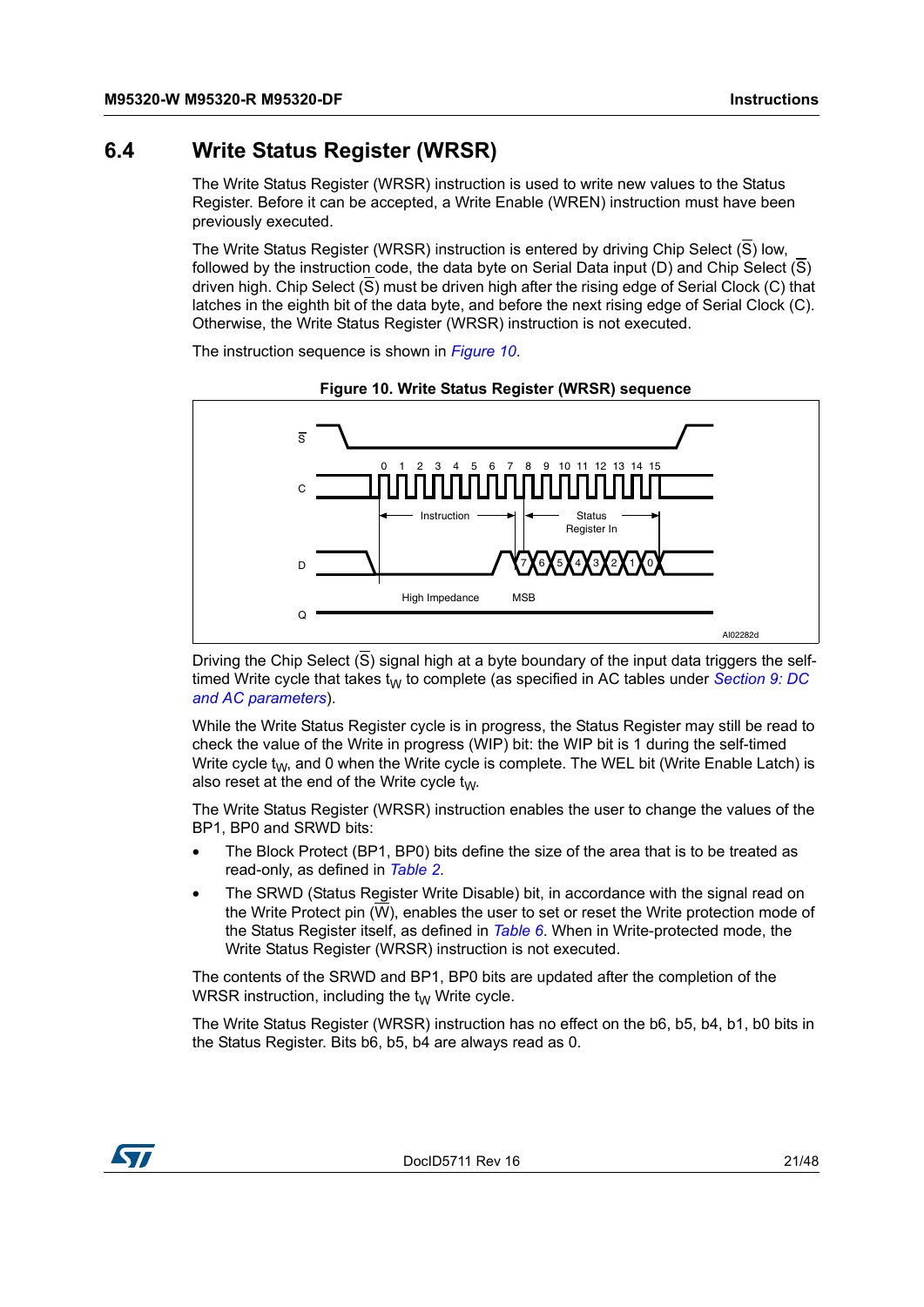### <span id="page-20-0"></span>**6.4 Write Status Register (WRSR)**

The Write Status Register (WRSR) instruction is used to write new values to the Status Register. Before it can be accepted, a Write Enable (WREN) instruction must have been previously executed.

The Write Status Register (WRSR) instruction is entered by driving Chip Select  $(\overline{S})$  low, followed by the instruction code, the data byte on Serial Data input (D) and Chip Select  $(S)$ driven high. Chip Select (S) must be driven high after the rising edge of Serial Clock (C) that latches in the eighth bit of the data byte, and before the next rising edge of Serial Clock (C). Otherwise, the Write Status Register (WRSR) instruction is not executed.

The instruction sequence is shown in *[Figure](#page-20-1) 10*.

<span id="page-20-1"></span>![](_page_20_Figure_6.jpeg)

**Figure 10. Write Status Register (WRSR) sequence**

Driving the Chip Select  $(\overline{S})$  signal high at a byte boundary of the input data triggers the selftimed Write cycle that takes  $t_W$  to complete (as specified in AC tables under *[Section](#page-32-0) 9: DC [and AC parameters](#page-32-0)*).

While the Write Status Register cycle is in progress, the Status Register may still be read to check the value of the Write in progress (WIP) bit: the WIP bit is 1 during the self-timed Write cycle  $t_W$ , and 0 when the Write cycle is complete. The WEL bit (Write Enable Latch) is also reset at the end of the Write cycle  $t_{W}$ .

The Write Status Register (WRSR) instruction enables the user to change the values of the BP1, BP0 and SRWD bits:

- The Block Protect (BP1, BP0) bits define the size of the area that is to be treated as read-only, as defined in *[Table 2](#page-14-2)*.
- The SRWD (Status Register Write Disable) bit, in accordance with the signal read on the Write Protect pin (W), enables the user to set or reset the Write protection mode of the Status Register itself, as defined in *[Table 6](#page-21-0)*. When in Write-protected mode, the Write Status Register (WRSR) instruction is not executed.

The contents of the SRWD and BP1, BP0 bits are updated after the completion of the WRSR instruction, including the  $t_W$  Write cycle.

The Write Status Register (WRSR) instruction has no effect on the b6, b5, b4, b1, b0 bits in the Status Register. Bits b6, b5, b4 are always read as 0.

![](_page_20_Picture_15.jpeg)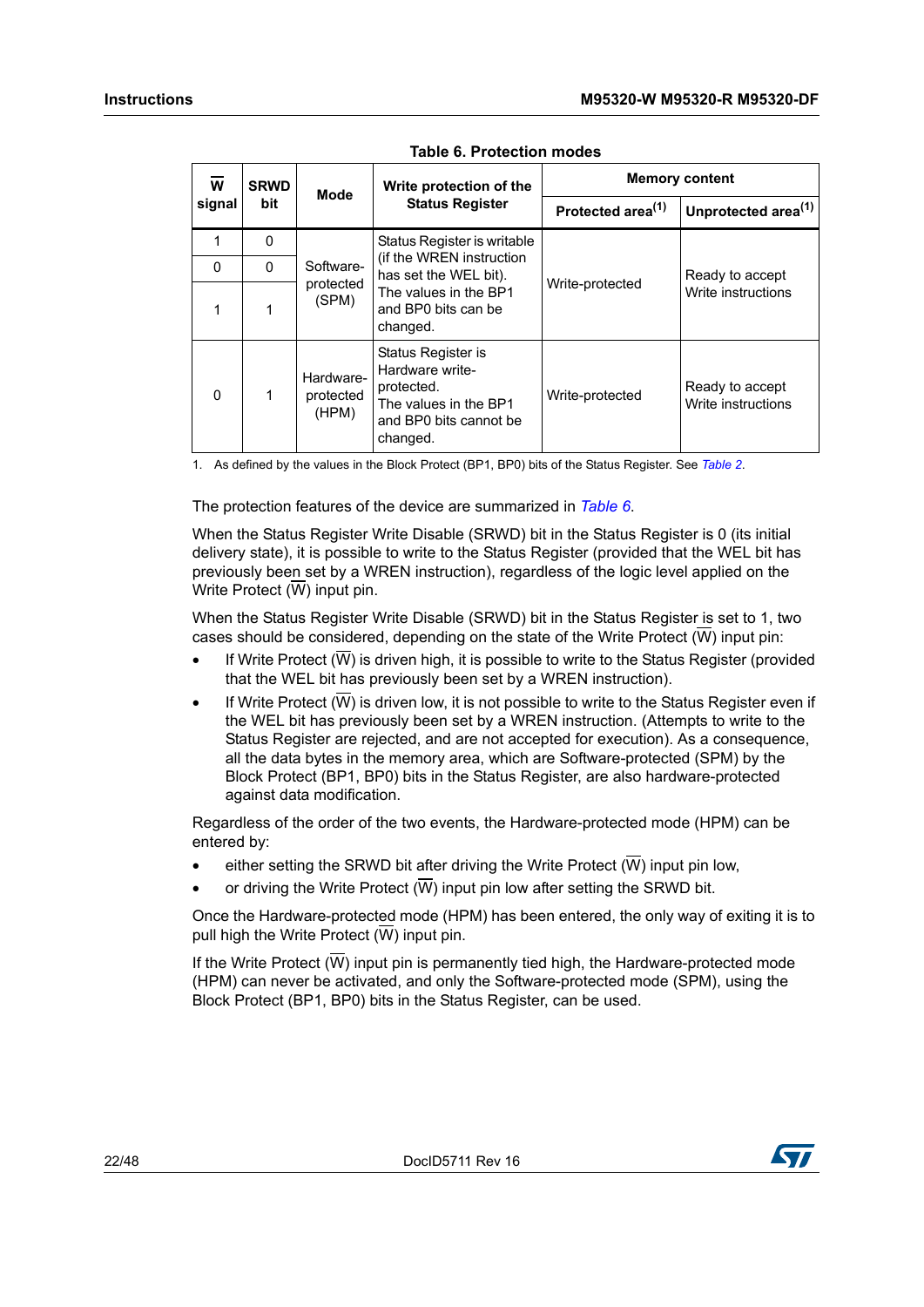<span id="page-21-0"></span>

| W<br>signal |          | <b>SRWD</b> | <b>Mode</b>                     | Write protection of the                                                                                            | <b>Memory content</b>         |                                       |  |
|-------------|----------|-------------|---------------------------------|--------------------------------------------------------------------------------------------------------------------|-------------------------------|---------------------------------------|--|
|             |          | bit         |                                 | <b>Status Register</b>                                                                                             | Protected area <sup>(1)</sup> | Unprotected area <sup>(1)</sup>       |  |
|             | 1        | $\mathbf 0$ |                                 | Status Register is writable                                                                                        |                               |                                       |  |
|             | $\Omega$ | $\Omega$    | Software-                       | (if the WREN instruction<br>has set the WEL bit).<br>The values in the BP1<br>and BP0 bits can be<br>changed.      |                               | Ready to accept<br>Write instructions |  |
|             | 1        |             | protected<br>(SPM)              |                                                                                                                    | Write-protected               |                                       |  |
|             | 0        |             | Hardware-<br>protected<br>(HPM) | Status Register is<br>Hardware write-<br>protected.<br>The values in the BP1<br>and BP0 bits cannot be<br>changed. | Write-protected               | Ready to accept<br>Write instructions |  |

**Table 6. Protection modes**

1. As defined by the values in the Block Protect (BP1, BP0) bits of the Status Register. See *[Table 2](#page-14-2)*.

The protection features of the device are summarized in *[Table](#page-21-0) 6*.

When the Status Register Write Disable (SRWD) bit in the Status Register is 0 (its initial delivery state), it is possible to write to the Status Register (provided that the WEL bit has previously been set by a WREN instruction), regardless of the logic level applied on the Write Protect  $(\overline{W})$  input pin.

When the Status Register Write Disable (SRWD) bit in the Status Register is set to 1, two cases should be considered, depending on the state of the Write Protect  $(\overline{W})$  input pin:

- If Write Protect  $(\overline{W})$  is driven high, it is possible to write to the Status Register (provided that the WEL bit has previously been set by a WREN instruction).
- If Write Protect  $(\overline{W})$  is driven low, it is not possible to write to the Status Register even if the WEL bit has previously been set by a WREN instruction. (Attempts to write to the Status Register are rejected, and are not accepted for execution). As a consequence, all the data bytes in the memory area, which are Software-protected (SPM) by the Block Protect (BP1, BP0) bits in the Status Register, are also hardware-protected against data modification.

Regardless of the order of the two events, the Hardware-protected mode (HPM) can be entered by:

- either setting the SRWD bit after driving the Write Protect  $(\overline{W})$  input pin low,
- or driving the Write Protect  $(\overline{W})$  input pin low after setting the SRWD bit.

Once the Hardware-protected mode (HPM) has been entered, the only way of exiting it is to pull high the Write Protect  $(\overline{W})$  input pin.

If the Write Protect  $(\overline{W})$  input pin is permanently tied high, the Hardware-protected mode (HPM) can never be activated, and only the Software-protected mode (SPM), using the Block Protect (BP1, BP0) bits in the Status Register, can be used.

![](_page_21_Picture_16.jpeg)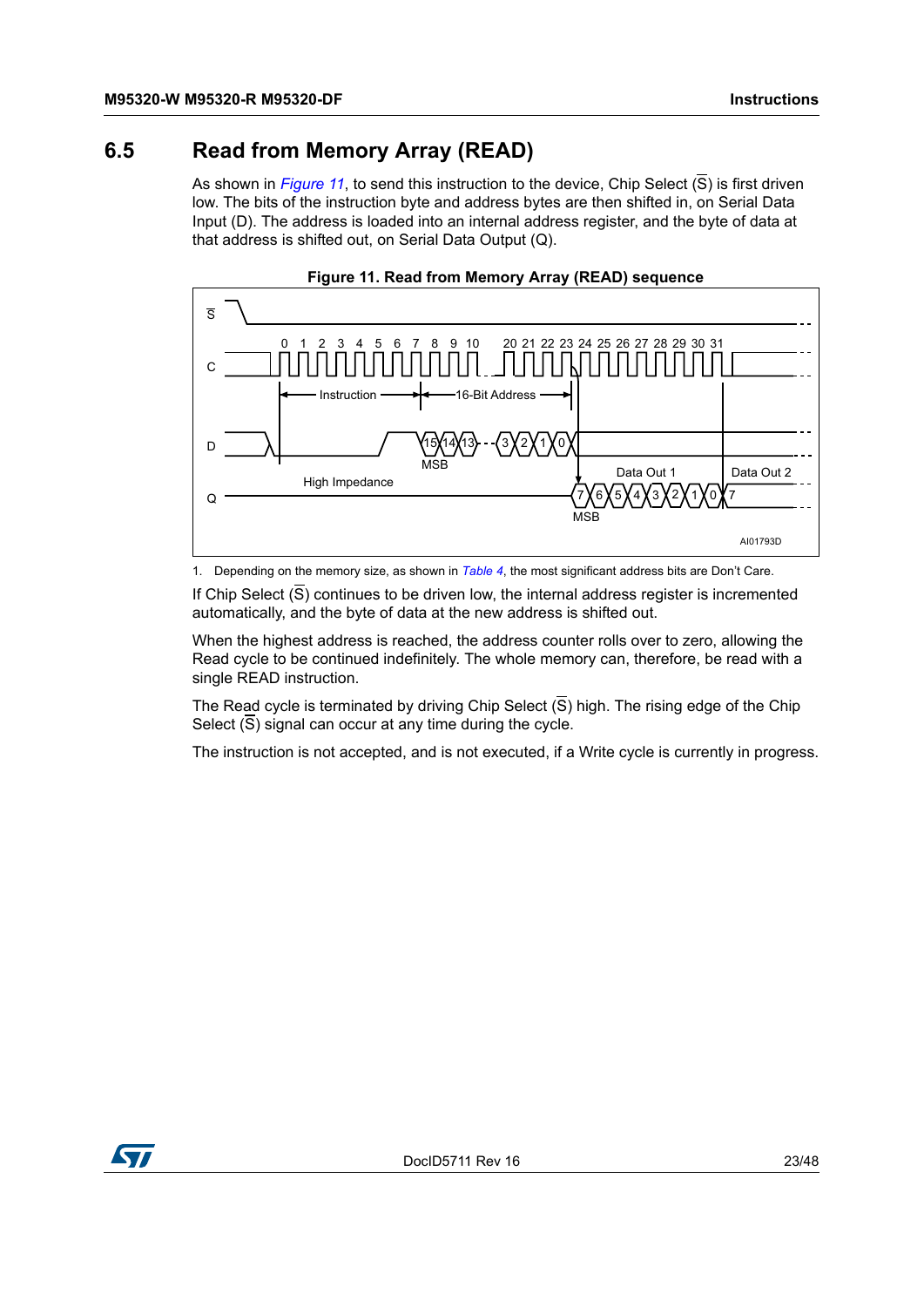### <span id="page-22-0"></span>**6.5 Read from Memory Array (READ)**

As shown in *[Figure](#page-22-1) 11*, to send this instruction to the device, Chip Select (S) is first driven low. The bits of the instruction byte and address bytes are then shifted in, on Serial Data Input (D). The address is loaded into an internal address register, and the byte of data at that address is shifted out, on Serial Data Output (Q).

<span id="page-22-1"></span>![](_page_22_Figure_4.jpeg)

![](_page_22_Figure_5.jpeg)

1. Depending on the memory size, as shown in *[Table 4](#page-15-2)*, the most significant address bits are Don't Care.

If Chip Select  $(\overline{S})$  continues to be driven low, the internal address register is incremented automatically, and the byte of data at the new address is shifted out.

When the highest address is reached, the address counter rolls over to zero, allowing the Read cycle to be continued indefinitely. The whole memory can, therefore, be read with a single READ instruction.

The Read cycle is terminated by driving Chip Select  $(\overline{S})$  high. The rising edge of the Chip Select  $(\overline{S})$  signal can occur at any time during the cycle.

The instruction is not accepted, and is not executed, if a Write cycle is currently in progress.

![](_page_22_Picture_11.jpeg)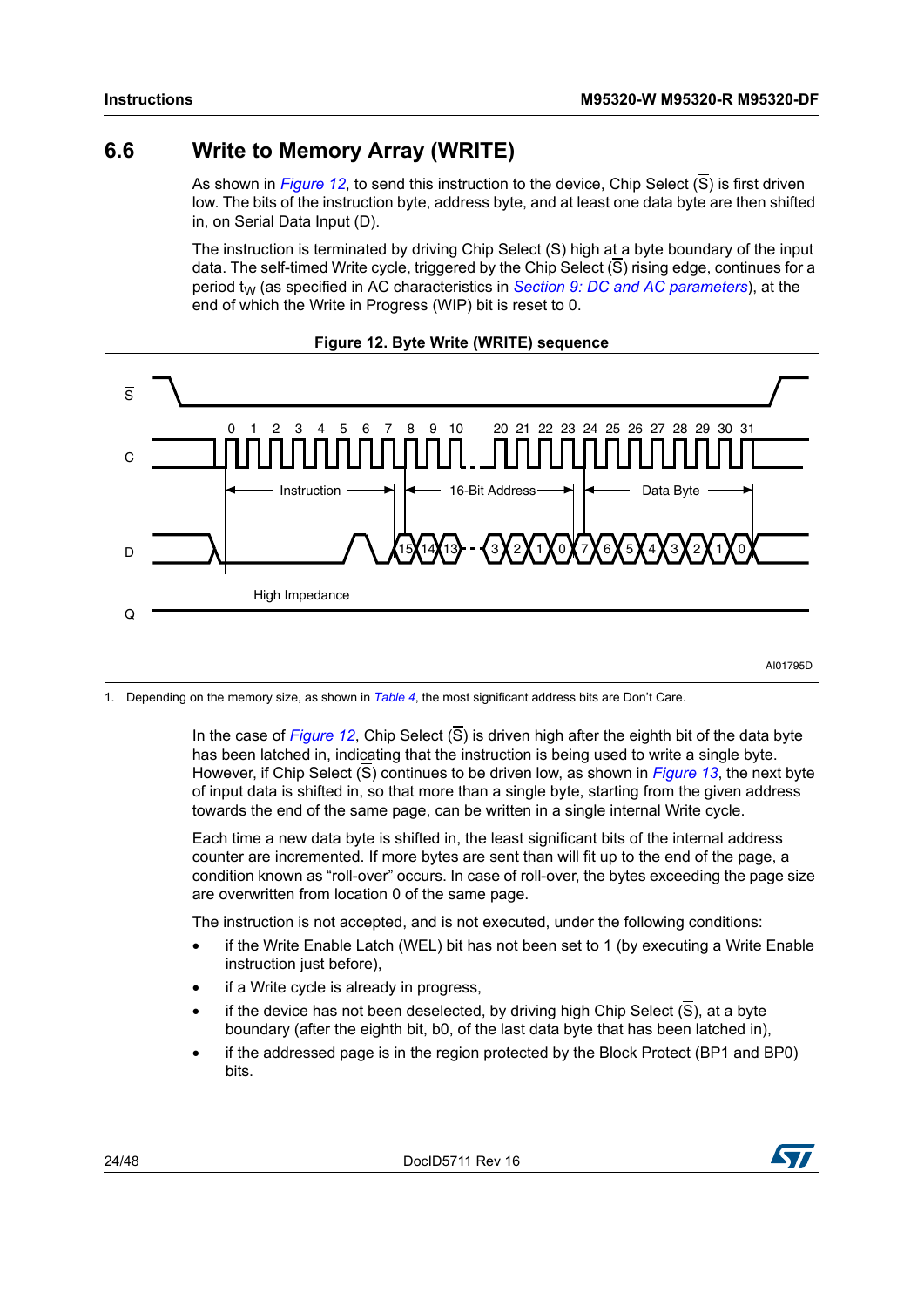### <span id="page-23-0"></span>**6.6 Write to Memory Array (WRITE)**

As shown in *[Figure](#page-23-1) 12*, to send this instruction to the device, Chip Select (S) is first driven low. The bits of the instruction byte, address byte, and at least one data byte are then shifted in, on Serial Data Input (D).

The instruction is terminated by driving Chip Select  $(\overline{S})$  high at a byte boundary of the input data. The self-timed Write cycle, triggered by the Chip Select  $(\overline{S})$  rising edge, continues for a period  $t_{W}$  (as specified in AC characteristics in *Section [9: DC and AC parameters](#page-32-0)*), at the end of which the Write in Progress (WIP) bit is reset to 0.

<span id="page-23-1"></span>![](_page_23_Figure_5.jpeg)

![](_page_23_Figure_6.jpeg)

1. Depending on the memory size, as shown in *[Table 4](#page-15-2)*, the most significant address bits are Don't Care.

In the case of *[Figure](#page-23-1) 12*, Chip Select (S) is driven high after the eighth bit of the data byte has been latched in, indicating that the instruction is being used to write a single byte. However, if Chip Select (S) continues to be driven low, as shown in *[Figure](#page-24-0) 13*, the next byte of input data is shifted in, so that more than a single byte, starting from the given address towards the end of the same page, can be written in a single internal Write cycle.

Each time a new data byte is shifted in, the least significant bits of the internal address counter are incremented. If more bytes are sent than will fit up to the end of the page, a condition known as "roll-over" occurs. In case of roll-over, the bytes exceeding the page size are overwritten from location 0 of the same page.

The instruction is not accepted, and is not executed, under the following conditions:

- if the Write Enable Latch (WEL) bit has not been set to 1 (by executing a Write Enable instruction just before),
- if a Write cycle is already in progress,
- if the device has not been deselected, by driving high Chip Select  $(\overline{S})$ , at a byte boundary (after the eighth bit, b0, of the last data byte that has been latched in),
- if the addressed page is in the region protected by the Block Protect (BP1 and BP0) bits.

![](_page_23_Picture_16.jpeg)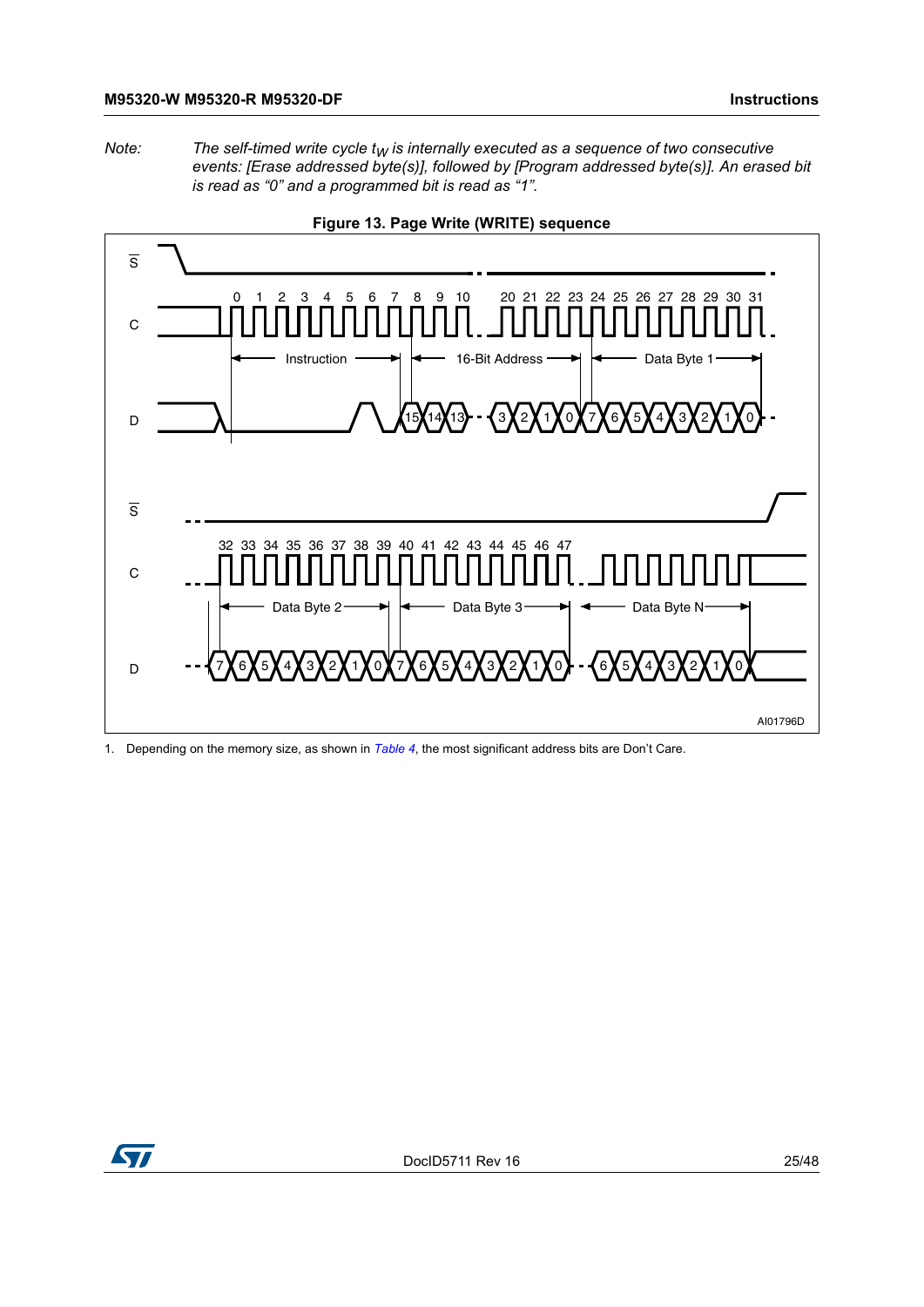*Note:* The self-timed write cycle  $t_W$  is internally executed as a sequence of two consecutive *events: [Erase addressed byte(s)], followed by [Program addressed byte(s)]. An erased bit is read as "0" and a programmed bit is read as "1".*

<span id="page-24-0"></span>![](_page_24_Figure_3.jpeg)

![](_page_24_Figure_4.jpeg)

1. Depending on the memory size, as shown in *[Table 4](#page-15-2)*, the most significant address bits are Don't Care.

![](_page_24_Picture_6.jpeg)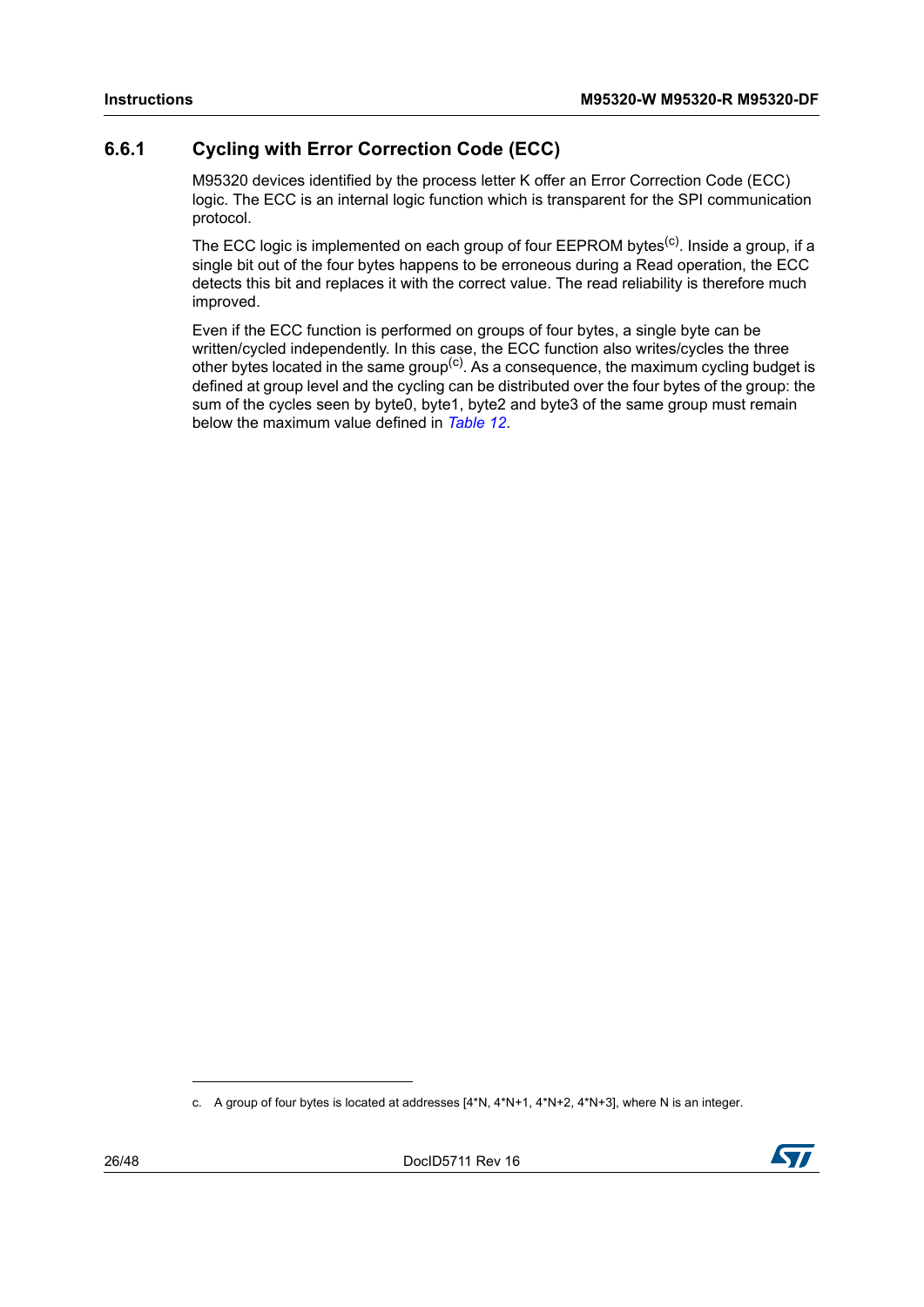### <span id="page-25-0"></span>**6.6.1 Cycling with Error Correction Code (ECC)**

M95320 devices identified by the process letter K offer an Error Correction Code (ECC) logic. The ECC is an internal logic function which is transparent for the SPI communication protocol.

The ECC logic is implemented on each group of four EEPROM bytes<sup>(c)</sup>. Inside a group, if a single bit out of the four bytes happens to be erroneous during a Read operation, the ECC detects this bit and replaces it with the correct value. The read reliability is therefore much improved.

Even if the ECC function is performed on groups of four bytes, a single byte can be written/cycled independently. In this case, the ECC function also writes/cycles the three other bytes located in the same group<sup>(c)</sup>. As a consequence, the maximum cycling budget is defined at group level and the cycling can be distributed over the four bytes of the group: the sum of the cycles seen by byte0, byte1, byte2 and byte3 of the same group must remain below the maximum value defined in *[Table](#page-33-0) 12*.

![](_page_25_Picture_9.jpeg)

c. A group of four bytes is located at addresses [4\*N, 4\*N+1, 4\*N+2, 4\*N+3], where N is an integer.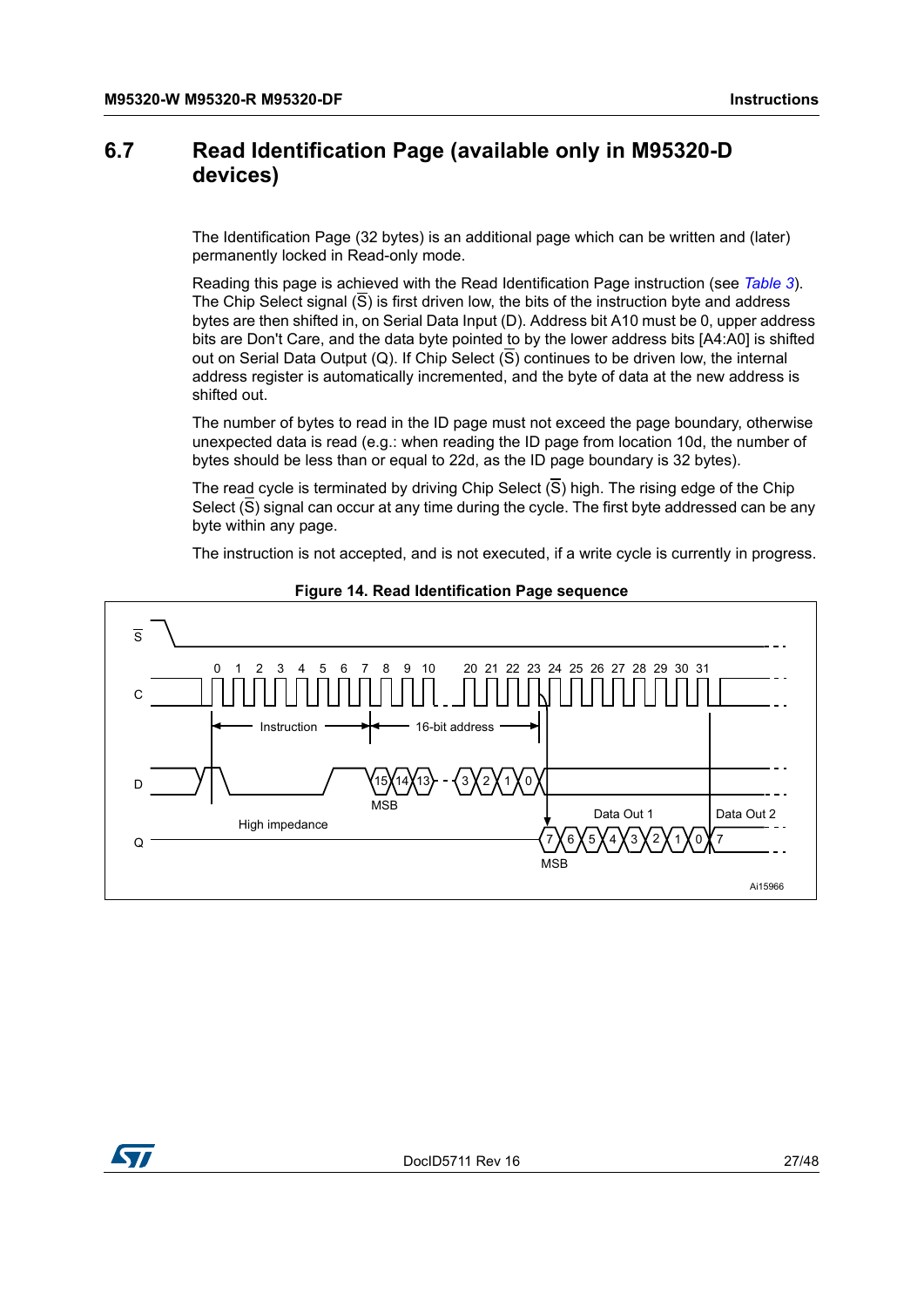### <span id="page-26-0"></span>**6.7 Read Identification Page (available only in M95320-D devices)**

The Identification Page (32 bytes) is an additional page which can be written and (later) permanently locked in Read-only mode.

Reading this page is achieved with the Read Identification Page instruction (see *[Table](#page-15-1) 3*). The Chip Select signal  $(\overline{S})$  is first driven low, the bits of the instruction byte and address bytes are then shifted in, on Serial Data Input (D). Address bit A10 must be 0, upper address bits are Don't Care, and the data byte pointed to by the lower address bits [A4:A0] is shifted out on Serial Data Output (Q). If Chip Select  $(S)$  continues to be driven low, the internal address register is automatically incremented, and the byte of data at the new address is shifted out.

The number of bytes to read in the ID page must not exceed the page boundary, otherwise unexpected data is read (e.g.: when reading the ID page from location 10d, the number of bytes should be less than or equal to 22d, as the ID page boundary is 32 bytes).

The read cycle is terminated by driving Chip Select  $(S)$  high. The rising edge of the Chip Select  $(\overline{S})$  signal can occur at any time during the cycle. The first byte addressed can be any byte within any page.

The instruction is not accepted, and is not executed, if a write cycle is currently in progress.

<span id="page-26-1"></span>![](_page_26_Figure_8.jpeg)

#### **Figure 14. Read Identification Page sequence**

![](_page_26_Picture_10.jpeg)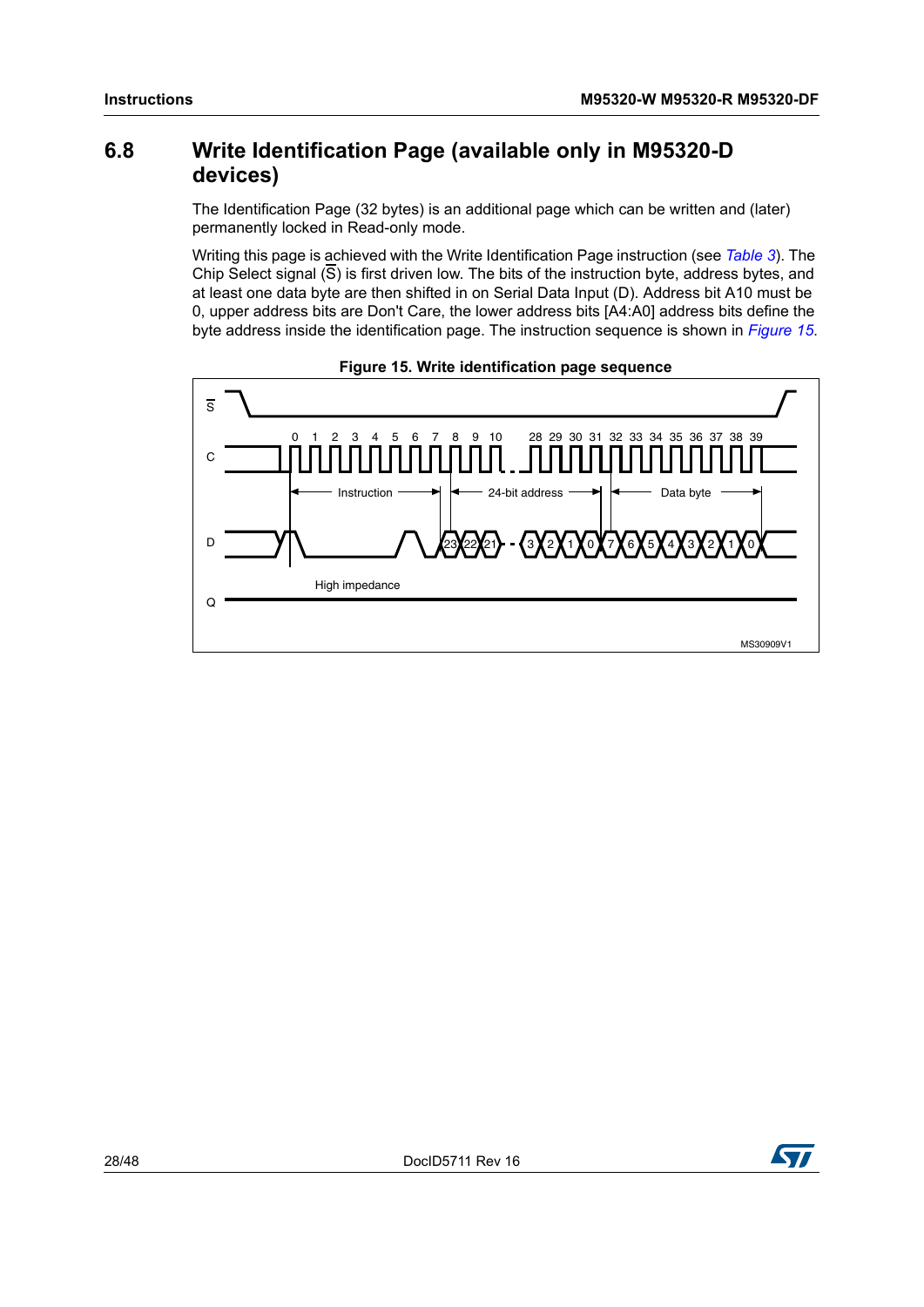### <span id="page-27-0"></span>**6.8 Write Identification Page (available only in M95320-D devices)**

The Identification Page (32 bytes) is an additional page which can be written and (later) permanently locked in Read-only mode.

Writing this page is achieved with the Write Identification Page instruction (see *[Table](#page-15-1) 3*). The Chip Select signal  $(\overline{S})$  is first driven low. The bits of the instruction byte, address bytes, and at least one data byte are then shifted in on Serial Data Input (D). Address bit A10 must be 0, upper address bits are Don't Care, the lower address bits [A4:A0] address bits define the byte address inside the identification page. The instruction sequence is shown in *[Figure](#page-27-1) 15*.

<span id="page-27-1"></span>![](_page_27_Figure_5.jpeg)

![](_page_27_Figure_6.jpeg)

![](_page_27_Picture_9.jpeg)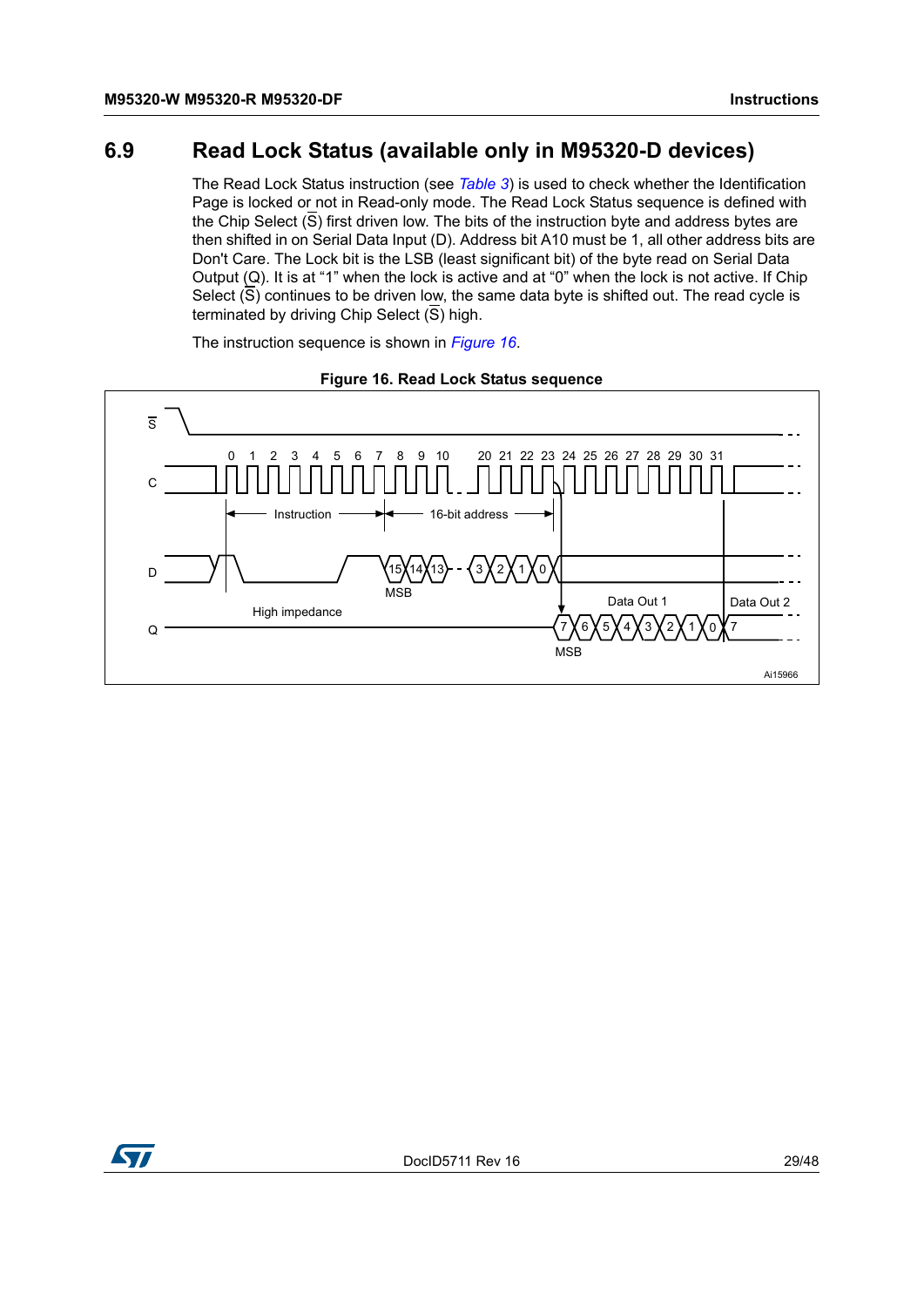### <span id="page-28-0"></span>**6.9 Read Lock Status (available only in M95320-D devices)**

The Read Lock Status instruction (see *[Table](#page-15-1) 3*) is used to check whether the Identification Page is locked or not in Read-only mode. The Read Lock Status sequence is defined with the Chip Select  $(S)$  first driven low. The bits of the instruction byte and address bytes are then shifted in on Serial Data Input (D). Address bit A10 must be 1, all other address bits are Don't Care. The Lock bit is the LSB (least significant bit) of the byte read on Serial Data Output (Q). It is at "1" when the lock is active and at "0" when the lock is not active. If Chip Select  $(\overline{S})$  continues to be driven low, the same data byte is shifted out. The read cycle is terminated by driving Chip Select  $(\overline{S})$  high.

<span id="page-28-1"></span>![](_page_28_Figure_4.jpeg)

The instruction sequence is shown in *[Figure](#page-28-1) 16*.

![](_page_28_Figure_6.jpeg)

![](_page_28_Picture_7.jpeg)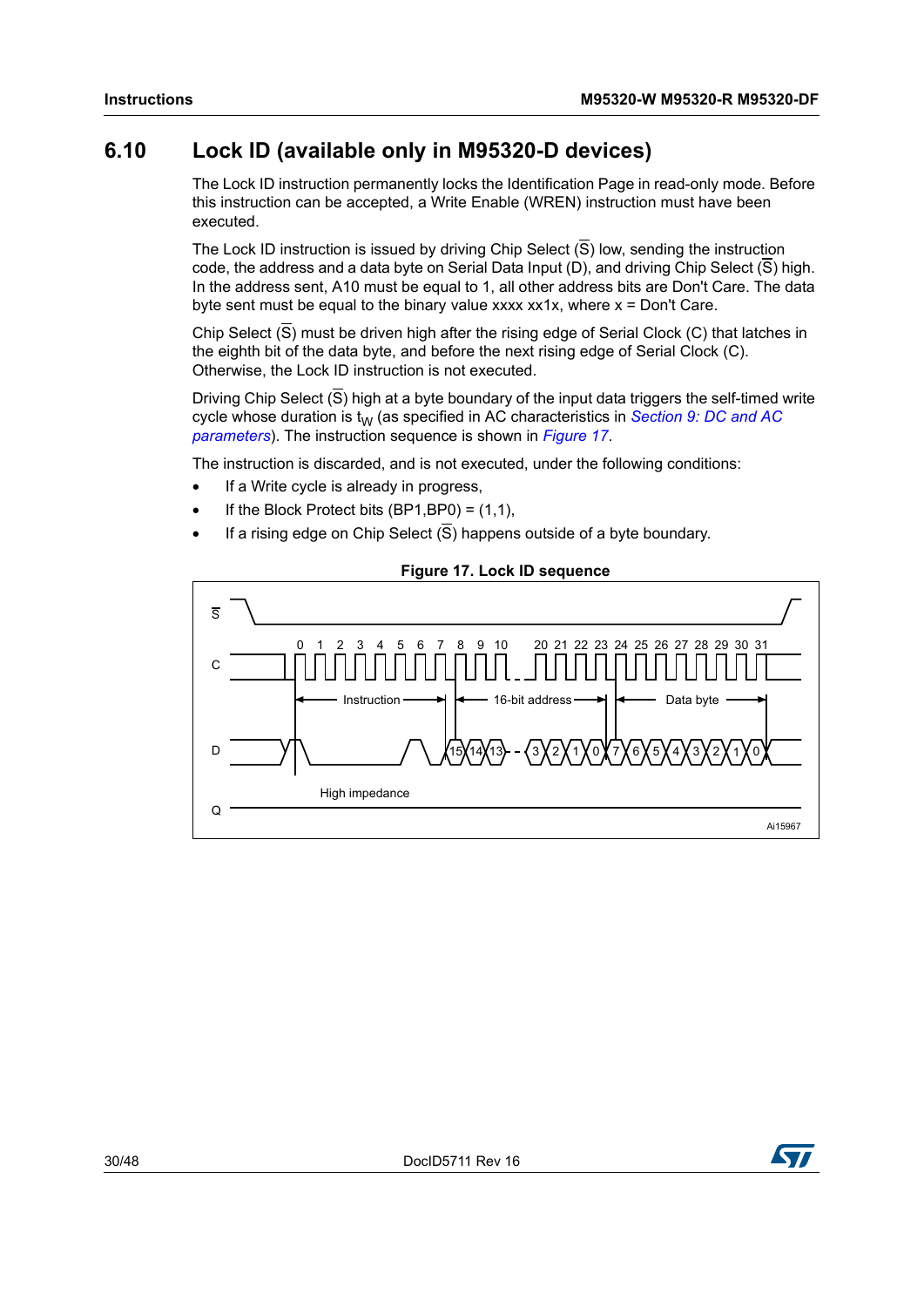# <span id="page-29-0"></span>**6.10 Lock ID (available only in M95320-D devices)**

The Lock ID instruction permanently locks the Identification Page in read-only mode. Before this instruction can be accepted, a Write Enable (WREN) instruction must have been executed.

The Lock ID instruction is issued by driving Chip Select  $(\overline{S})$  low, sending the instruction code, the address and a data byte on Serial Data Input (D), and driving Chip Select  $(\overline{S})$  high. In the address sent, A10 must be equal to 1, all other address bits are Don't Care. The data byte sent must be equal to the binary value xxxx  $xx1x$ , where  $x = Don't Care$ .

Chip Select  $(\overline{S})$  must be driven high after the rising edge of Serial Clock (C) that latches in the eighth bit of the data byte, and before the next rising edge of Serial Clock (C). Otherwise, the Lock ID instruction is not executed.

Driving Chip Select (S) high at a byte boundary of the input data triggers the self-timed write cycle whose duration is t<sub>W</sub> (as specified in AC characteristics in *Section 9: DC and AC [parameters](#page-32-0)*). The instruction sequence is shown in *[Figure](#page-29-1) 17*.

The instruction is discarded, and is not executed, under the following conditions:

- If a Write cycle is already in progress,
- If the Block Protect bits  $(BP1,BP0) = (1,1)$ ,
- If a rising edge on Chip Select  $(\overline{S})$  happens outside of a byte boundary.

<span id="page-29-1"></span>![](_page_29_Figure_11.jpeg)

#### **Figure 17. Lock ID sequence**

![](_page_29_Picture_13.jpeg)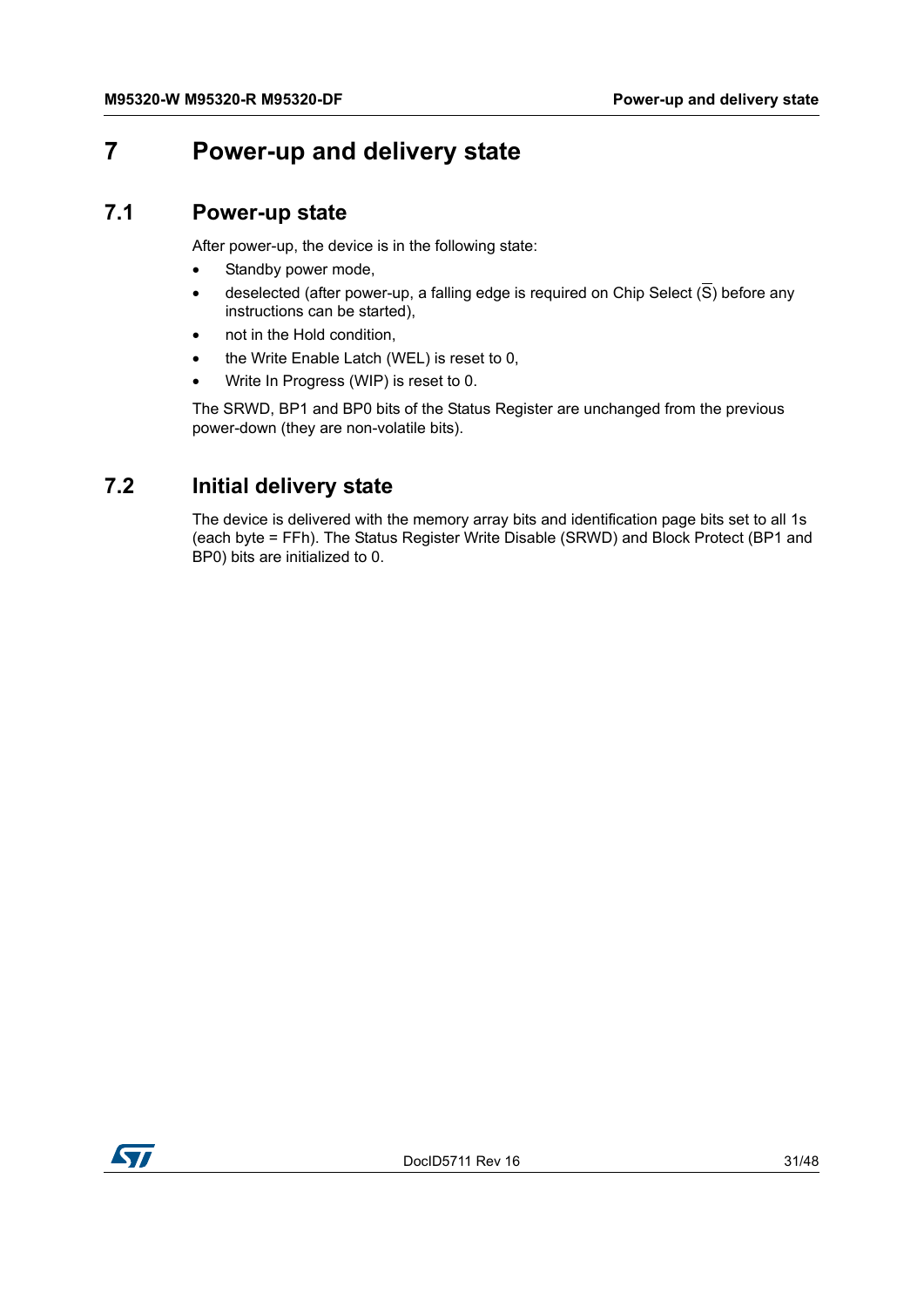# <span id="page-30-0"></span>**7 Power-up and delivery state**

#### <span id="page-30-1"></span>**7.1 Power-up state**

After power-up, the device is in the following state:

- Standby power mode,
- deselected (after power-up, a falling edge is required on Chip Select  $(\overline{S})$  before any instructions can be started),
- not in the Hold condition,
- the Write Enable Latch (WEL) is reset to 0,
- Write In Progress (WIP) is reset to 0.

The SRWD, BP1 and BP0 bits of the Status Register are unchanged from the previous power-down (they are non-volatile bits).

# <span id="page-30-2"></span>**7.2 Initial delivery state**

<span id="page-30-3"></span>The device is delivered with the memory array bits and identification page bits set to all 1s (each byte = FFh). The Status Register Write Disable (SRWD) and Block Protect (BP1 and BP0) bits are initialized to 0.

![](_page_30_Picture_13.jpeg)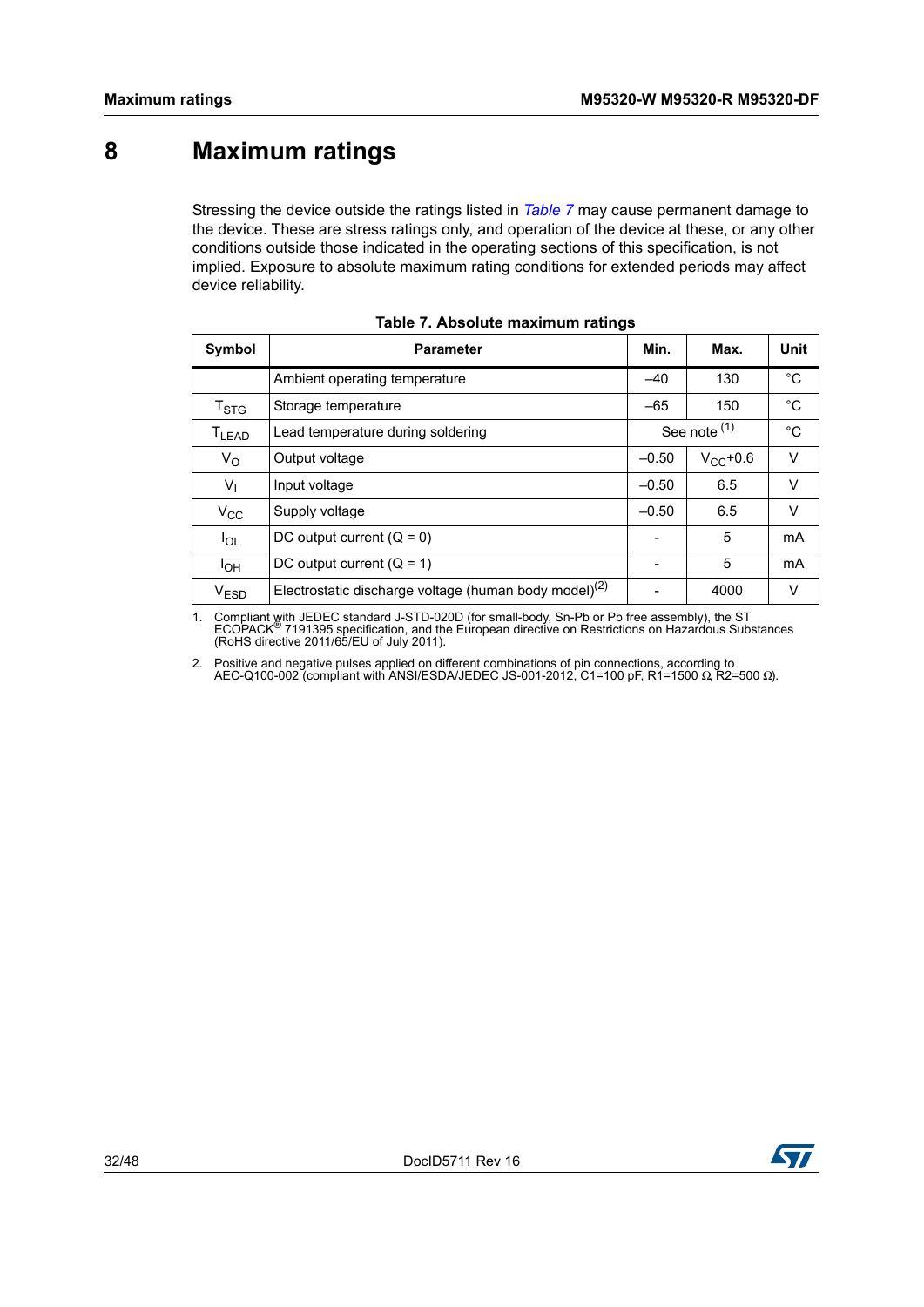# <span id="page-31-0"></span>**8 Maximum ratings**

Stressing the device outside the ratings listed in *[Table](#page-31-1) 7* may cause permanent damage to the device. These are stress ratings only, and operation of the device at these, or any other conditions outside those indicated in the operating sections of this specification, is not implied. Exposure to absolute maximum rating conditions for extended periods may affect device reliability.

<span id="page-31-1"></span>

| <b>Symbol</b>                | <b>Parameter</b>                                                  | Min.    | Max.          | Unit        |
|------------------------------|-------------------------------------------------------------------|---------|---------------|-------------|
|                              | Ambient operating temperature                                     | $-40$   | 130           | °C          |
| $\mathsf{T}_{\text{STG}}$    | Storage temperature                                               | $-65$   | 150           | $^{\circ}C$ |
| $\mathsf{T}_{\mathsf{LEAD}}$ | Lead temperature during soldering                                 |         | See note (1)  | $^{\circ}C$ |
| $V_{\rm O}$                  | Output voltage                                                    | $-0.50$ | $V_{CC}$ +0.6 | V           |
| $V_{\parallel}$              | Input voltage                                                     | $-0.50$ | 6.5           | V           |
| $V_{\rm CC}$                 | Supply voltage                                                    | $-0.50$ | 6.5           | V           |
| $I_{OL}$                     | DC output current $(Q = 0)$                                       |         | 5             | mA          |
| $I_{OH}$                     | DC output current $(Q = 1)$                                       |         | 5             | mA          |
| V <sub>ESD</sub>             | Electrostatic discharge voltage (human body model) <sup>(2)</sup> |         | 4000          | V           |

<span id="page-31-4"></span>

<span id="page-31-2"></span>1. Compliant with JEDEC standard J-STD-020D (for small-body, Sn-Pb or Pb free assembly), the ST<br>ECOPACK<sup>®</sup> 7191395 specification, and the European directive on Restrictions on Hazardous Substances<br>(RoHS directive 2011/65/E

<span id="page-31-3"></span>2. Positive and negative pulses applied on different combinations of pin connections, according to AEC-Q100-002 (compliant with ANSI/ESDA/JEDEC JS-001-2012, C1=100 pF, R1=1500 Ω, R2=500 Ω).

![](_page_31_Picture_8.jpeg)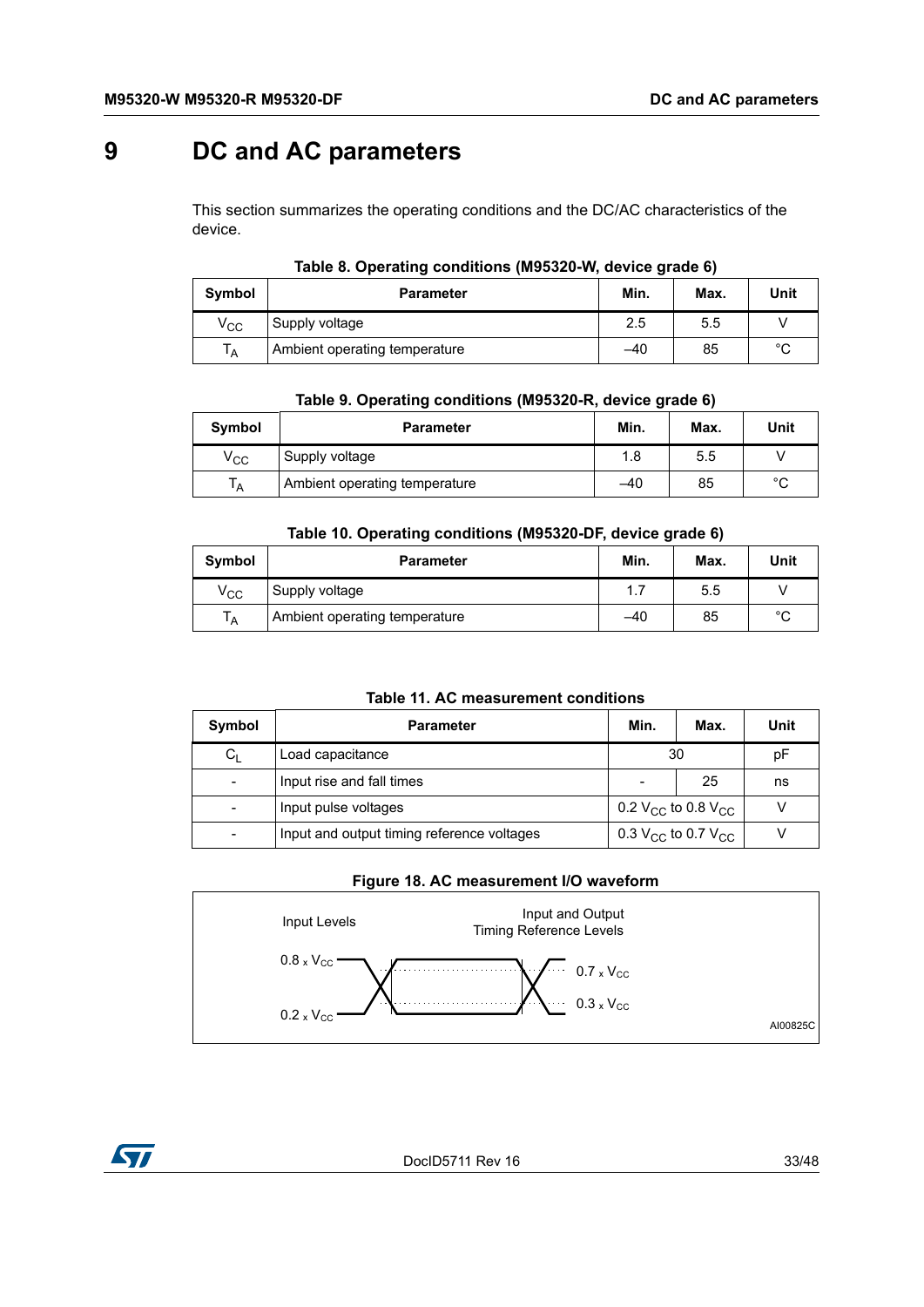# <span id="page-32-0"></span>**9 DC and AC parameters**

This section summarizes the operating conditions and the DC/AC characteristics of the device.

<span id="page-32-1"></span>

| Symbol       | <b>Parameter</b>              | Min. | Max. | Unit |
|--------------|-------------------------------|------|------|------|
| $\rm v_{cc}$ | Supply voltage                | 2.5  | 5.5  |      |
| ١A           | Ambient operating temperature | -40  | 85   | °C   |

#### **Table 8. Operating conditions (M95320-W, device grade 6)**

|  | Table 9. Operating conditions (M95320-R, device grade 6) |  |  |
|--|----------------------------------------------------------|--|--|
|  |                                                          |  |  |

<span id="page-32-2"></span>

| Symbol       | <b>Parameter</b>              | Min.  | Max. | Unit |
|--------------|-------------------------------|-------|------|------|
| $\rm v_{cc}$ | Supply voltage                | 1.8   | 5.5  |      |
| ١A           | Ambient operating temperature | $-40$ | 85   | °C   |

#### **Table 10. Operating conditions (M95320-DF, device grade 6)**

<span id="page-32-3"></span>

| Symbol         | <b>Parameter</b>              | Min. | Max. | Unit   |
|----------------|-------------------------------|------|------|--------|
| $\rm v_{cc}$   | Supply voltage                | 1.7  | 5.5  |        |
| T <sub>A</sub> | Ambient operating temperature | -40  | 85   | $\sim$ |

#### **Table 11. AC measurement conditions**

<span id="page-32-4"></span>

| Symbol  | <b>Parameter</b>                           |    | Max.                                       | Unit |
|---------|--------------------------------------------|----|--------------------------------------------|------|
| $C_{L}$ | Load capacitance                           | 30 |                                            | рF   |
|         | Input rise and fall times                  |    | 25                                         | ns   |
|         | Input pulse voltages                       |    | 0.2 V <sub>CC</sub> to 0.8 V <sub>CC</sub> |      |
|         | Input and output timing reference voltages |    | 0.3 $V_{CC}$ to 0.7 $V_{CC}$               |      |

#### **Figure 18. AC measurement I/O waveform**

<span id="page-32-5"></span>![](_page_32_Figure_13.jpeg)

![](_page_32_Picture_14.jpeg)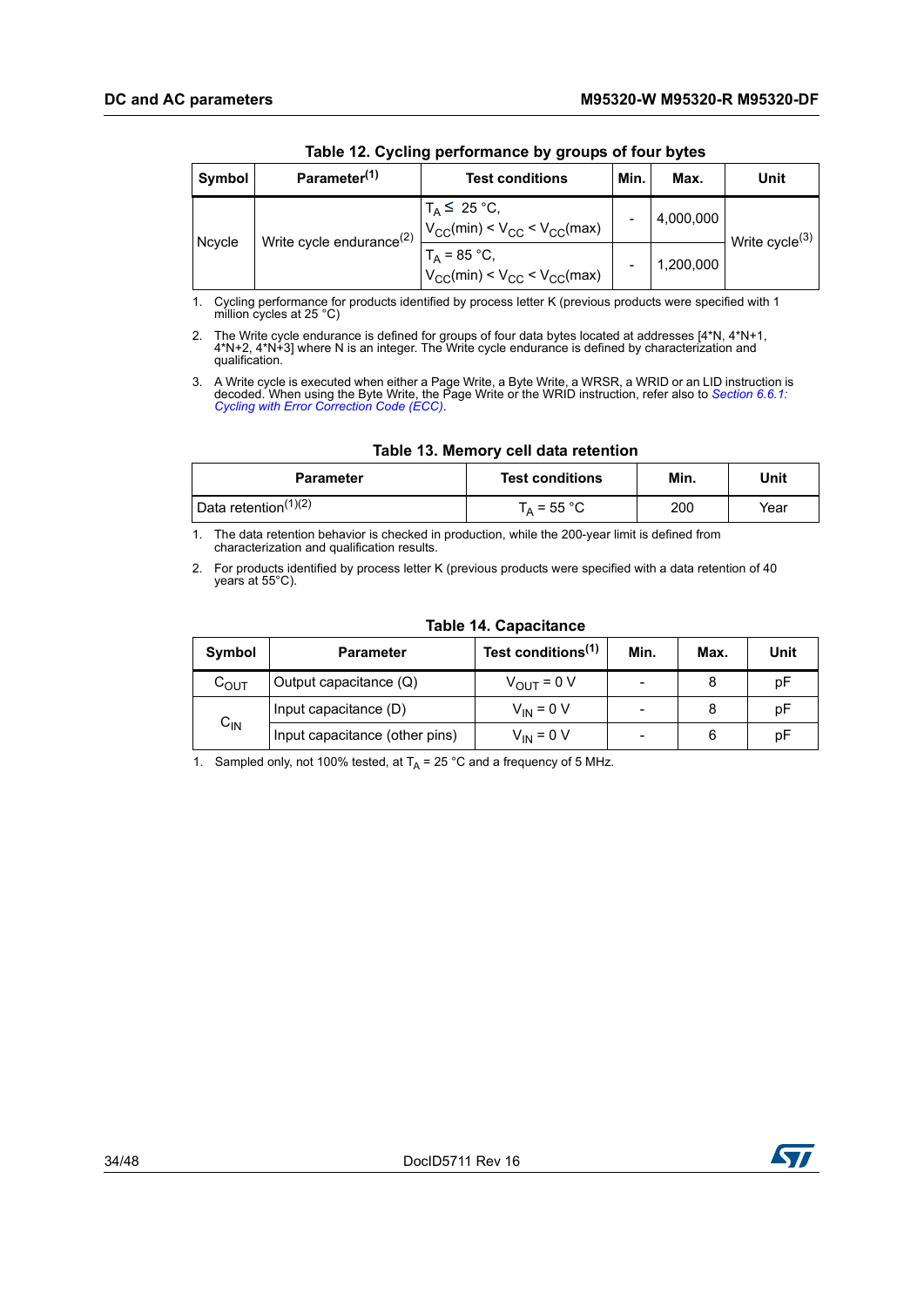<span id="page-33-0"></span>

| Symbol | Parameter <sup>(1)</sup>             | <b>Test conditions</b>                                    | Min. | Max.      | Unit                       |
|--------|--------------------------------------|-----------------------------------------------------------|------|-----------|----------------------------|
|        |                                      |                                                           |      |           |                            |
|        | Write cycle endurance <sup>(2)</sup> | $T_A \leq 25$ °C,<br>$V_{CC}(min) < V_{CC} < V_{CC}(max)$ |      | 4,000,000 | Write cycle <sup>(3)</sup> |
| Ncycle |                                      | $T_A = 85 °C$ ,<br>$V_{CC}(min) < V_{CC} < V_{CC}(max)$   |      | 1,200,000 |                            |

**Table 12. Cycling performance by groups of four bytes**

1. Cycling performance for products identified by process letter K (previous products were specified with 1 million cycles at 25 °C)

2. The Write cycle endurance is defined for groups of four data bytes located at addresses [4\*N, 4\*N+1, 4\*N+2, 4\*N+3] where N is an integer. The Write cycle endurance is defined by characterization and qualification.

3. A Write cycle is executed when either a Page Write, a Byte Write, a WRSR, a WRID or an LID instruction is decoded. When using the Byte Write, the Page Write or the WRID instruction, refer also to *[Section 6.6.1:](#page-25-0)  [Cycling with Error Correction Code \(ECC\)](#page-25-0)*.

|  |  | Table 13. Memory cell data retention |
|--|--|--------------------------------------|
|  |  |                                      |

<span id="page-33-1"></span>

| <b>Parameter</b>                 | <b>Test conditions</b> | Min. | Unit |
|----------------------------------|------------------------|------|------|
| Data retention <sup>(1)(2)</sup> | $T_A$ = 55 °C          | 200  | Year |

1. The data retention behavior is checked in production, while the 200-year limit is defined from characterization and qualification results.

2. For products identified by process letter K (previous products were specified with a data retention of 40 years at 55°C).

<span id="page-33-2"></span>

| Symbol             | <b>Parameter</b>               | Test conditions <sup>(1)</sup> | Min.                     | Max. | Unit |
|--------------------|--------------------------------|--------------------------------|--------------------------|------|------|
| $\mathtt{C_{OUT}}$ | Output capacitance (Q)         | $V_{OUT} = 0 V$                | -                        |      | рF   |
|                    | Input capacitance (D)          | $V_{IN}$ = 0 V                 | $\overline{\phantom{0}}$ |      | рF   |
| $C_{\text{IN}}$    | Input capacitance (other pins) | $V_{IN}$ = 0 V                 | -                        | 6    | рF   |

#### **Table 14. Capacitance**

1. Sampled only, not 100% tested, at  $T_A = 25 \degree C$  and a frequency of 5 MHz.

![](_page_33_Picture_14.jpeg)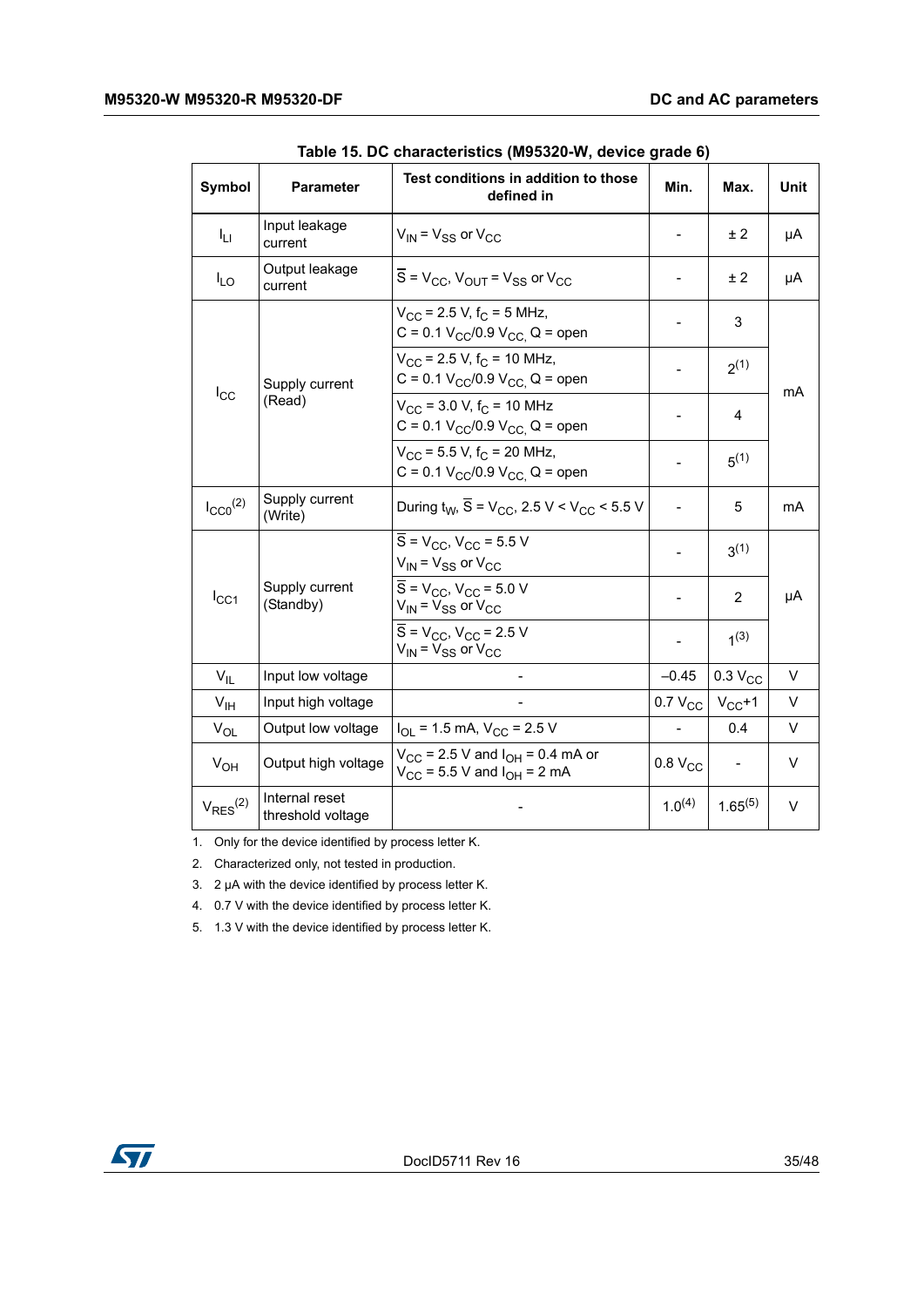<span id="page-34-0"></span>

| Symbol                                   | Parameter                           | Test conditions in addition to those<br>defined in                                              | Min.                | Max.                     | Unit |
|------------------------------------------|-------------------------------------|-------------------------------------------------------------------------------------------------|---------------------|--------------------------|------|
| ĪЦ                                       | Input leakage<br>current            | $V_{IN}$ = $V_{SS}$ or $V_{CC}$                                                                 |                     | ± 2                      | μA   |
| $I_{LO}$                                 | Output leakage<br>current           | $\overline{S}$ = V <sub>CC</sub> , V <sub>OUT</sub> = V <sub>SS</sub> or V <sub>CC</sub>        |                     | ± 2                      | μA   |
|                                          |                                     | $V_{CC}$ = 2.5 V, f <sub>C</sub> = 5 MHz,<br>C = 0.1 $V_{CC}/0.9$ $V_{CC}$ Q = open             |                     | 3                        |      |
|                                          | Supply current                      | $V_{CC}$ = 2.5 V, $f_C$ = 10 MHz,<br>C = 0.1 $V_{CC}/0.9$ $V_{CC}$ , Q = open                   |                     | $2^{(1)}$                |      |
| $I_{\rm CC}$                             | (Read)                              | $V_{\rm CC}$ = 3.0 V, $f_{\rm C}$ = 10 MHz<br>$C = 0.1 V_{CC}/0.9 V_{CC}$ , Q = open            |                     | 4                        | mA   |
|                                          |                                     | $V_{CC}$ = 5.5 V, f <sub>C</sub> = 20 MHz,<br>C = 0.1 $V_{CC}/0.9$ $V_{CC}$ , Q = open          |                     | $5^{(1)}$                |      |
| $I_{CC0}$ <sup>(2)</sup>                 | Supply current<br>(Write)           | During $t_{W}$ , $\overline{S}$ = V <sub>CC</sub> , 2.5 V < V <sub>CC</sub> < 5.5 V             |                     | 5                        | mA   |
|                                          |                                     | $S = V_{CC}$ , $V_{CC} = 5.5 V$<br>$V_{IN}$ = $V_{SS}$ or $V_{CC}$                              |                     | $3^{(1)}$                |      |
| Supply current<br>$I_{CC1}$<br>(Standby) |                                     | $\overline{S}$ = V <sub>CC</sub> , V <sub>CC</sub> = 5.0 V<br>$V_{IN}$ = $V_{SS}$ or $V_{CC}$   |                     | $\overline{2}$           | μA   |
|                                          |                                     | $\overline{S}$ = V <sub>CC</sub> , V <sub>CC</sub> = 2.5 V<br>$V_{IN}$ = $V_{SS}$ or $V_{CC}$   |                     | 1(3)                     |      |
| $V_{\rm II}$                             | Input low voltage                   |                                                                                                 | $-0.45$             | 0.3 V <sub>CC</sub>      | V    |
| V <sub>IH</sub>                          | Input high voltage                  |                                                                                                 | $0.7 V_{CC}$        | $V_{CC}+1$               | V    |
| $V_{OL}$                                 | Output low voltage                  | $I_{OL}$ = 1.5 mA, $V_{CC}$ = 2.5 V                                                             |                     | 0.4                      | V    |
| $V_{OH}$                                 | Output high voltage                 | $V_{\text{CC}}$ = 2.5 V and $I_{\text{OH}}$ = 0.4 mA or<br>$V_{CC}$ = 5.5 V and $I_{OH}$ = 2 mA | 0.8 V <sub>CC</sub> | $\overline{\phantom{a}}$ | V    |
| $V_{RES}^{(2)}$                          | Internal reset<br>threshold voltage |                                                                                                 | $1.0^{(4)}$         | $1.65^{(5)}$             | V    |

**Table 15. DC characteristics (M95320-W, device grade 6)** 

1. Only for the device identified by process letter K.

2. Characterized only, not tested in production.

3. 2 µA with the device identified by process letter K.

4. 0.7 V with the device identified by process letter K.

5. 1.3 V with the device identified by process letter K.

![](_page_34_Picture_9.jpeg)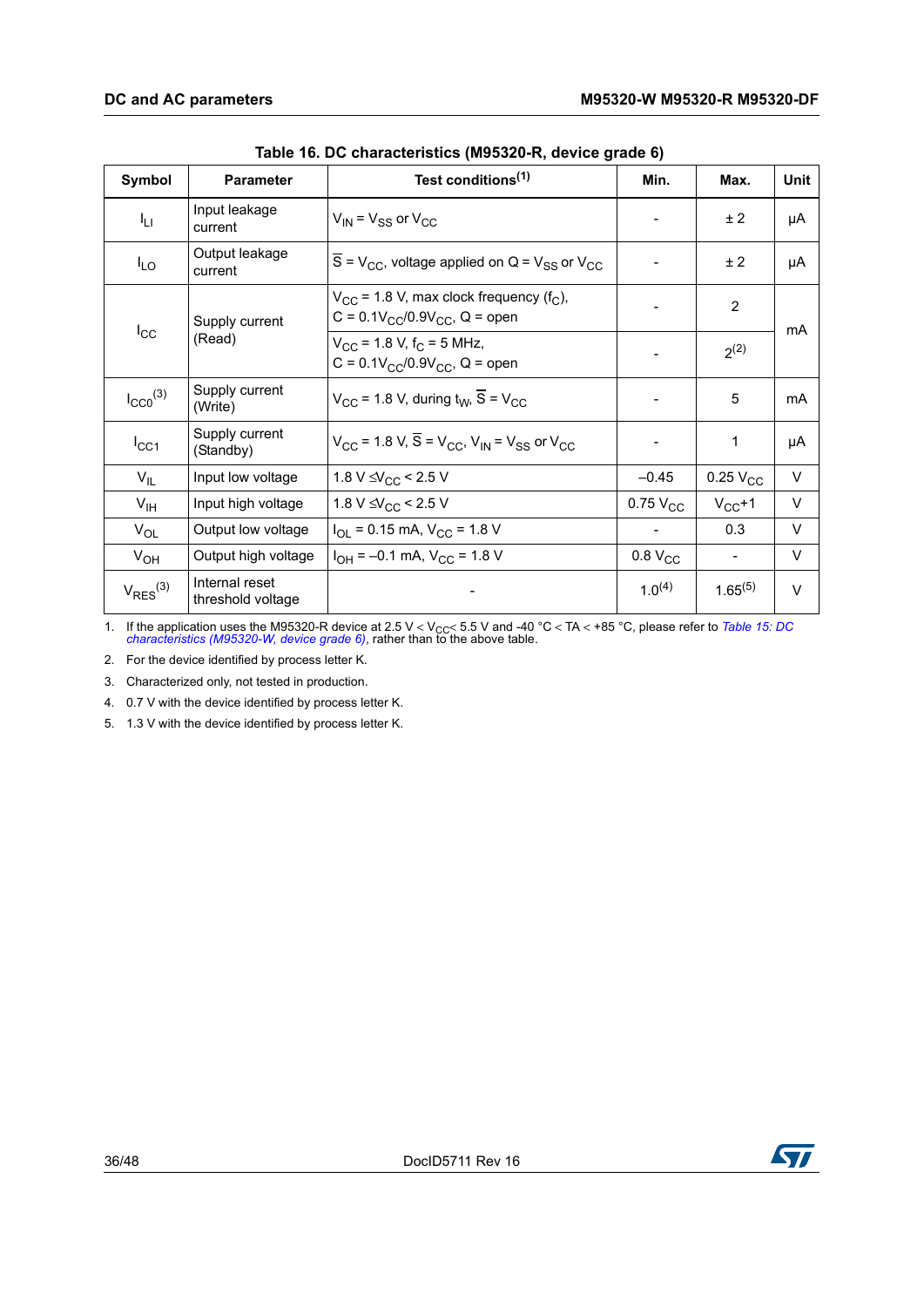<span id="page-35-0"></span>

| Symbol                   | <b>Parameter</b>                    | Test conditions <sup>(1)</sup>                                                                            | Min.                | Max.           | <b>Unit</b> |
|--------------------------|-------------------------------------|-----------------------------------------------------------------------------------------------------------|---------------------|----------------|-------------|
| Iц                       | Input leakage<br>current            | $V_{IN}$ = $V_{SS}$ or $V_{CC}$                                                                           |                     | ± 2            | μA          |
| $I_{LO}$                 | Output leakage<br>current           | $\overline{S}$ = V <sub>CC</sub> , voltage applied on Q = V <sub>SS</sub> or V <sub>CC</sub>              |                     | ± 2            | μA          |
|                          | Supply current                      | $V_{CC}$ = 1.8 V, max clock frequency (f <sub>C</sub> ),<br>$C = 0.1 V_{CC}/0.9 V_{CC}$ , Q = open        |                     | $\overline{2}$ | mA          |
| $I_{\rm CC}$             | (Read)                              | $V_{CC}$ = 1.8 V, f <sub>C</sub> = 5 MHz,<br>$C = 0.1 V_{CC}/0.9 V_{CC}$ , Q = open                       |                     | $2^{(2)}$      |             |
| $I_{CC0}$ <sup>(3)</sup> | Supply current<br>(Write)           | $V_{CC}$ = 1.8 V, during $t_{W}$ , $\overline{S}$ = V <sub>CC</sub>                                       |                     | 5              | mA          |
| $I_{CC1}$                | Supply current<br>(Standby)         | $V_{CC}$ = 1.8 V, $\overline{S}$ = V <sub>CC</sub> , V <sub>IN</sub> = V <sub>SS</sub> or V <sub>CC</sub> |                     | 1              | μA          |
| $V_{IL}$                 | Input low voltage                   | 1.8 V $\leq$ V <sub>CC</sub> < 2.5 V                                                                      | $-0.45$             | $0.25V_{CC}$   | V           |
| $V_{\text{IH}}$          | Input high voltage                  | 1.8 V $\leq$ $\sqrt{C_{CC}}$ < 2.5 V                                                                      | $0.75$ $V_{CC}$     | $V_{CC}+1$     | $\vee$      |
| $V_{OL}$                 | Output low voltage                  | $I_{OL}$ = 0.15 mA, $V_{CC}$ = 1.8 V                                                                      |                     | 0.3            | $\vee$      |
| $V_{OH}$                 | Output high voltage                 | $I_{OH} = -0.1$ mA, $V_{CC} = 1.8$ V                                                                      | 0.8 V <sub>CC</sub> |                | V           |
| $V_{RES}^{(3)}$          | Internal reset<br>threshold voltage |                                                                                                           | $1.0^{(4)}$         | $1.65^{(5)}$   | $\vee$      |

| Table 16. DC characteristics (M95320-R, device grade 6) |  |  |  |  |
|---------------------------------------------------------|--|--|--|--|
|---------------------------------------------------------|--|--|--|--|

1. If the application uses the M95320-R device at 2.5 V < V<sub>CC</sub> < 5.5 V and -40 °C < TA < +85 °C, please refer to *Table 15: DC [characteristics \(M95320-W, device grade 6\)](#page-34-0)*, rather than to the above table.

2. For the device identified by process letter K.

3. Characterized only, not tested in production.

4. 0.7 V with the device identified by process letter K.

5. 1.3 V with the device identified by process letter K.

![](_page_35_Picture_9.jpeg)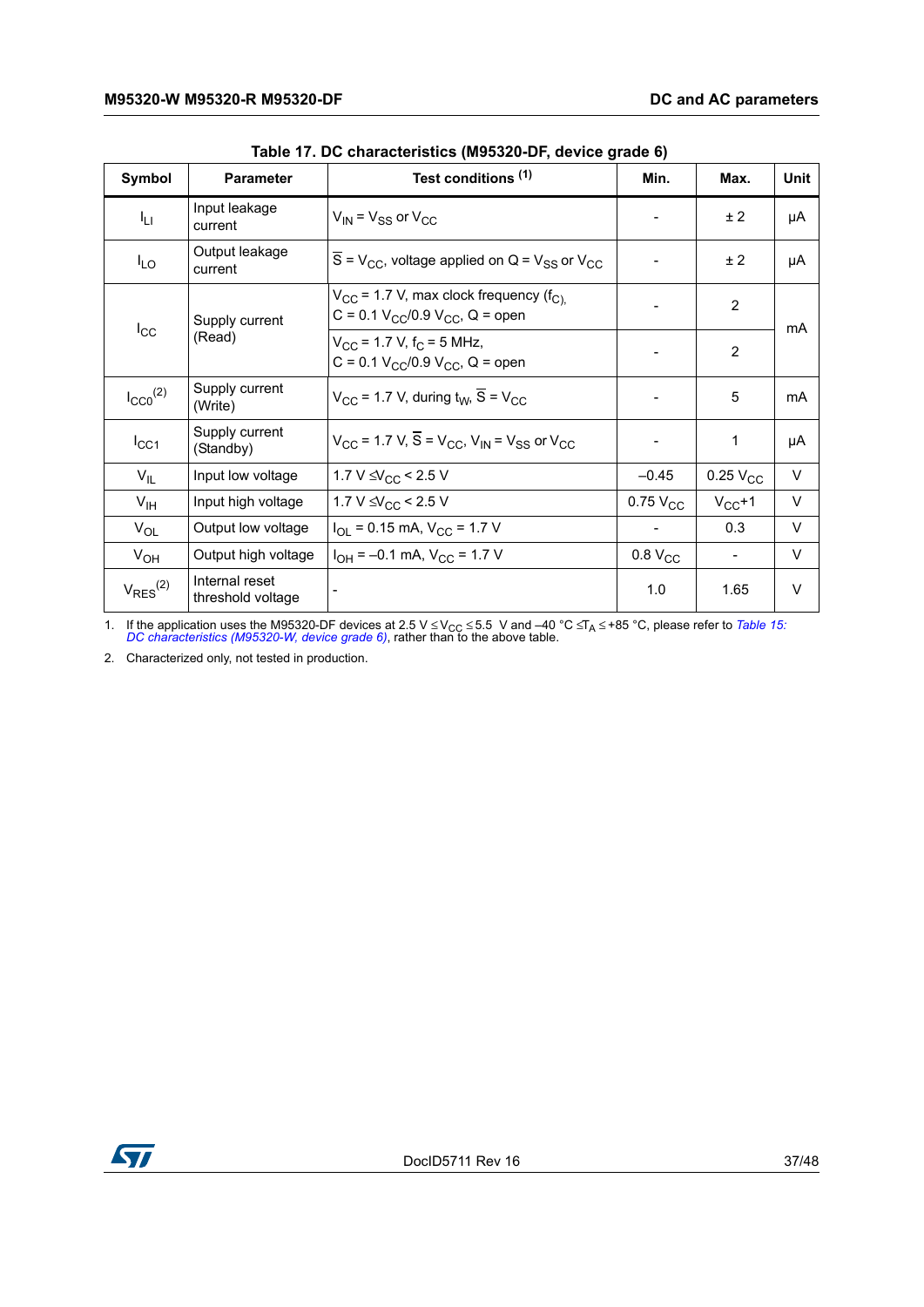<span id="page-36-0"></span>

| Symbol                   | <b>Parameter</b>                    | Test conditions <sup>(1)</sup>                                                                            | Min.                | Max.            | Unit   |
|--------------------------|-------------------------------------|-----------------------------------------------------------------------------------------------------------|---------------------|-----------------|--------|
| I <sub>LI</sub>          | Input leakage<br>current            | $V_{IN}$ = $V_{SS}$ or $V_{CC}$                                                                           |                     | ± 2             | μA     |
| $I_{LO}$                 | Output leakage<br>current           | $\overline{S}$ = V <sub>CC</sub> , voltage applied on Q = V <sub>SS</sub> or V <sub>CC</sub>              |                     | ± 2             | μA     |
|                          | Supply current                      | $V_{CC}$ = 1.7 V, max clock frequency ( $f_{C}$ )<br>C = 0.1 $V_{CC}/0.9$ $V_{CC}$ , Q = open             |                     | $\overline{2}$  | mA     |
| $I_{\rm CC}$             | (Read)                              | $V_{\text{CC}}$ = 1.7 V, $f_{\text{C}}$ = 5 MHz,<br>C = 0.1 $V_{CC}/0.9$ $V_{CC}$ , Q = open              |                     | 2               |        |
| $I_{CC0}$ <sup>(2)</sup> | Supply current<br>(Write)           | $V_{CC}$ = 1.7 V, during $t_W$ , S = $V_{CC}$                                                             |                     | 5               | mA     |
| $I_{\rm CC1}$            | Supply current<br>(Standby)         | $V_{CC}$ = 1.7 V, $\overline{S}$ = V <sub>CC</sub> , V <sub>IN</sub> = V <sub>SS</sub> or V <sub>CC</sub> |                     | 1               | μA     |
| $V_{IL}$                 | Input low voltage                   | 1.7 V $\leq$ $\sqrt{C_{CC}}$ < 2.5 V                                                                      | $-0.45$             | $0.25$ $V_{CC}$ | $\vee$ |
| $V_{\text{IH}}$          | Input high voltage                  | 1.7 V $\leq$ V <sub>CC</sub> < 2.5 V                                                                      | $0.75$ $V_{CC}$     | $V_{CC}+1$      | V      |
| $V_{OL}$                 | Output low voltage                  | $I_{OL}$ = 0.15 mA, $V_{CC}$ = 1.7 V                                                                      |                     | 0.3             | v      |
| $V_{OH}$                 | Output high voltage                 | $I_{OH} = -0.1$ mA, $V_{CC} = 1.7$ V                                                                      | 0.8 V <sub>CC</sub> |                 | V      |
| $V_{RES}^{(2)}$          | Internal reset<br>threshold voltage |                                                                                                           | 1.0                 | 1.65            | $\vee$ |

**Table 17. DC characteristics (M95320-DF, device grade 6)** 

1. If the application uses the M95320-DF devices at 2.5 V ≤ V<sub>CC</sub> ≤ 5.5 V and –40 °C ≤T<sub>A</sub> ≤ +85 °C, please refer to *[Table 15:](#page-34-0) [DC characteristics \(M95320-W, device grade 6\)](#page-34-0)*, rather than to the above table.

2. Characterized only, not tested in production.

![](_page_36_Picture_6.jpeg)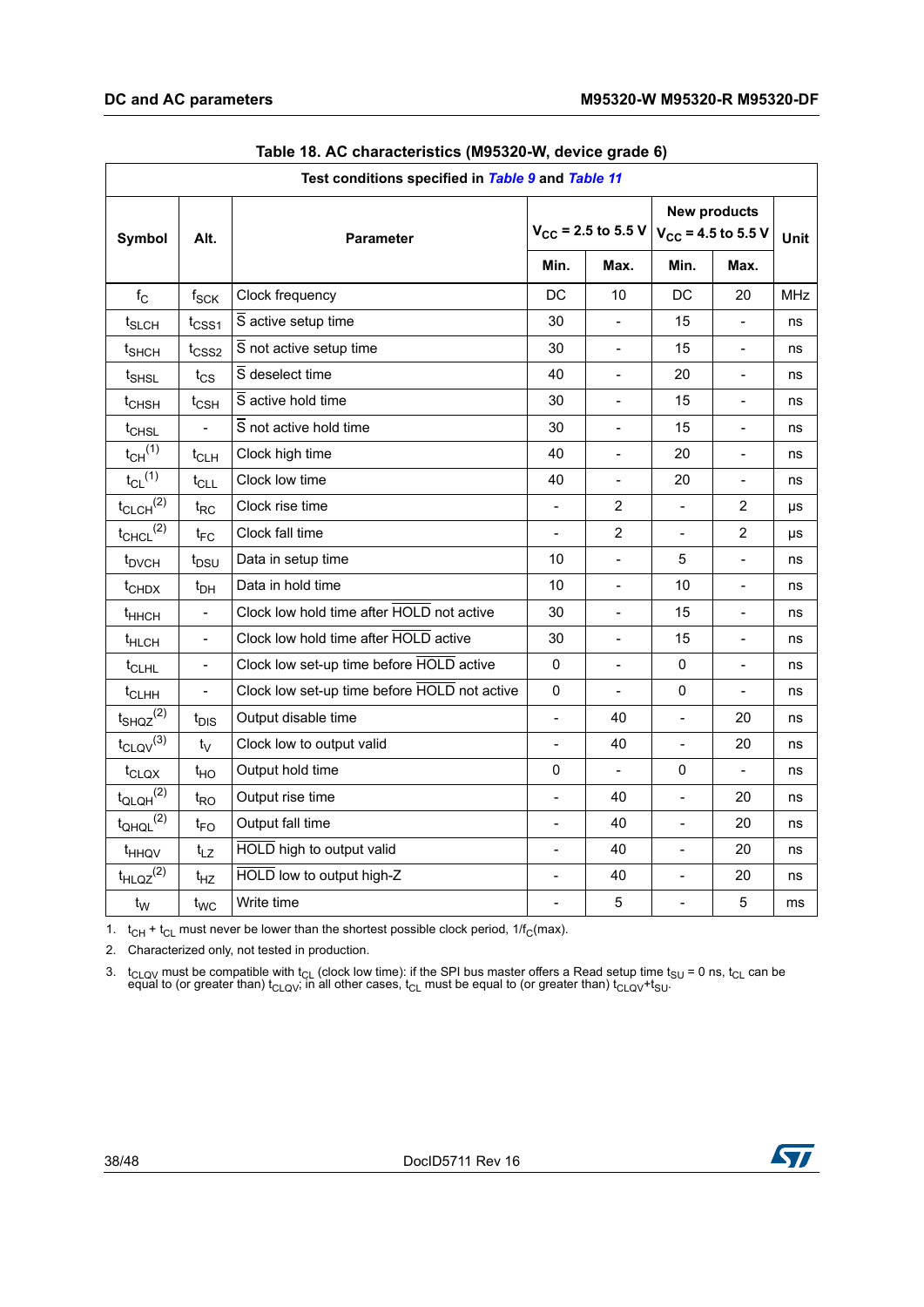<span id="page-37-0"></span>

| Test conditions specified in Table 9 and Table 11 |                          |                                              |                                            |                          |                                                |                          |             |  |  |
|---------------------------------------------------|--------------------------|----------------------------------------------|--------------------------------------------|--------------------------|------------------------------------------------|--------------------------|-------------|--|--|
| Symbol<br>Alt.                                    |                          | <b>Parameter</b>                             | $V_{CC}$ = 2.5 to 5.5 V                    |                          | <b>New products</b><br>$V_{CC}$ = 4.5 to 5.5 V |                          | <b>Unit</b> |  |  |
|                                                   |                          | Min.                                         |                                            | Max.                     | Min.                                           | Max.                     |             |  |  |
| $f_{\rm C}$                                       | $f_{\rm SCK}$            | Clock frequency                              | DC                                         | 10                       | DC                                             | 20                       | <b>MHz</b>  |  |  |
| t <sub>SLCH</sub>                                 | $t_{\text{CSS1}}$        | $\overline{S}$ active setup time             | 30                                         |                          | 15                                             | $\blacksquare$           | ns          |  |  |
| t <sub>SHCH</sub>                                 | $t_{\text{CSS2}}$        | S not active setup time                      | 30                                         | $\overline{\phantom{a}}$ | 15                                             | $\overline{\phantom{a}}$ | ns          |  |  |
| t <sub>SHSL</sub>                                 | $t_{CS}$                 | S deselect time                              | 40                                         | $\blacksquare$           | 20                                             | $\qquad \qquad -$        | ns          |  |  |
| t <sub>CHSH</sub>                                 | $t_{\mathsf{CSH}}$       | $\overline{S}$ active hold time              | 30                                         | $\blacksquare$           | 15                                             | $\blacksquare$           | ns          |  |  |
| t <sub>CHSL</sub>                                 | $\overline{a}$           | $\overline{S}$ not active hold time          | 30                                         | $\overline{\phantom{a}}$ | 15                                             | $\overline{\phantom{a}}$ | ns          |  |  |
| $t_{CH}$ <sup>(1)</sup>                           | $t_{CLH}$                | Clock high time                              | 40                                         |                          | 20                                             | $\blacksquare$           | ns          |  |  |
| $t_{CL}$ <sup>(1)</sup>                           | $t_{CLL}$                | Clock low time                               | 40<br>$\blacksquare$                       |                          | 20                                             | $\overline{\phantom{0}}$ | ns          |  |  |
| $t_{CLCH}^{(2)}$                                  | $t_{\sf RC}$             | Clock rise time                              | $\overline{2}$<br>$\overline{\phantom{a}}$ |                          | $\blacksquare$                                 | 2                        | μs          |  |  |
| $t_{CHCL}$ <sup>(2)</sup>                         | $t_{FC}$                 | Clock fall time                              |                                            | $\overline{2}$           |                                                | $\overline{2}$           | μs          |  |  |
| t <sub>DVCH</sub>                                 | t <sub>DSU</sub>         | Data in setup time                           | 10                                         | $\blacksquare$           | 5                                              | $\frac{1}{2}$            | ns          |  |  |
| $t$ <sub>CHDX</sub>                               | $t_{DH}$                 | Data in hold time                            | 10                                         |                          | 10                                             | $\overline{\phantom{a}}$ | ns          |  |  |
| $t_{HHCH}$                                        | $\overline{a}$           | Clock low hold time after HOLD not active    | 30                                         | $\overline{a}$           | 15                                             | $\blacksquare$           | ns          |  |  |
| t <sub>HLCH</sub>                                 | $\qquad \qquad -$        | Clock low hold time after HOLD active        | 30<br>$\overline{\phantom{a}}$             |                          | 15                                             | $\qquad \qquad -$        | ns          |  |  |
| $t$ <sub>CLHL</sub>                               | $\overline{\phantom{m}}$ | Clock low set-up time before HOLD active     | 0                                          |                          | 0                                              | $\qquad \qquad -$        | ns          |  |  |
| $t$ <sub>CLHH</sub>                               | $\overline{a}$           | Clock low set-up time before HOLD not active | $\mathbf 0$                                | $\overline{\phantom{a}}$ | 0                                              | $\overline{\phantom{a}}$ | ns          |  |  |
| $t_{SHQZ}^{(2)}$                                  | t <sub>DIS</sub>         | Output disable time                          | $\overline{a}$                             | 40                       | $\overline{a}$                                 | 20                       | ns          |  |  |
| $t_{CLQV}^{(3)}$                                  | t                        | Clock low to output valid                    | $\sim$                                     | 40                       | $\blacksquare$                                 | 20                       | ns          |  |  |
| t <sub>CLQX</sub>                                 | $t_{HO}$                 | Output hold time                             | 0                                          | $\Box$                   | 0                                              | $\overline{a}$           | ns          |  |  |
| $t_{\text{QLQH}}^{(2)}$                           | $t_{\mathsf{RO}}$        | Output rise time                             | $\frac{1}{2}$                              | 40                       | $\overline{a}$                                 | 20                       | ns          |  |  |
| $t_{QHQL}$ <sup>(2)</sup>                         | $t_{FO}$                 | Output fall time                             | $\overline{a}$                             | 40                       | $\overline{a}$                                 | 20                       | ns          |  |  |
| t <sub>HHQV</sub>                                 | $t_{LZ}$                 | HOLD high to output valid                    | $\blacksquare$                             | 40                       | $\frac{1}{2}$                                  | 20                       | ns          |  |  |
| $t_{HLQZ}^{(2)}$                                  | $t_{HZ}$                 | HOLD low to output high-Z                    | $\blacksquare$                             | 40                       | $\overline{a}$                                 | 20                       | ns          |  |  |
| $t_{\rm W}$                                       | $t_{WC}$                 | Write time                                   |                                            | 5                        |                                                | 5                        | ms          |  |  |

| Table 18. AC characteristics (M95320-W, device grade 6) |  |  |
|---------------------------------------------------------|--|--|
|---------------------------------------------------------|--|--|

1.  $t_{CH} + t_{CL}$  must never be lower than the shortest possible clock period, 1/f<sub>C</sub>(max).

2. Characterized only, not tested in production.

3.  $t_{CLQV}$  must be compatible with  $t_{CL}$  (clock low time): if the SPI bus master offers a Read setup time  $t_{SU}$  = 0 ns,  $t_{CL}$  can be equal to (or greater than)  $t_{CLQV}$ , in all other cases,  $t_{CL}$  must be equal t

![](_page_37_Picture_8.jpeg)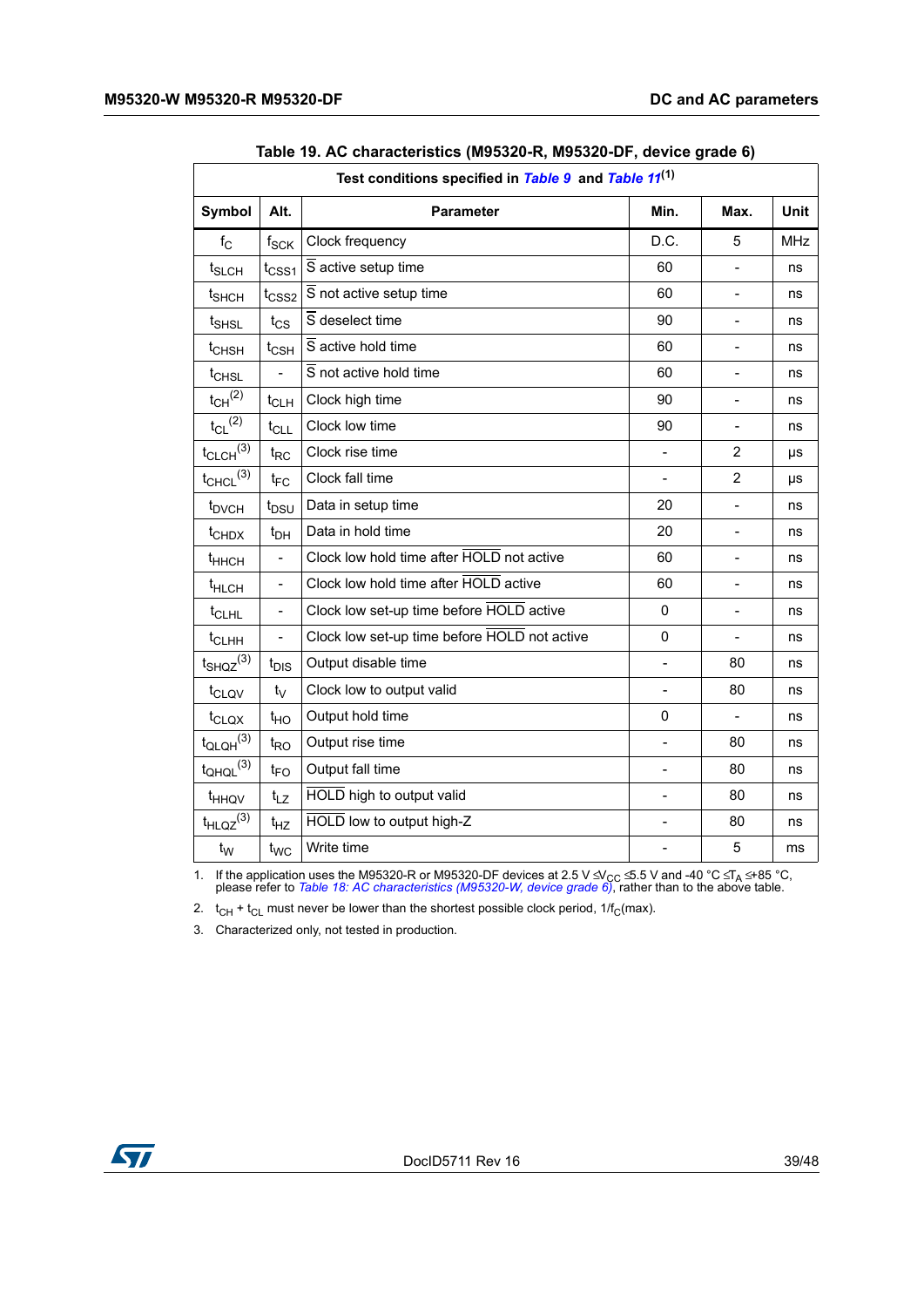<span id="page-38-0"></span>

| Test conditions specified in Table 9 and Table 11 <sup>(1)</sup> |                                                                      |                                              |                          |                          |            |  |  |
|------------------------------------------------------------------|----------------------------------------------------------------------|----------------------------------------------|--------------------------|--------------------------|------------|--|--|
| <b>Symbol</b>                                                    | Alt.                                                                 | Parameter                                    | Min.                     | Max.                     | Unit       |  |  |
| $f_{\rm C}$                                                      | $f_{SCK}$                                                            | Clock frequency                              | D.C.                     | 5                        | <b>MHz</b> |  |  |
| $t_{SLCH}$                                                       | $t_{\text{CSS1}}$                                                    | S active setup time                          | 60                       | $\overline{\phantom{0}}$ | ns         |  |  |
| t <sub>SHCH</sub>                                                | $t_{\text{CSS2}}$                                                    | $\overline{S}$ not active setup time         | 60                       | $\blacksquare$           | ns         |  |  |
| $t_{\sf SHSL}$                                                   | $t_{\text{CS}}$                                                      | S deselect time                              | 90                       | $\overline{a}$           | ns         |  |  |
| t <sub>CHSH</sub>                                                | $t_{\mathsf{CSH}}$                                                   | $\overline{S}$ active hold time              | 60                       | $\overline{a}$           | ns         |  |  |
| t <sub>CHSL</sub>                                                | $\overline{a}$                                                       | $\overline{S}$ not active hold time          | 60                       | $\blacksquare$           | ns         |  |  |
| $t_{CH}$ <sup>(2)</sup>                                          | $t_{CLH}$                                                            | Clock high time                              | 90                       | $\overline{\phantom{0}}$ | ns         |  |  |
| $t_{CL}$ <sup>(2)</sup>                                          | $t_{CLL}$                                                            | Clock low time                               | 90                       | $\blacksquare$           | ns         |  |  |
| $t_{CLCH}$ $(3)$                                                 | $t_{RC}$                                                             | Clock rise time                              |                          | $\overline{2}$           | μs         |  |  |
| $t_{CHCL}$ $(3)$                                                 | $t_{FC}$                                                             | Clock fall time                              |                          | $\overline{2}$           | μs         |  |  |
| t <sub>DVCH</sub>                                                | $t_{DSU}$                                                            | Data in setup time                           | 20                       | $\overline{\phantom{a}}$ | ns         |  |  |
| t <sub>CHDX</sub>                                                | $t_{DH}$                                                             | Data in hold time                            | 20                       | $\overline{\phantom{0}}$ | ns         |  |  |
| t <sub>HHCH</sub>                                                | $\overline{a}$                                                       | Clock low hold time after HOLD not active    | 60                       | $\blacksquare$           | ns         |  |  |
| t <sub>HLCH</sub>                                                | $\overline{a}$                                                       | Clock low hold time after HOLD active        |                          |                          | ns         |  |  |
| t <sub>CLHL</sub>                                                | Clock low set-up time before HOLD active<br>$\overline{\phantom{m}}$ |                                              | 0                        | $\blacksquare$           | ns         |  |  |
| $t$ <sub>CLHH</sub>                                              | $\qquad \qquad \blacksquare$                                         | Clock low set-up time before HOLD not active | 0                        | $\overline{\phantom{a}}$ | ns         |  |  |
| $t_{SHQZ}^{(3)}$                                                 | $t_{\text{DIS}}$                                                     | Output disable time                          |                          | 80                       | ns         |  |  |
| t <sub>CLQV</sub>                                                | $t_V$                                                                | Clock low to output valid                    | $\overline{\phantom{a}}$ | 80                       | ns         |  |  |
| $t_{\text{CLQX}}$                                                | $t_{HO}$                                                             | Output hold time                             | 0                        |                          | ns         |  |  |
| $t_{\text{QLQH}}^{(3)}$                                          | $t_{RO}$                                                             | Output rise time                             | $\blacksquare$           | 80                       | ns         |  |  |
| $t_{QHQL}$ <sup>(3)</sup>                                        | $t_{FO}$                                                             | Output fall time                             | $\overline{\phantom{m}}$ | 80                       | ns         |  |  |
| t <sub>HHQV</sub>                                                | $t_{LZ}$                                                             | HOLD high to output valid                    | $\qquad \qquad -$        | 80                       | ns         |  |  |
| $t_{HLQZ}^{(3)}$                                                 | $t_{HZ}$                                                             | HOLD low to output high-Z                    | $\overline{a}$           | 80                       | ns         |  |  |
| $t_{\rm W}$                                                      | $t_{WC}$                                                             | Write time                                   |                          | 5                        | ms         |  |  |

| Table 19. AC characteristics (M95320-R, M95320-DF, device grade 6) |  |
|--------------------------------------------------------------------|--|
|                                                                    |  |

1. If the application uses the M95320-R or M95320-DF devices at 2.5 V ≤ V<sub>CC</sub> ≤ 5.5 V and -40 °C ≤ T<sub>A</sub> ≤ +85 °C, please refer to *[Table 18: AC characteristics \(M95320-W, device grade 6\)](#page-37-0)*, rather than to the above table.

2.  $t_{CH} + t_{CL}$  must never be lower than the shortest possible clock period,  $1/f_C$ (max).

3. Characterized only, not tested in production.

![](_page_38_Picture_7.jpeg)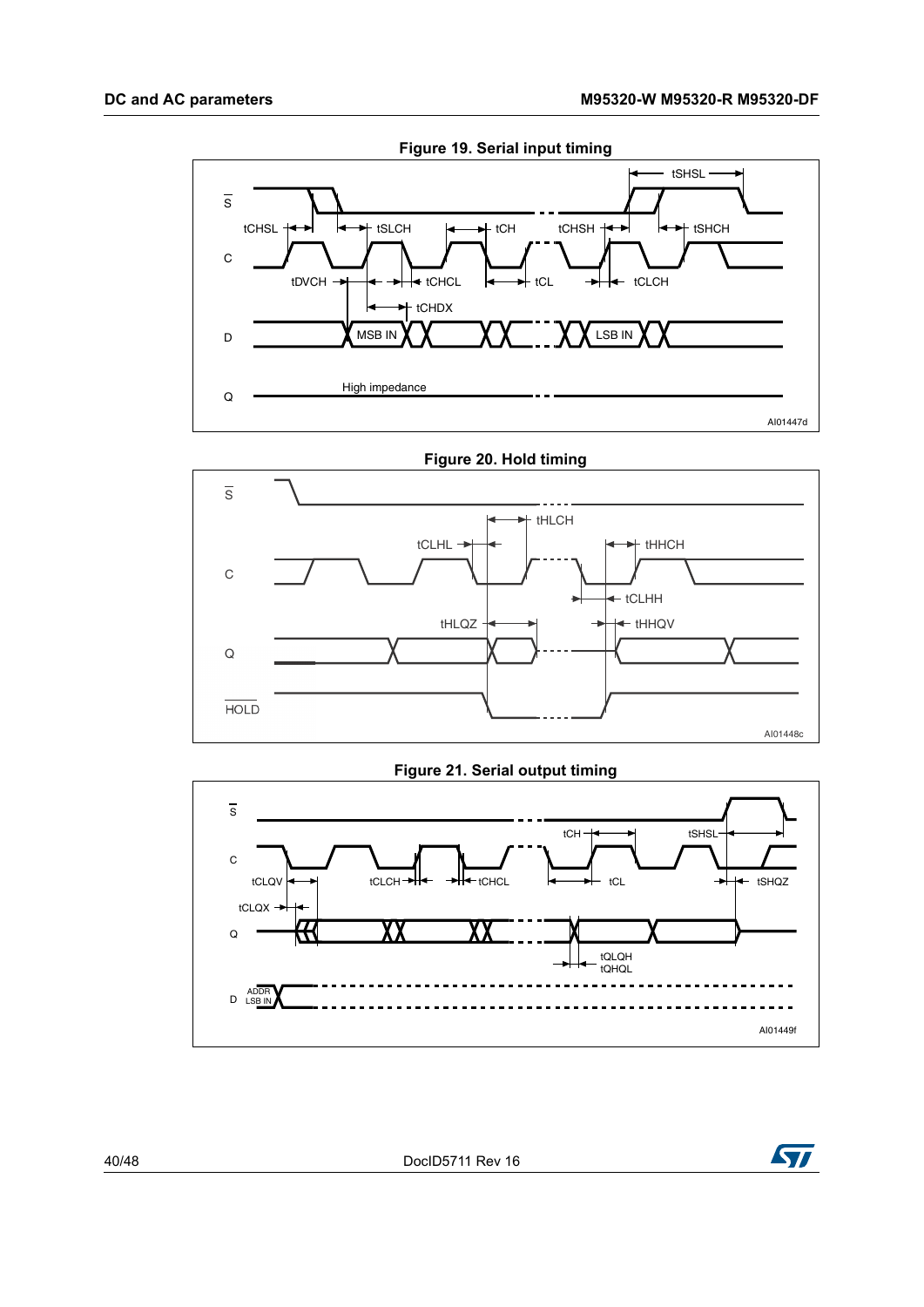<span id="page-39-0"></span>![](_page_39_Figure_2.jpeg)

<span id="page-39-1"></span>![](_page_39_Figure_3.jpeg)

#### **Figure 21. Serial output timing**

<span id="page-39-2"></span>![](_page_39_Figure_5.jpeg)

![](_page_39_Picture_7.jpeg)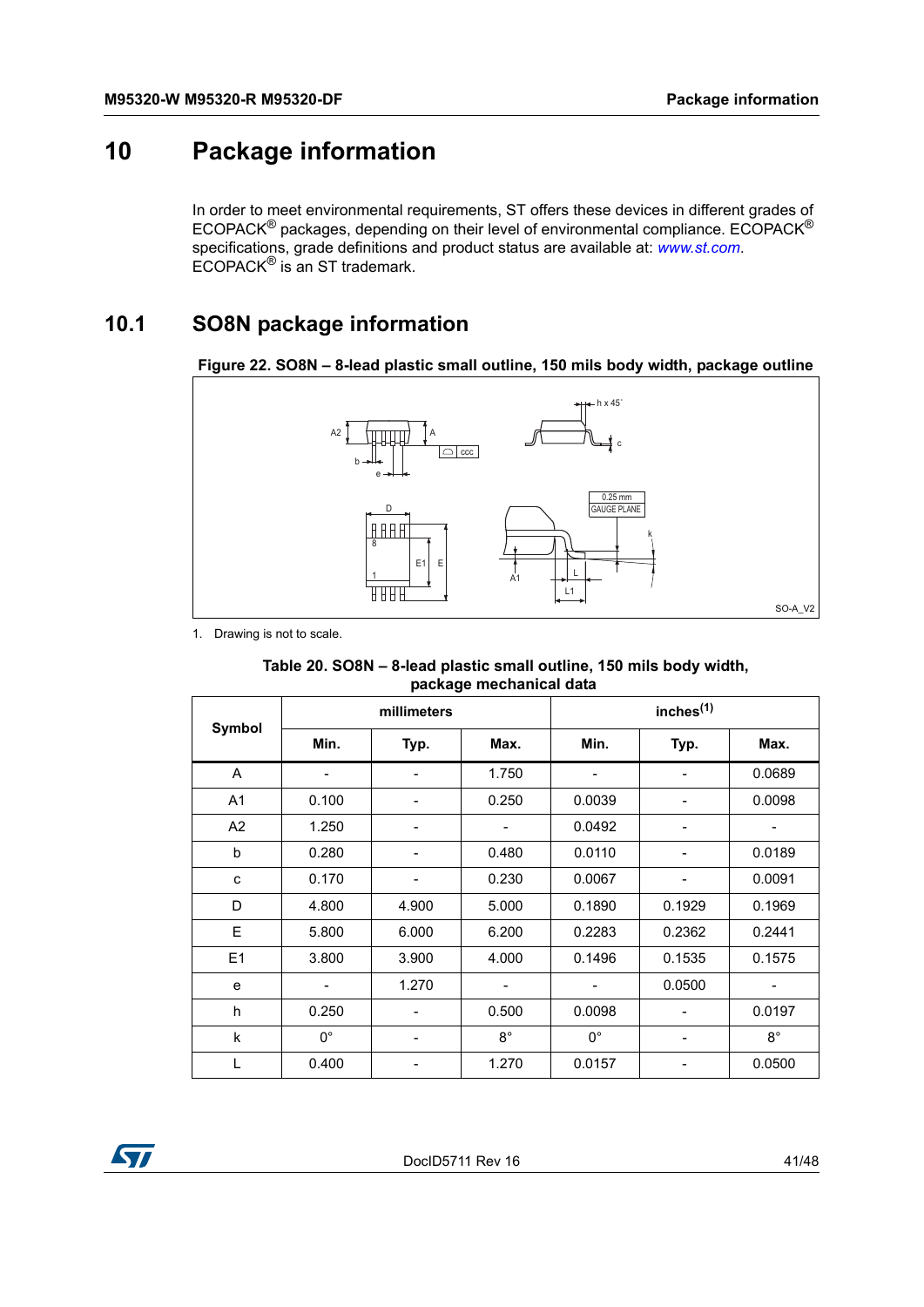# <span id="page-40-0"></span>**10 Package information**

<span id="page-40-4"></span>In order to meet environmental requirements, ST offers these devices in different grades of ECOPACK® packages, depending on their level of environmental compliance. ECOPACK® specifications, grade definitions and product status are available at: *www.st.com*. ECOPACK® is an ST trademark.

# <span id="page-40-1"></span>**10.1 SO8N package information**

<span id="page-40-3"></span>![](_page_40_Figure_5.jpeg)

![](_page_40_Figure_6.jpeg)

<span id="page-40-2"></span>1. Drawing is not to scale.

| Table 20. SO8N - 8-lead plastic small outline, 150 mils body width, |
|---------------------------------------------------------------------|
| package mechanical data                                             |

|                |             | millimeters              |             | inches <sup>(1)</sup> |                |             |
|----------------|-------------|--------------------------|-------------|-----------------------|----------------|-------------|
| Symbol         | Min.        | Typ.                     | Max.        | Min.                  | Typ.           | Max.        |
| A              |             |                          | 1.750       |                       |                | 0.0689      |
| A <sub>1</sub> | 0.100       | $\overline{a}$           | 0.250       | 0.0039                | $\overline{a}$ | 0.0098      |
| A2             | 1.250       | $\overline{\phantom{0}}$ |             | 0.0492                |                |             |
| b              | 0.280       |                          | 0.480       | 0.0110                |                | 0.0189      |
| C              | 0.170       | -                        | 0.230       | 0.0067                | -              | 0.0091      |
| D              | 4.800       | 4.900                    | 5.000       | 0.1890                | 0.1929         | 0.1969      |
| E              | 5.800       | 6.000                    | 6.200       | 0.2283                | 0.2362         | 0.2441      |
| E1             | 3.800       | 3.900                    | 4.000       | 0.1496                | 0.1535         | 0.1575      |
| e              |             | 1.270                    |             |                       | 0.0500         |             |
| h              | 0.250       |                          | 0.500       | 0.0098                |                | 0.0197      |
| k              | $0^{\circ}$ | -                        | $8^{\circ}$ | $0^{\circ}$           | -              | $8^{\circ}$ |
|                | 0.400       |                          | 1.270       | 0.0157                |                | 0.0500      |

![](_page_40_Picture_10.jpeg)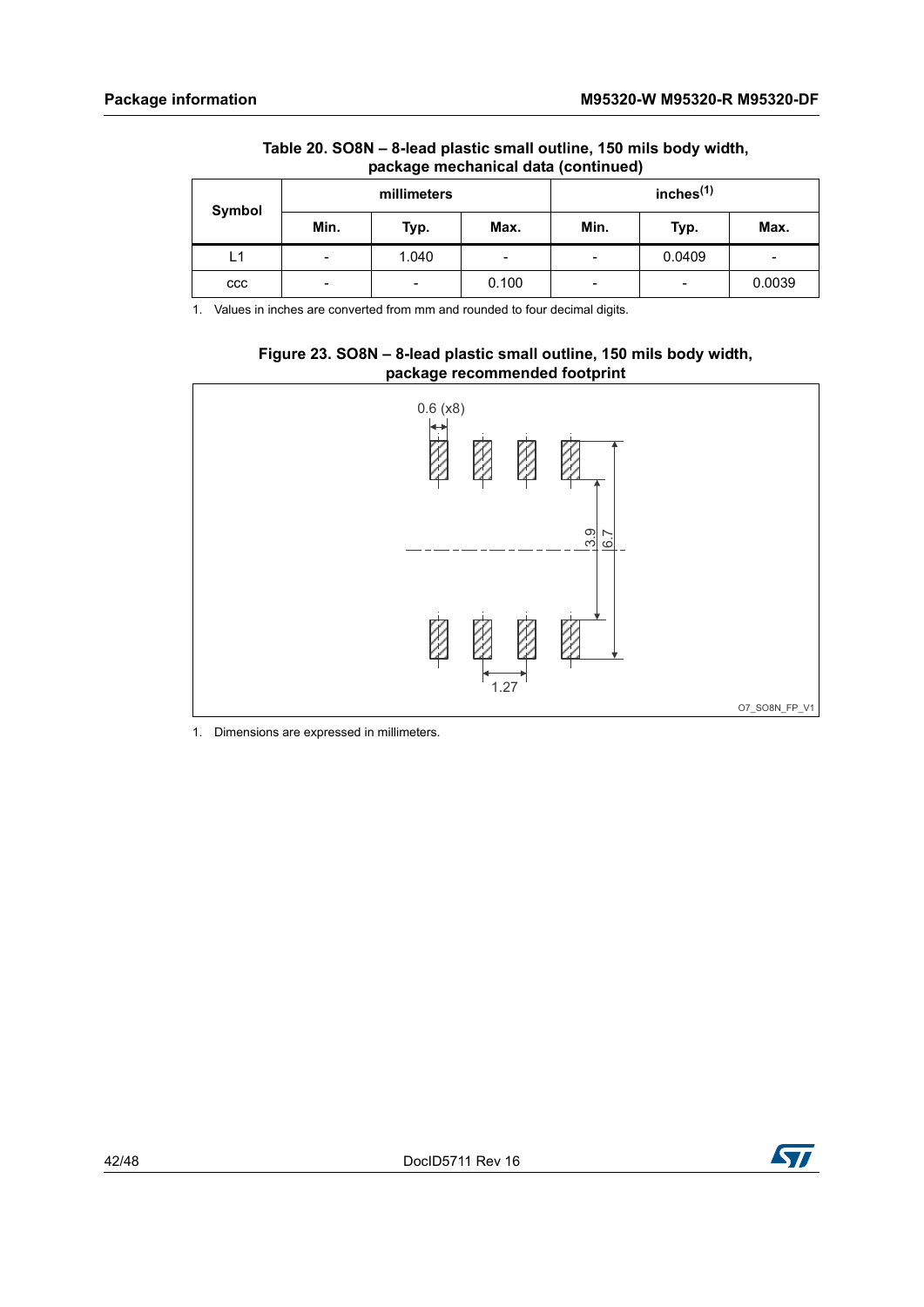| Table 20. SO8N – 8-lead plastic small outline, 150 mils body width, |
|---------------------------------------------------------------------|
| package mechanical data (continued)                                 |

| Symbol |                          | millimeters |                          | inches $(1)$<br>Min.<br>Max.<br>Typ. |                          |        |
|--------|--------------------------|-------------|--------------------------|--------------------------------------|--------------------------|--------|
|        | Min.                     | Typ.        | Max.                     |                                      |                          |        |
| L1     | $\overline{\phantom{0}}$ | 1.040       | $\overline{\phantom{0}}$ | -                                    | 0.0409                   | -      |
| ccc    | -                        | -           | 0.100                    | -                                    | $\overline{\phantom{a}}$ | 0.0039 |

1. Values in inches are converted from mm and rounded to four decimal digits.

![](_page_41_Figure_5.jpeg)

<span id="page-41-0"></span>![](_page_41_Figure_6.jpeg)

1. Dimensions are expressed in millimeters.

![](_page_41_Picture_8.jpeg)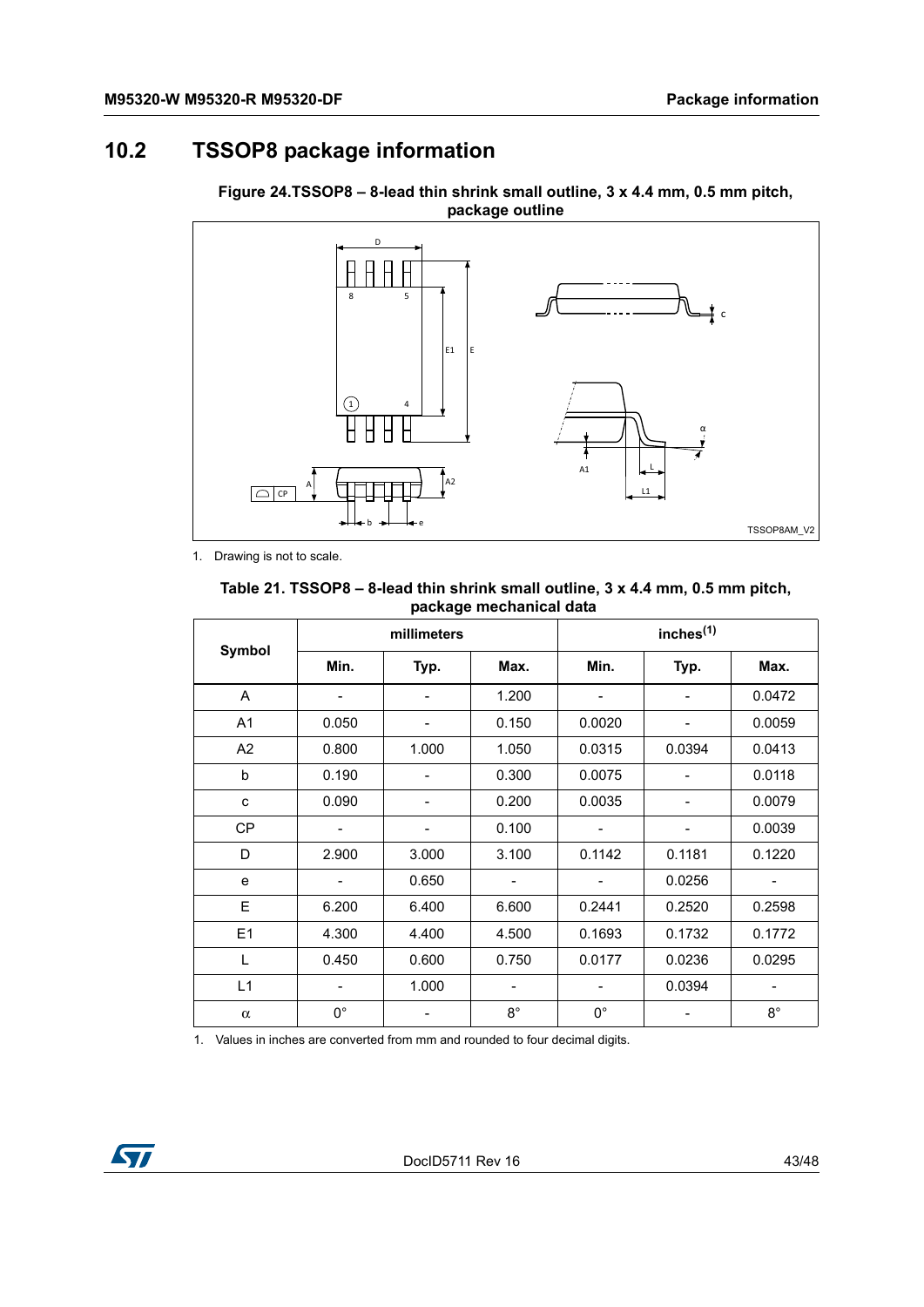# <span id="page-42-0"></span>**10.2 TSSOP8 package information**

![](_page_42_Figure_3.jpeg)

<span id="page-42-2"></span>**Figure 24.TSSOP8 – 8-lead thin shrink small outline, 3 x 4.4 mm, 0.5 mm pitch, package outline**

1. Drawing is not to scale.

#### <span id="page-42-1"></span>**Table 21. TSSOP8 – 8-lead thin shrink small outline, 3 x 4.4 mm, 0.5 mm pitch, package mechanical data**

| Symbol         | millimeters              |                |             | inches <sup>(1)</sup>    |                          |             |  |
|----------------|--------------------------|----------------|-------------|--------------------------|--------------------------|-------------|--|
|                | Min.                     | Typ.           | Max.        | Min.                     | Typ.                     | Max.        |  |
| A              | -                        | $\overline{a}$ | 1.200       | $\overline{a}$           | $\overline{a}$           | 0.0472      |  |
| A <sub>1</sub> | 0.050                    |                | 0.150       | 0.0020                   |                          | 0.0059      |  |
| A <sub>2</sub> | 0.800                    | 1.000          | 1.050       | 0.0315                   | 0.0394                   | 0.0413      |  |
| b              | 0.190                    |                | 0.300       | 0.0075                   |                          | 0.0118      |  |
| C              | 0.090                    |                | 0.200       | 0.0035                   |                          | 0.0079      |  |
| <b>CP</b>      | $\overline{\phantom{a}}$ | -              | 0.100       | $\overline{\phantom{0}}$ | $\overline{\phantom{0}}$ | 0.0039      |  |
| D              | 2.900                    | 3.000          | 3.100       | 0.1142                   | 0.1181                   | 0.1220      |  |
| e              | -                        | 0.650          |             |                          | 0.0256<br>-              |             |  |
| E              | 6.200                    | 6.400          | 6.600       | 0.2441                   | 0.2520                   | 0.2598      |  |
| E <sub>1</sub> | 4.300                    | 4.400          | 4.500       | 0.1693                   | 0.1732                   | 0.1772      |  |
| L              | 0.450                    | 0.600          | 0.750       | 0.0177                   | 0.0236                   | 0.0295      |  |
| L1             |                          | 1.000          | -           |                          | 0.0394                   | -           |  |
| $\alpha$       | $0^{\circ}$              |                | $8^{\circ}$ | $0^{\circ}$              |                          | $8^{\circ}$ |  |

1. Values in inches are converted from mm and rounded to four decimal digits.

![](_page_42_Picture_9.jpeg)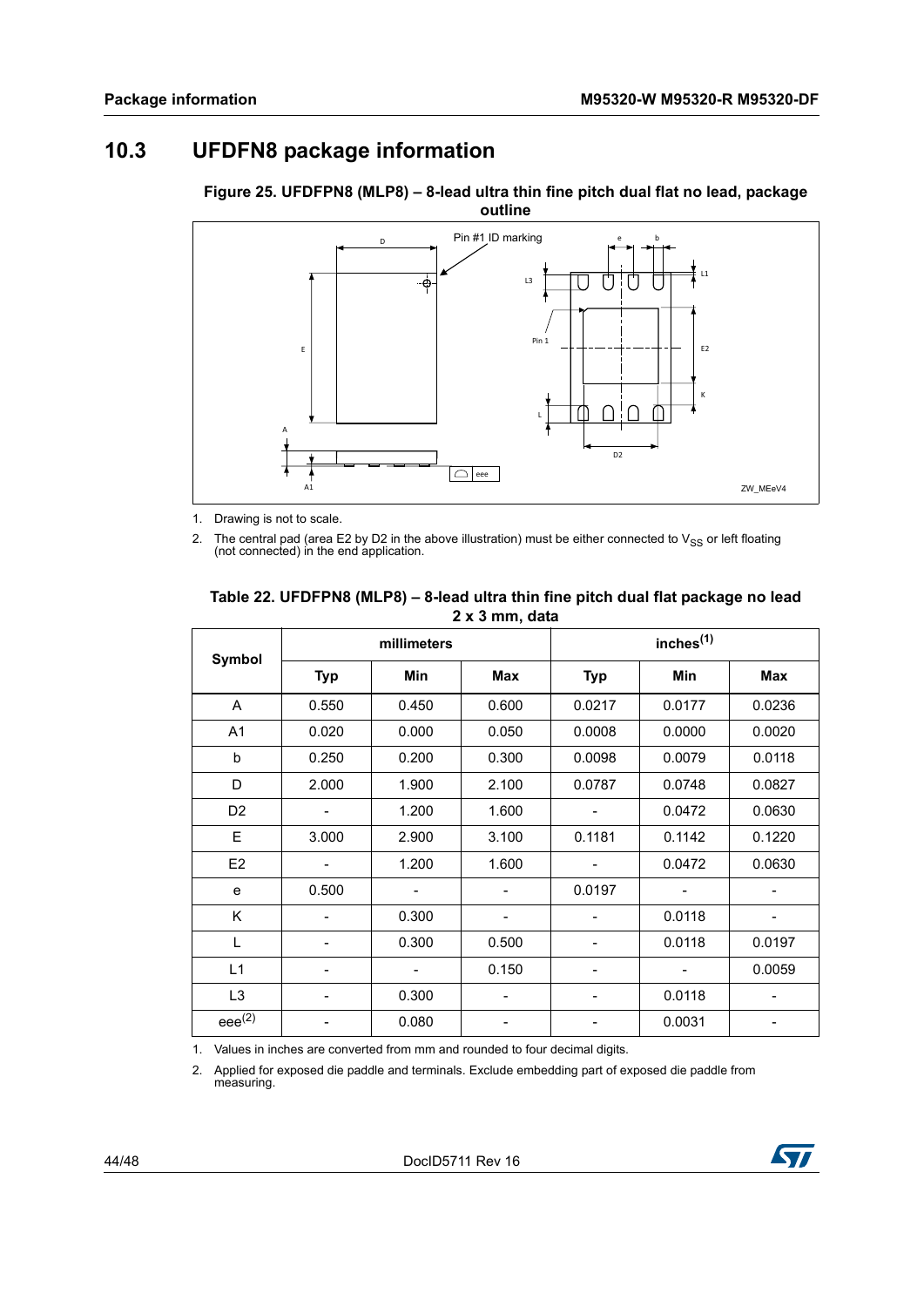# <span id="page-43-0"></span>**10.3 UFDFN8 package information**

![](_page_43_Figure_3.jpeg)

<span id="page-43-2"></span>**Figure 25. UFDFPN8 (MLP8) – 8-lead ultra thin fine pitch dual flat no lead, package outline**

1. Drawing is not to scale.

2. The central pad (area E2 by D2 in the above illustration) must be either connected to  $V_{SS}$  or left floating (not connected) in the end application.

| Symbol         | millimeters |                              |                          | inches <sup>(1)</sup> |        |        |  |
|----------------|-------------|------------------------------|--------------------------|-----------------------|--------|--------|--|
|                | <b>Typ</b>  | Min                          | <b>Max</b>               | <b>Typ</b>            | Min    | Max    |  |
| A              | 0.550       | 0.450                        | 0.600                    | 0.0217                | 0.0177 | 0.0236 |  |
| A <sub>1</sub> | 0.020       | 0.000                        | 0.050                    | 0.0008                | 0.0000 | 0.0020 |  |
| b              | 0.250       | 0.200                        | 0.300                    | 0.0098                | 0.0079 | 0.0118 |  |
| D              | 2.000       | 1.900                        | 2.100                    | 0.0787                | 0.0748 | 0.0827 |  |
| D <sub>2</sub> |             | 1.200                        | 1.600                    |                       | 0.0472 | 0.0630 |  |
| E              | 3.000       | 2.900                        | 3.100                    | 0.1181                | 0.1142 | 0.1220 |  |
| E <sub>2</sub> |             | 1.200                        | 1.600                    |                       | 0.0472 | 0.0630 |  |
| e              | 0.500       |                              | $\overline{\phantom{a}}$ | 0.0197                |        | -      |  |
| Κ              |             | 0.300                        |                          |                       | 0.0118 |        |  |
| L              |             | 0.300                        | 0.500                    |                       | 0.0118 | 0.0197 |  |
| L1             |             | $\qquad \qquad \blacksquare$ | 0.150                    |                       |        | 0.0059 |  |
| L <sub>3</sub> |             | 0.300                        | $\overline{\phantom{a}}$ |                       | 0.0118 | -      |  |
| $eee^{(2)}$    |             | 0.080                        |                          |                       | 0.0031 |        |  |

#### <span id="page-43-1"></span>**Table 22. UFDFPN8 (MLP8) – 8-lead ultra thin fine pitch dual flat package no lead 2 x 3 mm, data**

1. Values in inches are converted from mm and rounded to four decimal digits.

2. Applied for exposed die paddle and terminals. Exclude embedding part of exposed die paddle from measuring.

![](_page_43_Picture_12.jpeg)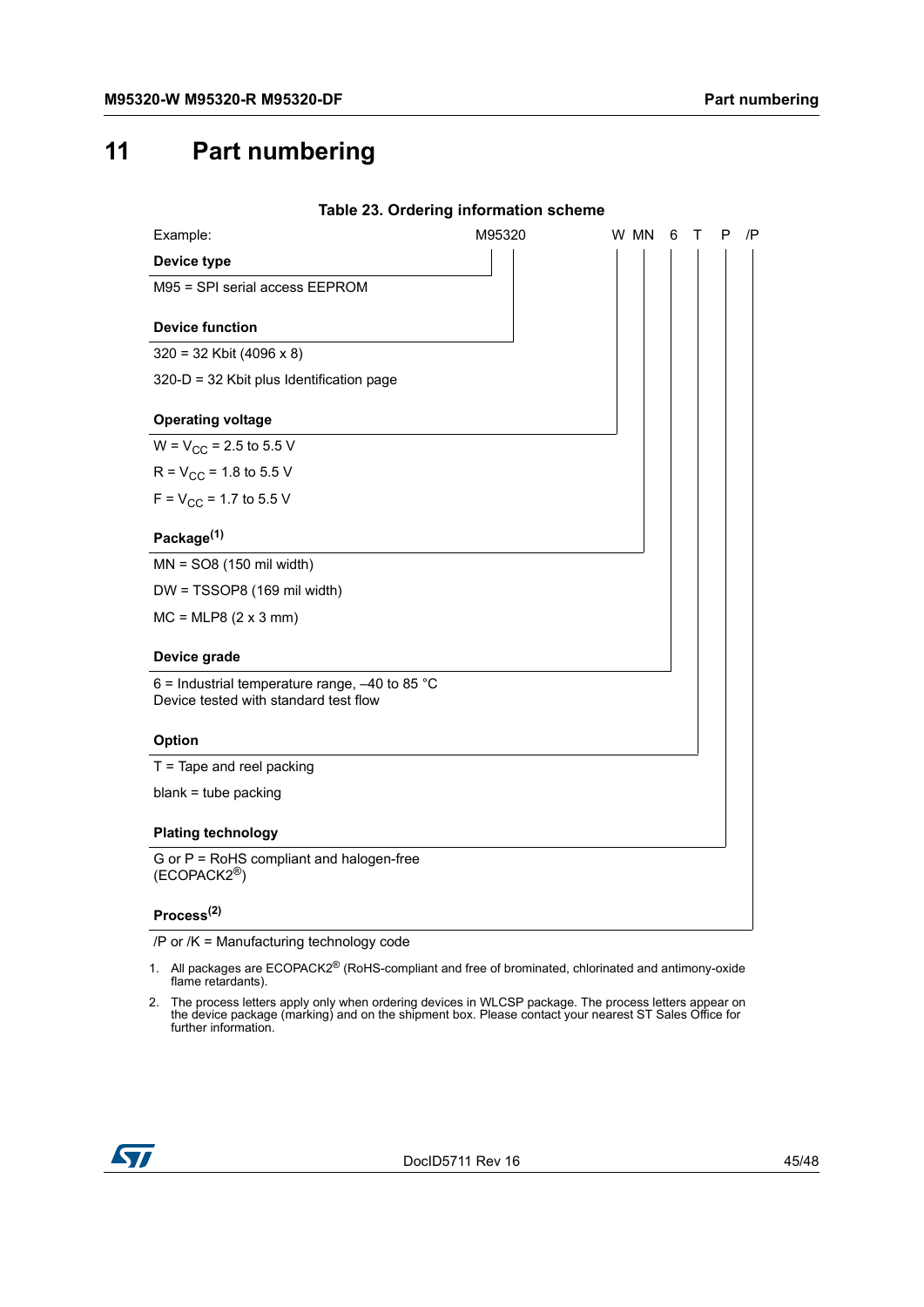# <span id="page-44-0"></span>**11 Part numbering**

<span id="page-44-1"></span>

|                                                                                           | Table 23. Ordering information scheme |      |   |   |   |       |
|-------------------------------------------------------------------------------------------|---------------------------------------|------|---|---|---|-------|
| Example:                                                                                  | M95320                                | W MN | 6 | т | P | $/$ P |
| Device type                                                                               |                                       |      |   |   |   |       |
| M95 = SPI serial access EEPROM                                                            |                                       |      |   |   |   |       |
| <b>Device function</b>                                                                    |                                       |      |   |   |   |       |
| $320 = 32$ Kbit (4096 x 8)                                                                |                                       |      |   |   |   |       |
| 320-D = 32 Kbit plus Identification page                                                  |                                       |      |   |   |   |       |
| <b>Operating voltage</b>                                                                  |                                       |      |   |   |   |       |
| $W = V_{CC} = 2.5$ to 5.5 V                                                               |                                       |      |   |   |   |       |
| $R = V_{CC} = 1.8$ to 5.5 V                                                               |                                       |      |   |   |   |       |
| $F = V_{CC} = 1.7$ to 5.5 V                                                               |                                       |      |   |   |   |       |
| Package <sup>(1)</sup>                                                                    |                                       |      |   |   |   |       |
| $MN = SO8(150 \text{ mil width})$                                                         |                                       |      |   |   |   |       |
| DW = TSSOP8 (169 mil width)                                                               |                                       |      |   |   |   |       |
| $MC = MLP8 (2 x 3 mm)$                                                                    |                                       |      |   |   |   |       |
| Device grade                                                                              |                                       |      |   |   |   |       |
| 6 = Industrial temperature range, $-40$ to 85 °C<br>Device tested with standard test flow |                                       |      |   |   |   |       |
| <b>Option</b>                                                                             |                                       |      |   |   |   |       |
| $T =$ Tape and reel packing                                                               |                                       |      |   |   |   |       |
| $blank = tube$ packing                                                                    |                                       |      |   |   |   |       |
| <b>Plating technology</b>                                                                 |                                       |      |   |   |   |       |
| G or P = RoHS compliant and halogen-free<br>$(ECOPACK2^{\circledR})$                      |                                       |      |   |   |   |       |
| Process $^{(2)}$                                                                          |                                       |      |   |   |   |       |

/P or /K = Manufacturing technology code

- 1. All packages are ECOPACK2® (RoHS-compliant and free of brominated, chlorinated and antimony-oxide flame retardants).
- 2. The process letters apply only when ordering devices in WLCSP package. The process letters appear on the device package (marking) and on the shipment box. Please contact your nearest ST Sales Office for further information.

![](_page_44_Picture_7.jpeg)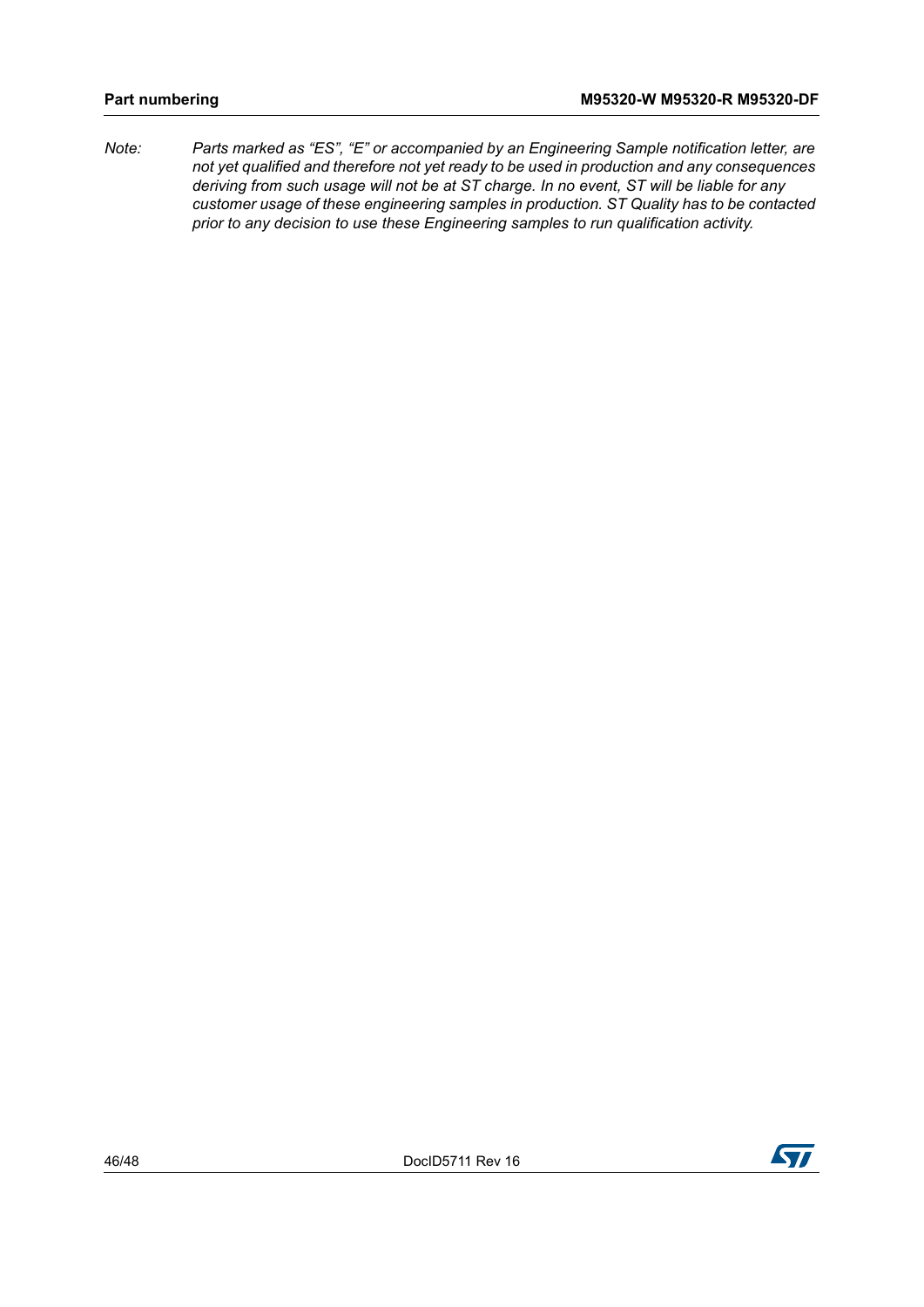*Note: Parts marked as "ES", "E" or accompanied by an Engineering Sample notification letter, are not yet qualified and therefore not yet ready to be used in production and any consequences deriving from such usage will not be at ST charge. In no event, ST will be liable for any customer usage of these engineering samples in production. ST Quality has to be contacted prior to any decision to use these Engineering samples to run qualification activity.*

![](_page_45_Picture_5.jpeg)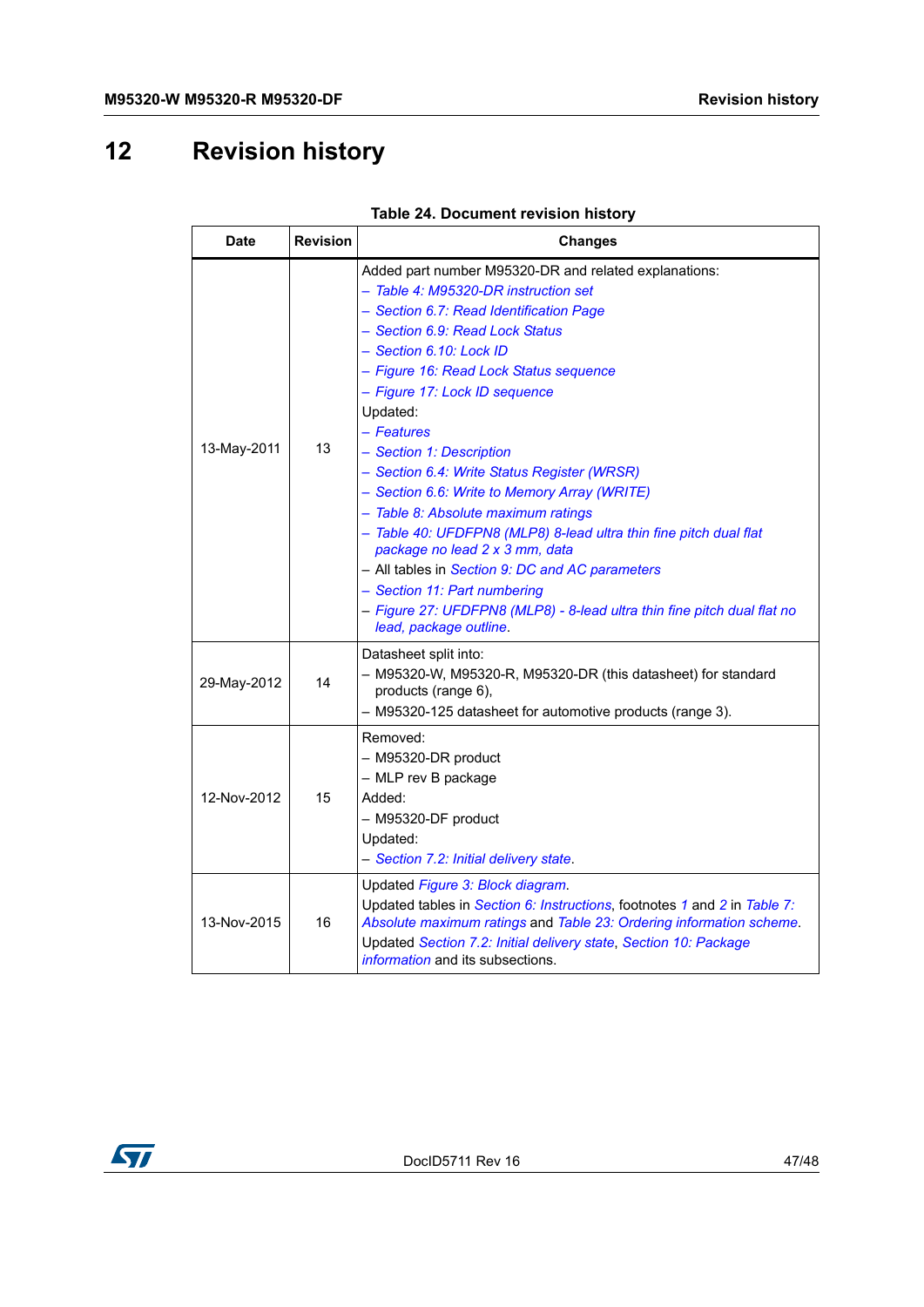# <span id="page-46-0"></span>**12 Revision history**

<span id="page-46-1"></span>

| <b>Date</b>       | <b>Revision</b> | <b>Changes</b>                                                                                                                                                                                                                                                                                                                                                                                                                                                                                                                                                                                                                                                                                                                                                               |  |  |
|-------------------|-----------------|------------------------------------------------------------------------------------------------------------------------------------------------------------------------------------------------------------------------------------------------------------------------------------------------------------------------------------------------------------------------------------------------------------------------------------------------------------------------------------------------------------------------------------------------------------------------------------------------------------------------------------------------------------------------------------------------------------------------------------------------------------------------------|--|--|
| 13-May-2011       | 13              | Added part number M95320-DR and related explanations:<br>- Table 4: M95320-DR instruction set<br>- Section 6.7: Read Identification Page<br>- Section 6.9: Read Lock Status<br>- Section 6.10: Lock ID<br>- Figure 16: Read Lock Status sequence<br>- Figure 17: Lock ID sequence<br>Updated:<br>- Features<br>- Section 1: Description<br>- Section 6.4: Write Status Register (WRSR)<br>- Section 6.6: Write to Memory Array (WRITE)<br>- Table 8: Absolute maximum ratings<br>- Table 40: UFDFPN8 (MLP8) 8-lead ultra thin fine pitch dual flat<br>package no lead 2 x 3 mm, data<br>- All tables in Section 9: DC and AC parameters<br>- Section 11: Part numbering<br>- Figure 27: UFDFPN8 (MLP8) - 8-lead ultra thin fine pitch dual flat no<br>lead, package outline. |  |  |
| 29-May-2012       | 14              | Datasheet split into:<br>- M95320-W, M95320-R, M95320-DR (this datasheet) for standard<br>products (range 6),<br>- M95320-125 datasheet for automotive products (range 3).                                                                                                                                                                                                                                                                                                                                                                                                                                                                                                                                                                                                   |  |  |
| 12-Nov-2012<br>15 |                 | Removed:<br>- M95320-DR product<br>- MLP rev B package<br>Added:<br>- M95320-DF product<br>Updated:<br>- Section 7.2: Initial delivery state.                                                                                                                                                                                                                                                                                                                                                                                                                                                                                                                                                                                                                                |  |  |
| 13-Nov-2015       | 16              | Updated Figure 3: Block diagram.<br>Updated tables in Section 6: Instructions, footnotes 1 and 2 in Table 7:<br>Absolute maximum ratings and Table 23: Ordering information scheme.<br>Updated Section 7.2: Initial delivery state, Section 10: Package<br><i>information</i> and its subsections.                                                                                                                                                                                                                                                                                                                                                                                                                                                                           |  |  |

![](_page_46_Picture_5.jpeg)